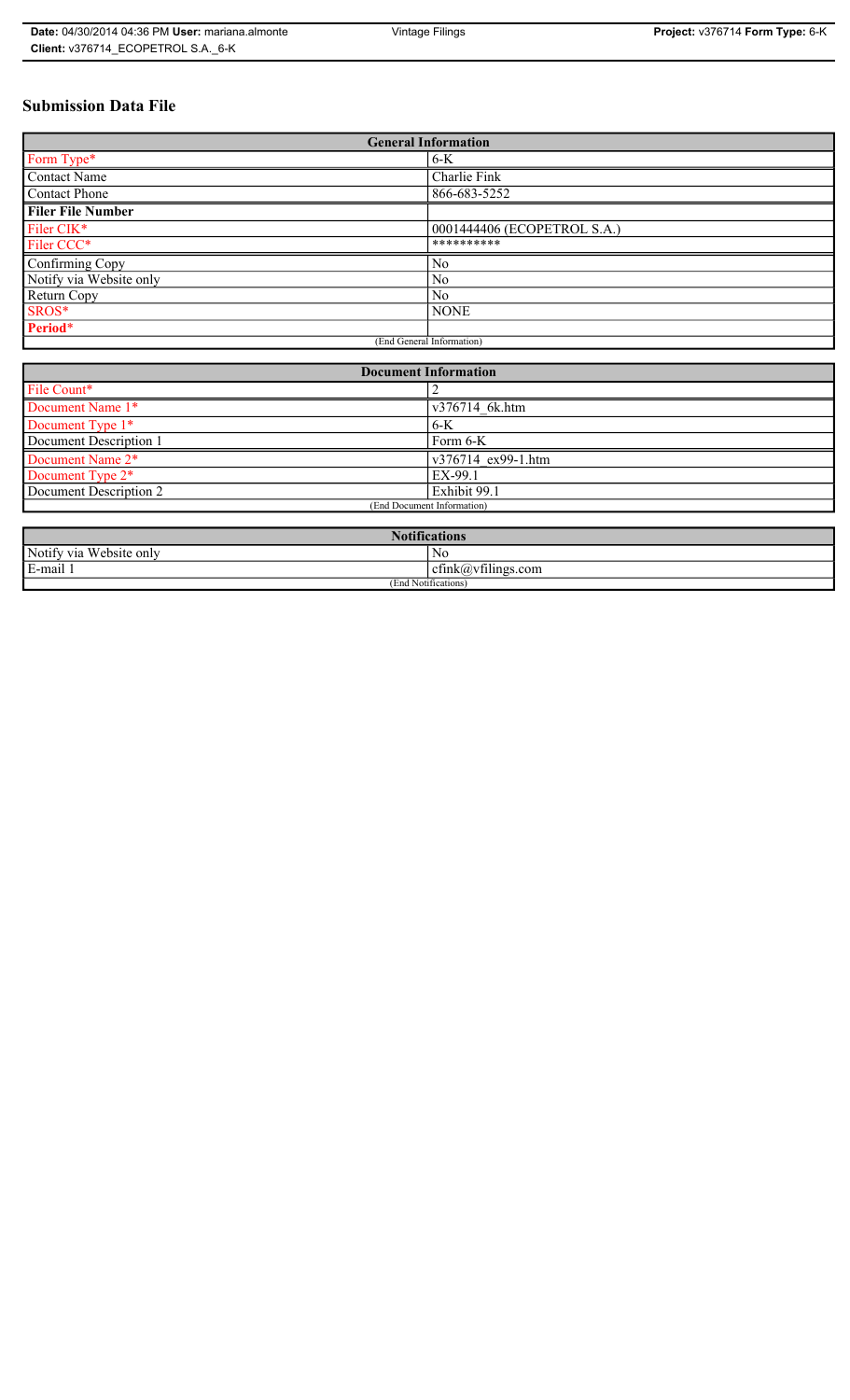# **Submission Data File**

| <b>General Information</b> |                             |  |  |
|----------------------------|-----------------------------|--|--|
| Form Type*                 | $6-K$                       |  |  |
| <b>Contact Name</b>        | Charlie Fink                |  |  |
| Contact Phone              | 866-683-5252                |  |  |
| <b>Filer File Number</b>   |                             |  |  |
| Filer CIK*                 | 0001444406 (ECOPETROL S.A.) |  |  |
| Filer CCC*                 | **********                  |  |  |
| Confirming Copy            | N <sub>0</sub>              |  |  |
| Notify via Website only    | N <sub>0</sub>              |  |  |
| Return Copy                | No.                         |  |  |
| SROS*                      | <b>NONE</b>                 |  |  |
| Period*                    |                             |  |  |
| (End General Information)  |                             |  |  |

| <b>Document Information</b>  |                    |  |  |
|------------------------------|--------------------|--|--|
| File Count*                  |                    |  |  |
| Document Name 1*             | v376714 6k.htm     |  |  |
| Document Type 1*<br>6-K      |                    |  |  |
| Document Description 1       | Form 6-K           |  |  |
| Document Name 2 <sup>*</sup> | v376714 ex99-1.htm |  |  |
| Document Type 2*<br>EX-99.1  |                    |  |  |
| Document Description 2       | Exhibit 99.1       |  |  |
| (End Document Information)   |                    |  |  |
|                              |                    |  |  |

| Notifi.<br>tications       |                                  |  |  |
|----------------------------|----------------------------------|--|--|
| Notify via<br>Website only | No                               |  |  |
| 3-mail 1<br>$\blacksquare$ | $\sim$ 1.<br>ctnk(a)vtilings.com |  |  |
| (End Notifications)        |                                  |  |  |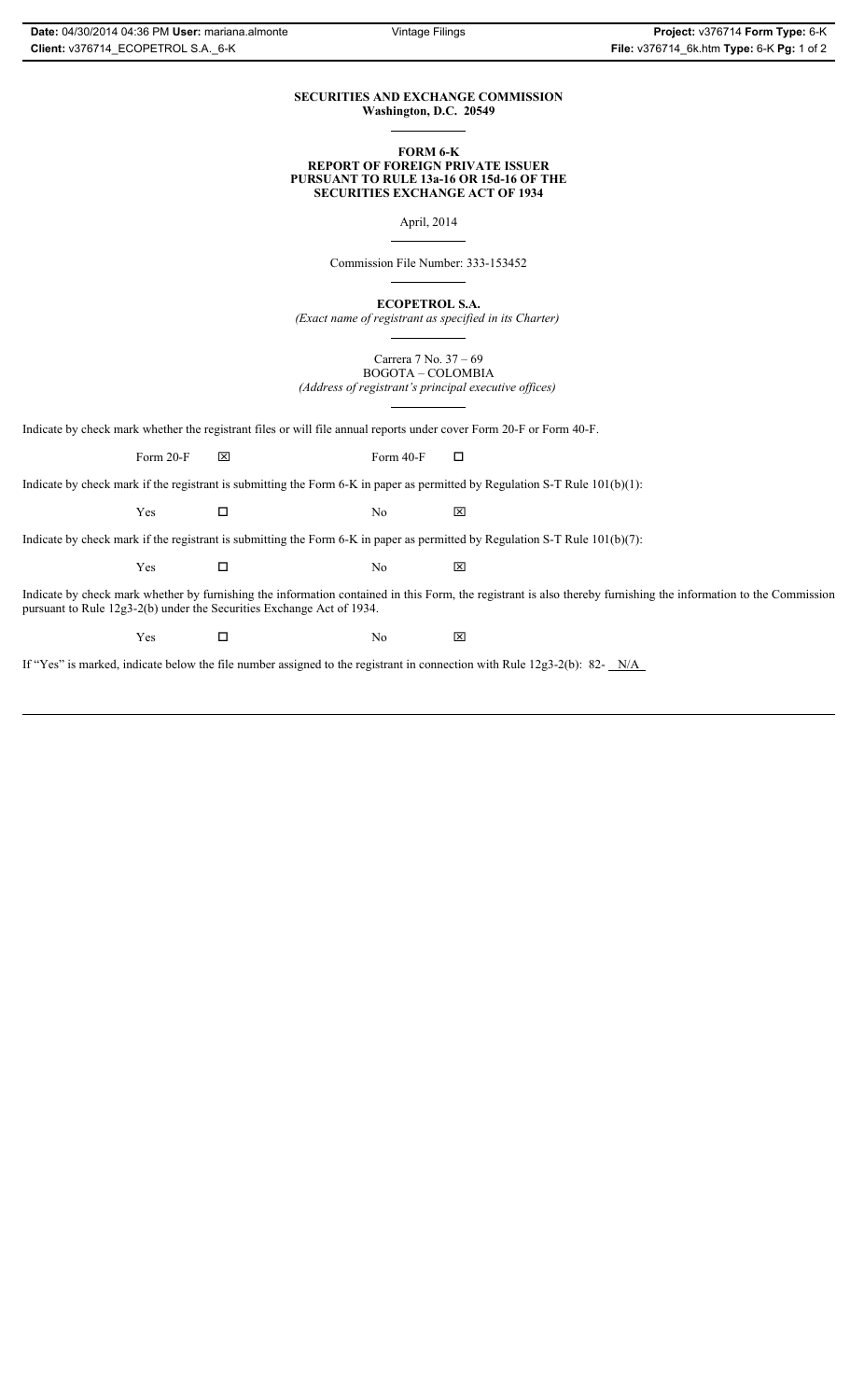### **SECURITIES AND EXCHANGE COMMISSION Washington, D.C. 20549**

#### **FORM 6-K REPORT OF FOREIGN PRIVATE ISSUER PURSUANT TO RULE 13a-16 OR 15d-16 OF THE SECURITIES EXCHANGE ACT OF 1934**

April, 2014

Commission File Number: 333-153452

**ECOPETROL S.A.**

*(Exact name of registrant as specified in its Charter)*

Carrera 7 No. 37 – 69 BOGOTA – COLOMBIA *(Address of registrant's principal executive offices)*

Indicate by check mark whether the registrant files or will file annual reports under cover Form 20-F or Form 40-F.

Form 20-F  $\boxtimes$  Form 40-F  $\Box$ 

Indicate by check mark if the registrant is submitting the Form 6-K in paper as permitted by Regulation S-T Rule 101(b)(1):

 $Yes$   $\Box$  No  $X$ 

Indicate by check mark if the registrant is submitting the Form 6-K in paper as permitted by Regulation S-T Rule 101(b)(7):

 $Yes$   $\Box$  No  $X$ 

Indicate by check mark whether by furnishing the information contained in this Form, the registrant is also thereby furnishing the information to the Commission pursuant to Rule 12g3-2(b) under the Securities Exchange Act of 1934.

 $Yes$   $\Box$  No  $X$ 

If "Yes" is marked, indicate below the file number assigned to the registrant in connection with Rule 12g3-2(b): 82- N/A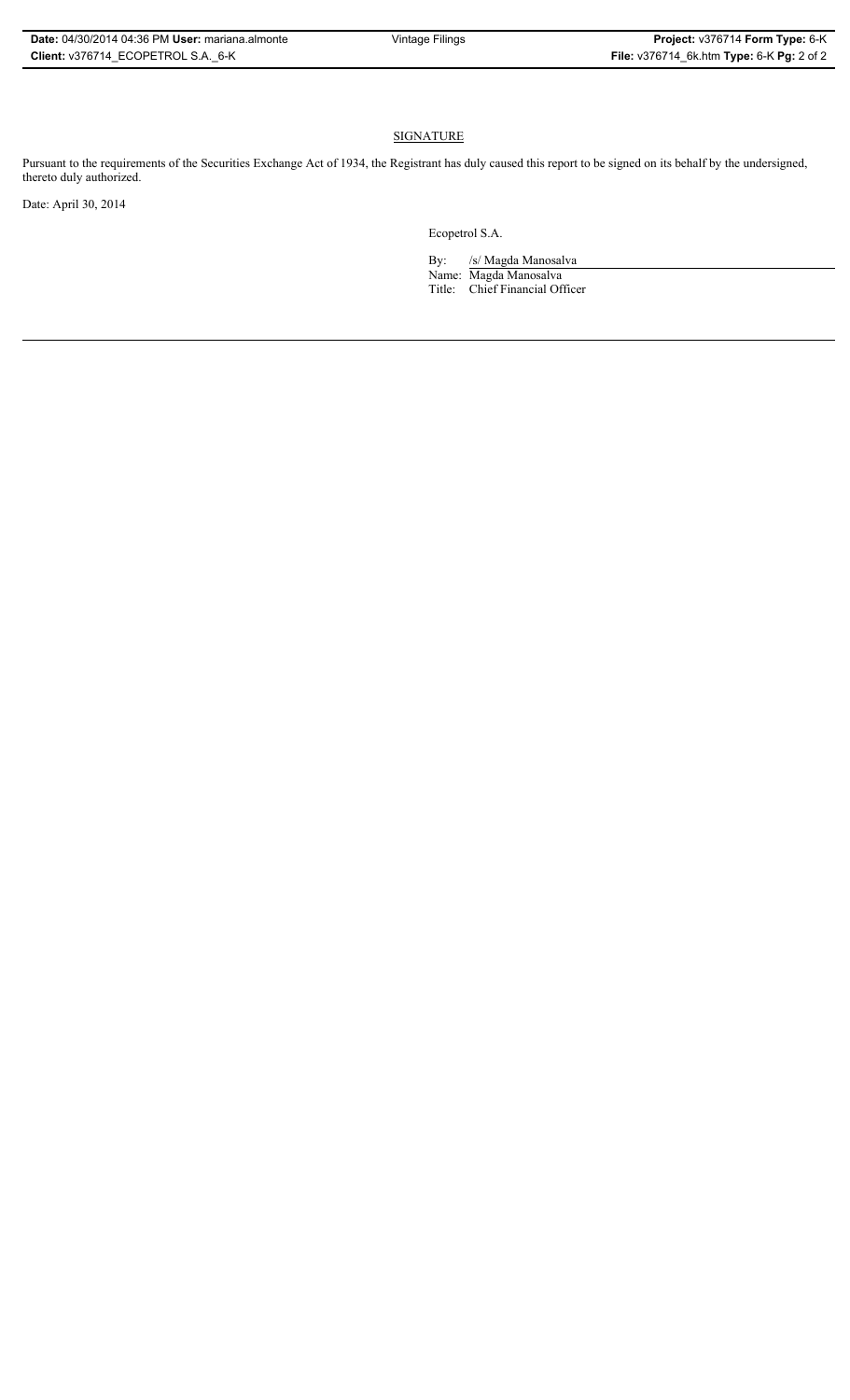### **SIGNATURE**

Pursuant to the requirements of the Securities Exchange Act of 1934, the Registrant has duly caused this report to be signed on its behalf by the undersigned, thereto duly authorized.

Date: April 30, 2014

Ecopetrol S.A.

By: /s/ Magda Manosalva Name: Magda Manosalva Title: Chief Financial Officer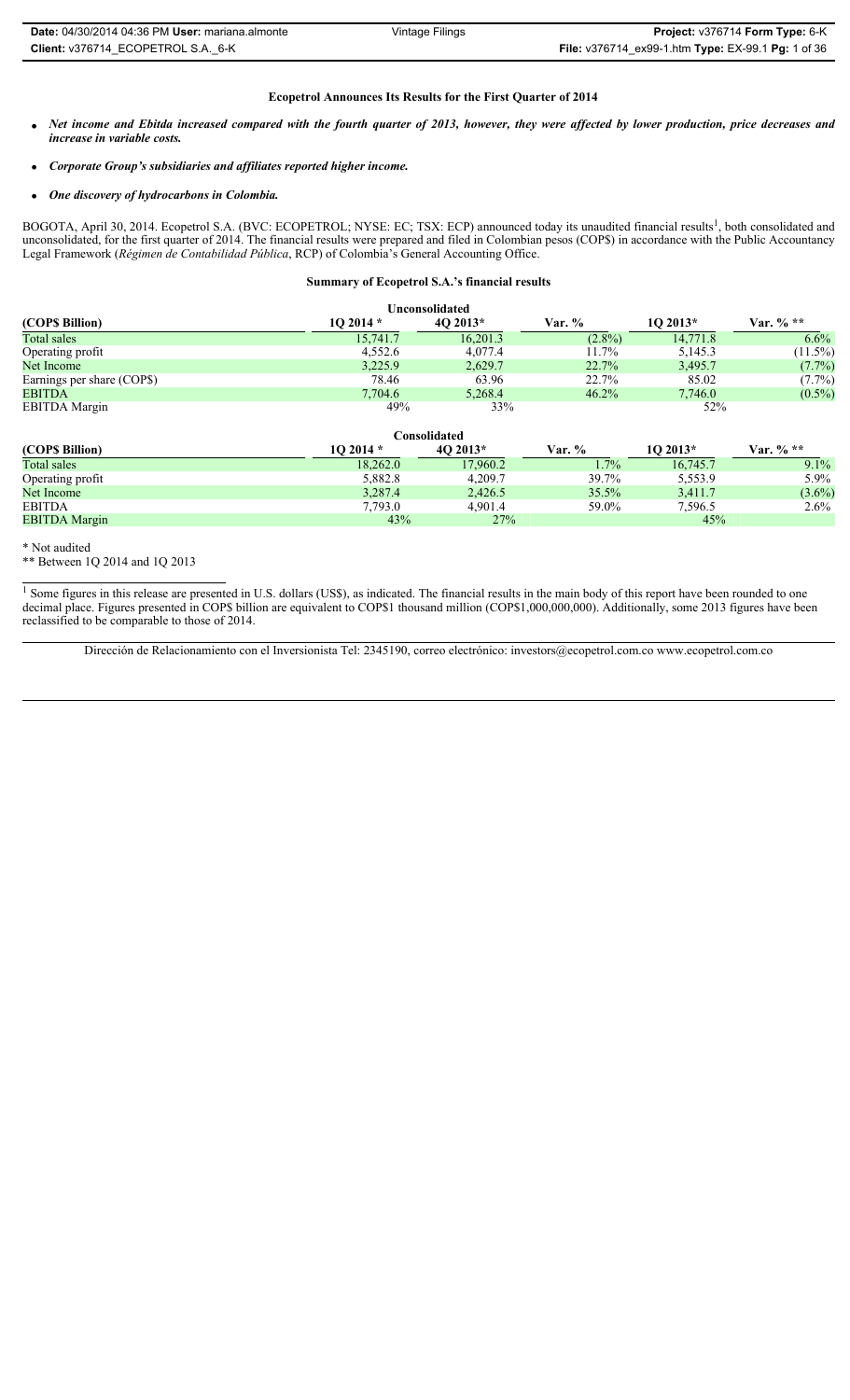#### **Ecopetrol Announces Its Results for the First Quarter of 2014**

- x *Net income and Ebitda increased compared with the fourth quarter of 2013, however, they were affected by lower production, price decreases and increase in variable costs.*
- x *Corporate Group's subsidiaries and affiliates reported higher income.*
- x *One discovery of hydrocarbons in Colombia.*

BOGOTA, April 30, 2014. Ecopetrol S.A. (BVC: ECOPETROL; NYSE: EC; TSX: ECP) announced today its unaudited financial results<sup>1</sup>, both consolidated and unconsolidated, for the first quarter of 2014. The financial results were prepared and filed in Colombian pesos (COP\$) in accordance with the Public Accountancy Legal Framework (*Régimen de Contabilidad Pública*, RCP) of Colombia's General Accounting Office.

#### **Summary of Ecopetrol S.A.'s financial results**

| <b>Unconsolidated</b>      |           |              |           |           |             |  |
|----------------------------|-----------|--------------|-----------|-----------|-------------|--|
| (COP\$ Billion)            | $102014*$ | $40\,2013*$  | Var. %    | $102013*$ | Var. $%$ ** |  |
| Total sales                | 15,741.7  | 16,201.3     | $(2.8\%)$ | 14,771.8  | $6.6\%$     |  |
| Operating profit           | 4,552.6   | 4,077.4      | 11.7%     | 5,145.3   | $(11.5\%)$  |  |
| Net Income                 | 3,225.9   | 2,629.7      | 22.7%     | 3,495.7   | $(7.7\%)$   |  |
| Earnings per share (COP\$) | 78.46     | 63.96        | 22.7%     | 85.02     | $(7.7\%)$   |  |
| <b>EBITDA</b>              | 7,704.6   | 5,268.4      | 46.2%     | 7,746.0   | $(0.5\%)$   |  |
| <b>EBITDA</b> Margin       | 49%       | 33%          |           | 52%       |             |  |
|                            |           | Consolidated |           |           |             |  |
| (COP\$ Billion)            | 10 2014 * | $40\,2013*$  | Var. %    | 1O 2013*  | Var. % $**$ |  |
| Total sales                | 18,262.0  | 17,960.2     | 1.7%      | 16.745.7  | $9.1\%$     |  |
| Operating profit           | 5,882.8   | 4,209.7      | 39.7%     | 5,553.9   | 5.9%        |  |
| Net Income                 | 3,287.4   | 2,426.5      | 35.5%     | 3,411.7   | $(3.6\%)$   |  |

EBITDA 7,793.0 4,901.4 59.0% 7,596.5 2.6%

EBITDA Margin 43% 27% 45%

\* Not audited

\*\* Between 1Q 2014 and 1Q 2013

<sup>1</sup> Some figures in this release are presented in U.S. dollars (US\$), as indicated. The financial results in the main body of this report have been rounded to one decimal place. Figures presented in COP\$ billion are equivalent to COP\$1 thousand million (COP\$1,000,000,000). Additionally, some 2013 figures have been reclassified to be comparable to those of 2014.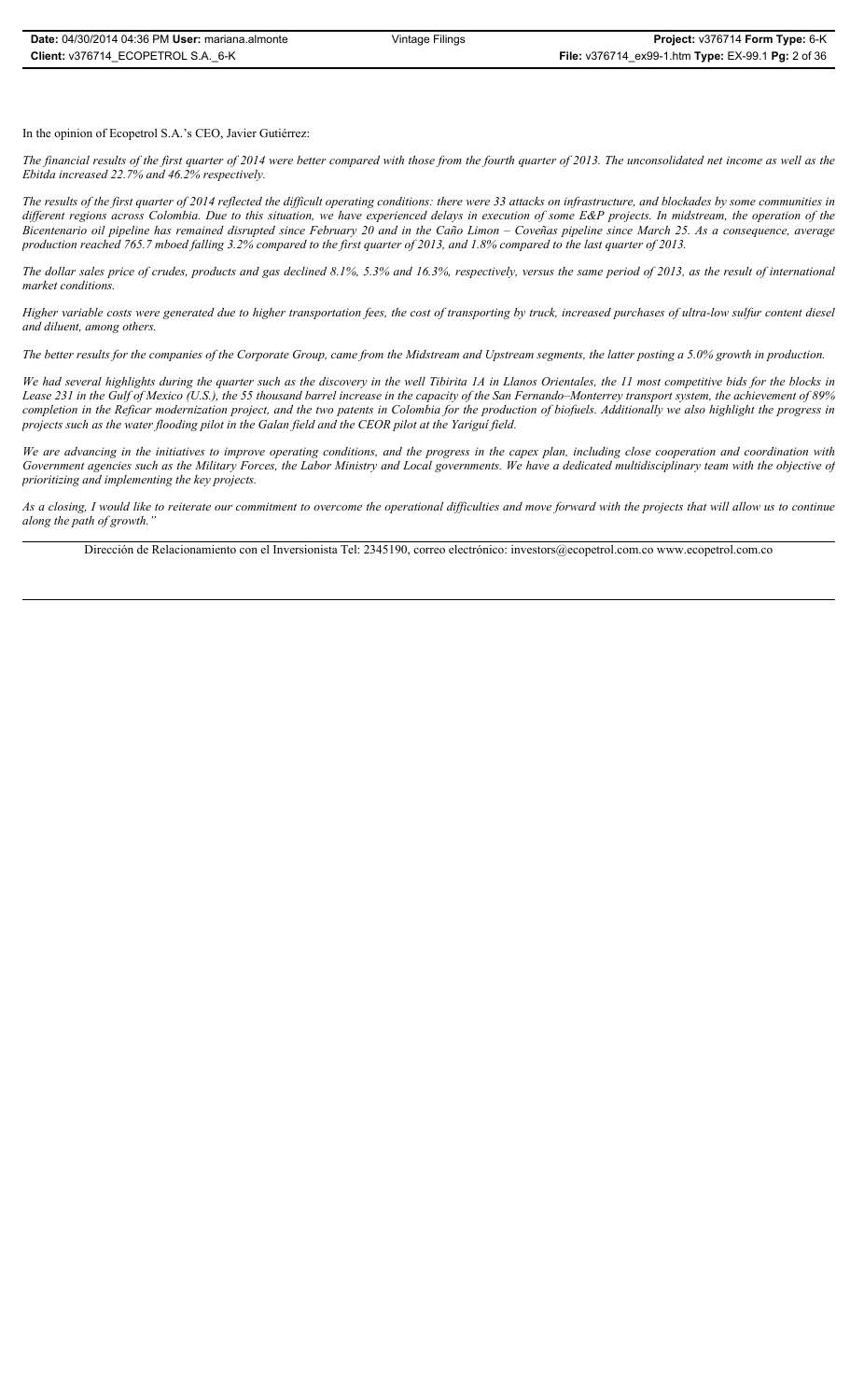In the opinion of Ecopetrol S.A.'s CEO, Javier Gutiérrez:

*The financial results of the first quarter of 2014 were better compared with those from the fourth quarter of 2013. The unconsolidated net income as well as the Ebitda increased 22.7% and 46.2% respectively.* 

*The results of the first quarter of 2014 reflected the difficult operating conditions: there were 33 attacks on infrastructure, and blockades by some communities in different regions across Colombia. Due to this situation, we have experienced delays in execution of some E&P projects. In midstream, the operation of the Bicentenario oil pipeline has remained disrupted since February 20 and in the Caño Limon – Coveñas pipeline since March 25. As a consequence, average production reached 765.7 mboed falling 3.2% compared to the first quarter of 2013, and 1.8% compared to the last quarter of 2013.* 

*The dollar sales price of crudes, products and gas declined 8.1%, 5.3% and 16.3%, respectively, versus the same period of 2013, as the result of international market conditions.* 

*Higher variable costs were generated due to higher transportation fees, the cost of transporting by truck, increased purchases of ultra-low sulfur content diesel and diluent, among others.* 

*The better results for the companies of the Corporate Group, came from the Midstream and Upstream segments, the latter posting a 5.0% growth in production.* 

*We had several highlights during the quarter such as the discovery in the well Tibirita 1A in Llanos Orientales, the 11 most competitive bids for the blocks in Lease 231 in the Gulf of Mexico (U.S.), the 55 thousand barrel increase in the capacity of the San Fernando–Monterrey transport system, the achievement of 89% completion in the Reficar modernization project, and the two patents in Colombia for the production of biofuels. Additionally we also highlight the progress in projects such as the water flooding pilot in the Galan field and the CEOR pilot at the Yariguí field.*

*We are advancing in the initiatives to improve operating conditions, and the progress in the capex plan, including close cooperation and coordination with Government agencies such as the Military Forces, the Labor Ministry and Local governments. We have a dedicated multidisciplinary team with the objective of prioritizing and implementing the key projects.* 

*As a closing, I would like to reiterate our commitment to overcome the operational difficulties and move forward with the projects that will allow us to continue along the path of growth."*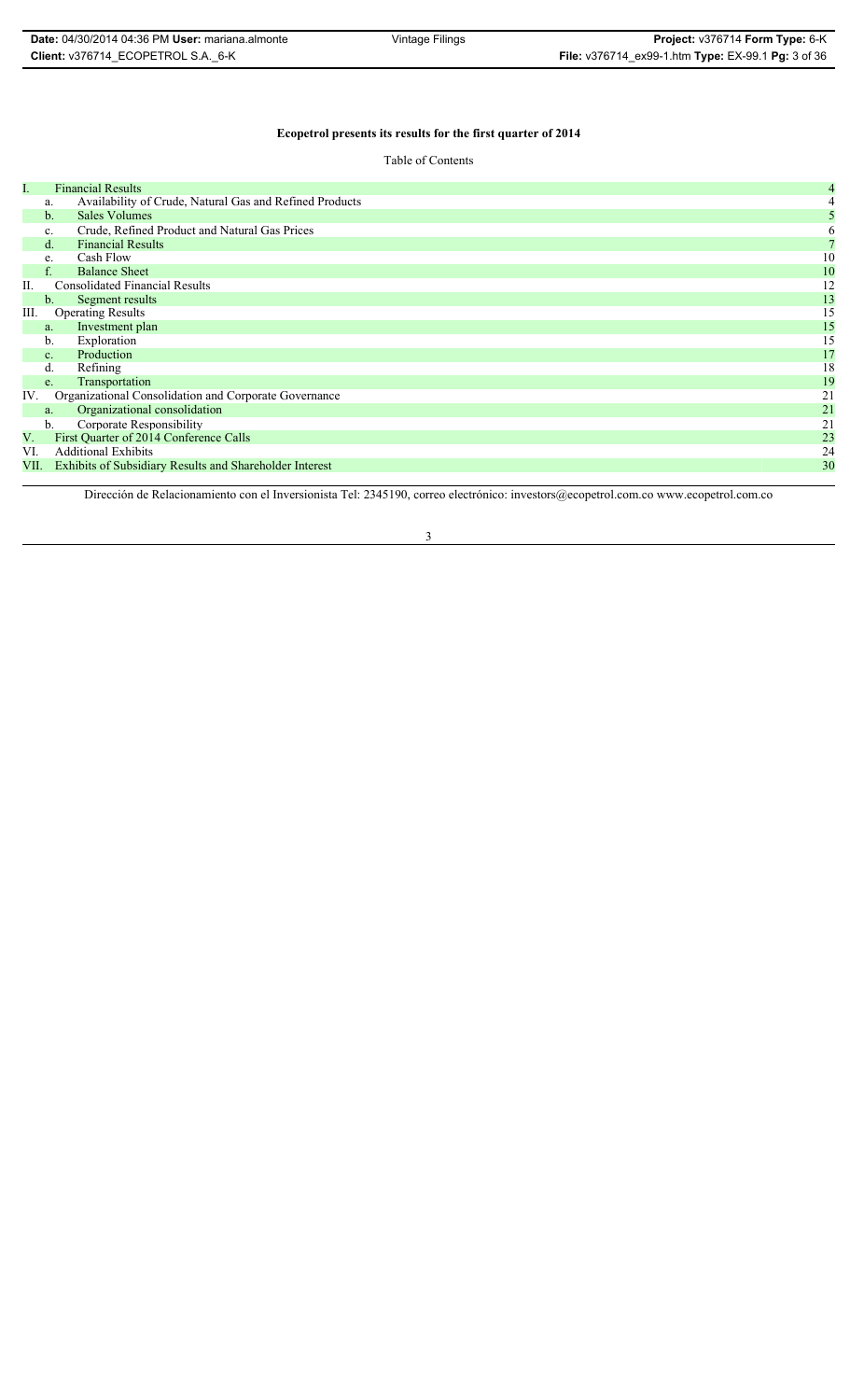# **Ecopetrol presents its results for the first quarter of 2014**

| I.   |                | <b>Financial Results</b>                                       | 4  |
|------|----------------|----------------------------------------------------------------|----|
|      | a.             | Availability of Crude, Natural Gas and Refined Products        |    |
|      | $\mathbf{b}$ . | <b>Sales Volumes</b>                                           |    |
|      | c.             | Crude, Refined Product and Natural Gas Prices                  |    |
|      | $d_{\cdot}$    | <b>Financial Results</b>                                       |    |
|      | e.             | Cash Flow                                                      | 10 |
|      |                | <b>Balance Sheet</b>                                           | 10 |
|      |                | <b>Consolidated Financial Results</b>                          | 12 |
|      | $b_{\cdot}$    | Segment results                                                | 13 |
| Ш.   |                | <b>Operating Results</b>                                       | 15 |
|      | a.             | Investment plan                                                | 15 |
|      | b.             | Exploration                                                    | 15 |
|      | C <sub>1</sub> | Production                                                     | 17 |
|      | d.             | Refining                                                       | 18 |
|      | e.             | Transportation                                                 | 19 |
| IV.  |                | Organizational Consolidation and Corporate Governance          | 21 |
|      | a.             | Organizational consolidation                                   | 21 |
|      | $\mathbf{b}$ . | Corporate Responsibility                                       | 21 |
| V.   |                | First Quarter of 2014 Conference Calls                         | 23 |
| VI.  |                | <b>Additional Exhibits</b>                                     | 24 |
| VII. |                | <b>Exhibits of Subsidiary Results and Shareholder Interest</b> | 30 |
|      |                |                                                                |    |

Dirección de Relacionamiento con el Inversionista Tel: 2345190, correo electrónico: investors@ecopetrol.com.co www.ecopetrol.com.co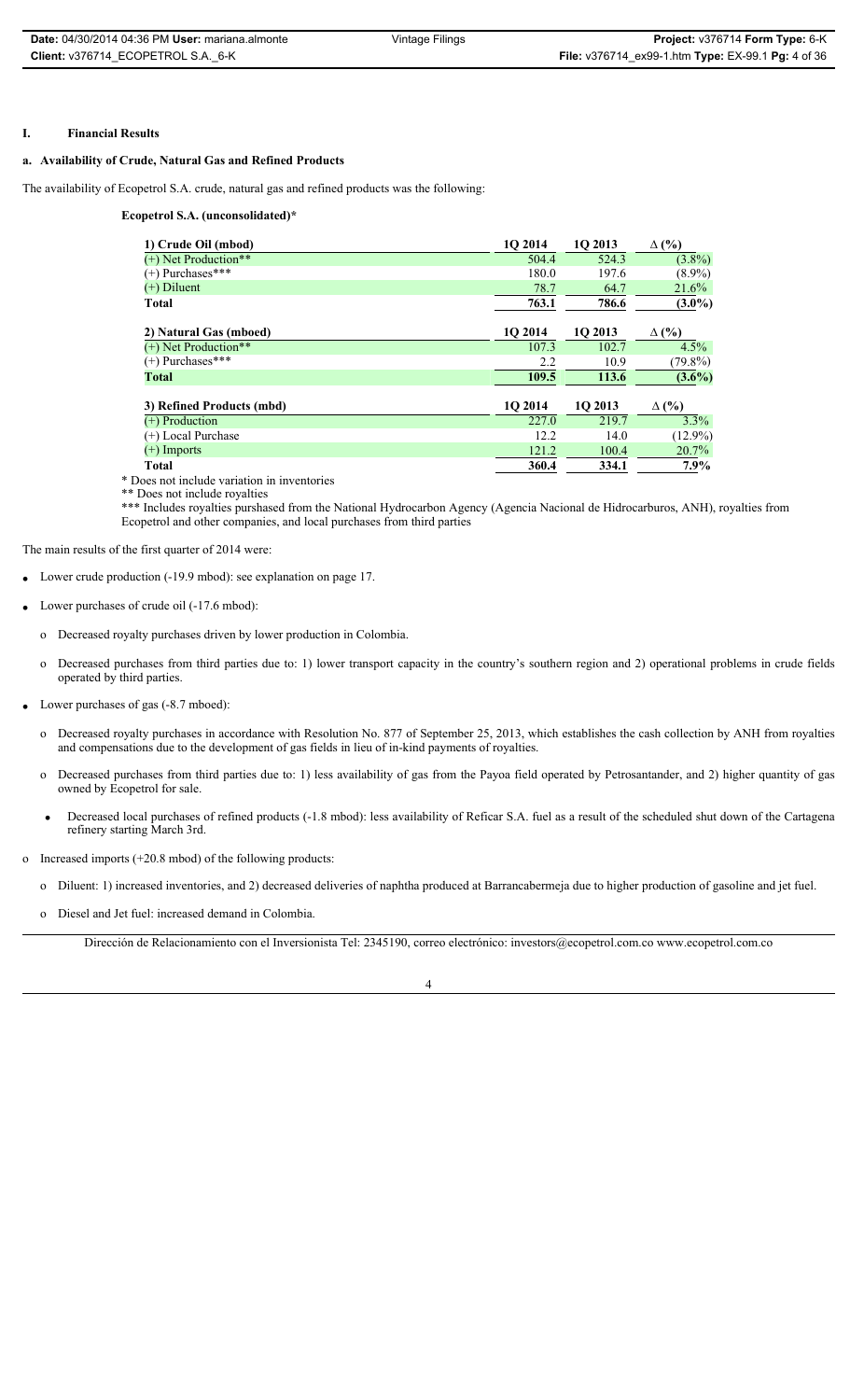### **I. Financial Results**

# **a. Availability of Crude, Natural Gas and Refined Products**

The availability of Ecopetrol S.A. crude, natural gas and refined products was the following:

**Ecopetrol S.A. (unconsolidated)\***

| 1O 2014 | 1O 2013 | $\Delta$ (%) |
|---------|---------|--------------|
| 504.4   | 524.3   | $(3.8\%)$    |
| 180.0   | 197.6   | $(8.9\%)$    |
| 78.7    | 64.7    | 21.6%        |
| 763.1   | 786.6   | $(3.0\%)$    |
| 1Q 2014 | 1Q 2013 | $\Delta$ (%) |
| 107.3   | 102.7   | 4.5%         |
| 2.2     | 10.9    | $(79.8\%)$   |
| 109.5   | 113.6   | $(3.6\%)$    |
| 10 2014 | 10 2013 | $\Delta$ (%) |
| 227.0   | 219.7   | $3.3\%$      |
| 12.2    | 14.0    | $(12.9\%)$   |
| 121.2   | 100.4   | $20.7\%$     |
| 360.4   | 334.1   | $7.9\%$      |
|         |         |              |

\* Does not include variation in inventories

\*\* Does not include royalties

\*\*\* Includes royalties purshased from the National Hydrocarbon Agency (Agencia Nacional de Hidrocarburos, ANH), royalties from Ecopetrol and other companies, and local purchases from third parties

The main results of the first quarter of 2014 were:

- Lower crude production (-19.9 mbod): see explanation on page 17.
- Lower purchases of crude oil (-17.6 mbod):
	- o Decreased royalty purchases driven by lower production in Colombia.
	- o Decreased purchases from third parties due to: 1) lower transport capacity in the country's southern region and 2) operational problems in crude fields operated by third parties.
- Lower purchases of gas (-8.7 mboed):
	- o Decreased royalty purchases in accordance with Resolution No. 877 of September 25, 2013, which establishes the cash collection by ANH from royalties and compensations due to the development of gas fields in lieu of in-kind payments of royalties.
	- o Decreased purchases from third parties due to: 1) less availability of gas from the Payoa field operated by Petrosantander, and 2) higher quantity of gas owned by Ecopetrol for sale.
	- Decreased local purchases of refined products (-1.8 mbod): less availability of Reficar S.A. fuel as a result of the scheduled shut down of the Cartagena refinery starting March 3rd.
- o Increased imports (+20.8 mbod) of the following products:
	- o Diluent: 1) increased inventories, and 2) decreased deliveries of naphtha produced at Barrancabermeja due to higher production of gasoline and jet fuel.
	- o Diesel and Jet fuel: increased demand in Colombia.

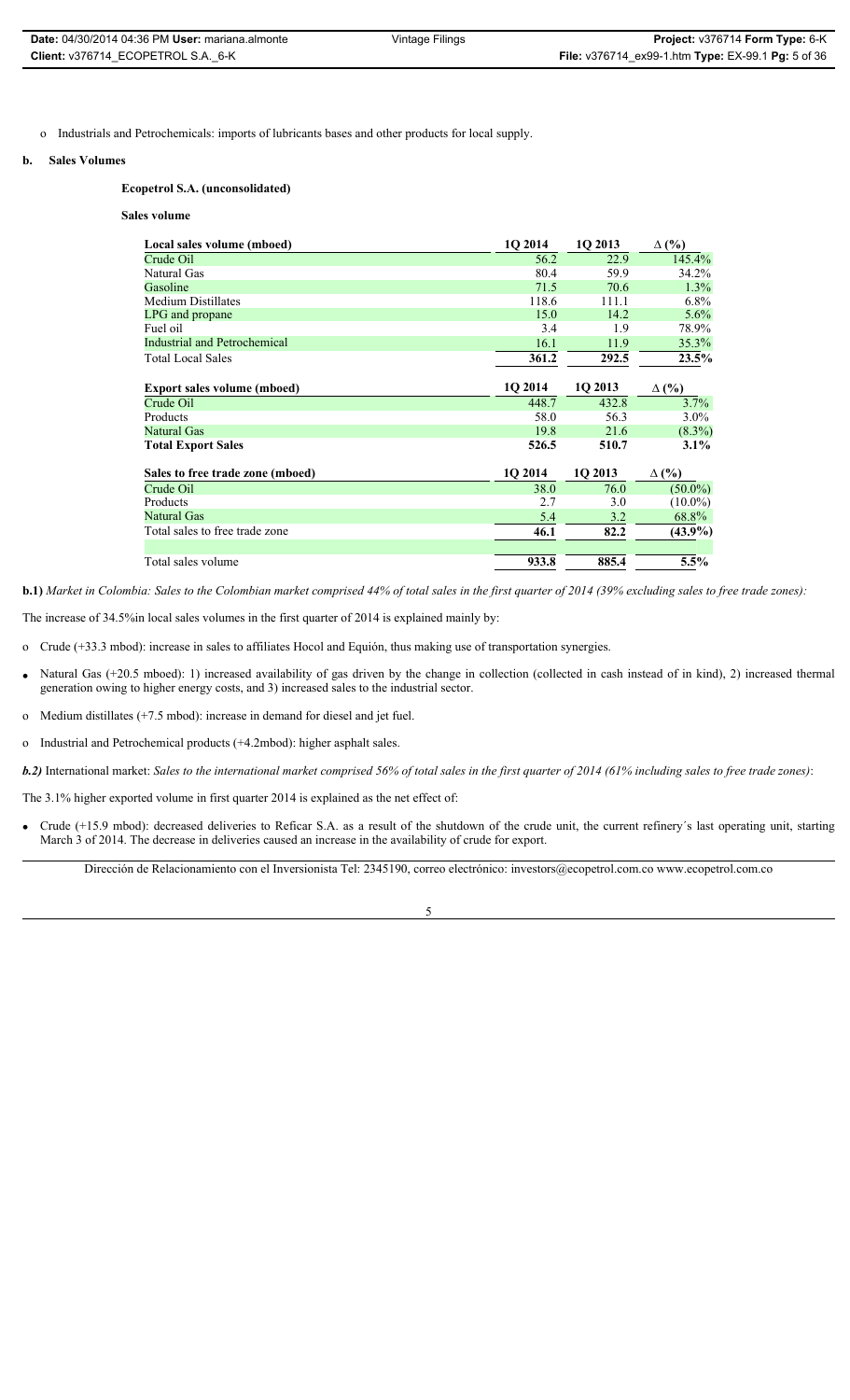| <b>Date: 04/30/2014 04:36 PM User: mariana.almonte</b> | Vintage Filings | Project: v376714 Form Type: 6-K                           |
|--------------------------------------------------------|-----------------|-----------------------------------------------------------|
| Client: v376714 ECOPETROL S.A. 6-K                     |                 | <b>File:</b> v376714_ex99-1.htm Type: EX-99.1 Pg: 5 of 36 |

o Industrials and Petrochemicals: imports of lubricants bases and other products for local supply.

### **b. Sales Volumes**

### **Ecopetrol S.A. (unconsolidated)**

#### **Sales volume**

| Local sales volume (mboed)          | 1O 2014 | 1O 2013 | $\Delta$ (%) |
|-------------------------------------|---------|---------|--------------|
| Crude Oil                           | 56.2    | 22.9    | 145.4%       |
| Natural Gas                         | 80.4    | 59.9    | 34.2%        |
| Gasoline                            | 71.5    | 70.6    | 1.3%         |
| <b>Medium Distillates</b>           | 118.6   | 111.1   | $6.8\%$      |
| LPG and propane                     | 15.0    | 14.2    | 5.6%         |
| Fuel oil                            | 3.4     | 1.9     | 78.9%        |
| <b>Industrial and Petrochemical</b> | 16.1    | 11.9    | 35.3%        |
| <b>Total Local Sales</b>            | 361.2   | 292.5   | 23.5%        |
|                                     |         |         |              |
| <b>Export sales volume (mboed)</b>  | 1O 2014 | 1Q 2013 | $\Delta$ (%) |
| Crude Oil                           | 448.7   | 432.8   | 3.7%         |
| Products                            | 58.0    | 56.3    | $3.0\%$      |
| <b>Natural Gas</b>                  | 19.8    | 21.6    | $(8.3\%)$    |
| <b>Total Export Sales</b>           | 526.5   | 510.7   | $3.1\%$      |
| Sales to free trade zone (mboed)    | 10 2014 | 1Q 2013 | $\Delta$ (%) |
| Crude Oil                           | 38.0    | 76.0    | $(50.0\%)$   |
| Products                            | 2.7     | 3.0     | $(10.0\%)$   |
| <b>Natural Gas</b>                  | 5.4     | 3.2     | 68.8%        |
| Total sales to free trade zone      | 46.1    | 82.2    | $(43.9\%)$   |
| Total sales volume                  | 933.8   | 885.4   | 5.5%         |

**b.1)** *Market in Colombia: Sales to the Colombian market comprised 44% of total sales in the first quarter of 2014 (39% excluding sales to free trade zones):*

The increase of 34.5%in local sales volumes in the first quarter of 2014 is explained mainly by:

- o Crude (+33.3 mbod): increase in sales to affiliates Hocol and Equión, thus making use of transportation synergies.
- Natural Gas (+20.5 mboed): 1) increased availability of gas driven by the change in collection (collected in cash instead of in kind), 2) increased thermal generation owing to higher energy costs, and 3) increased sales to the industrial sector.
- o Medium distillates (+7.5 mbod): increase in demand for diesel and jet fuel.
- o Industrial and Petrochemical products (+4.2mbod): higher asphalt sales.
- *b.2)* International market: *Sales to the international market comprised 56% of total sales in the first quarter of 2014 (61% including sales to free trade zones)*:
- The 3.1% higher exported volume in first quarter 2014 is explained as the net effect of:
- Crude (+15.9 mbod): decreased deliveries to Reficar S.A. as a result of the shutdown of the crude unit, the current refinery's last operating unit, starting March 3 of 2014. The decrease in deliveries caused an increase in the availability of crude for export.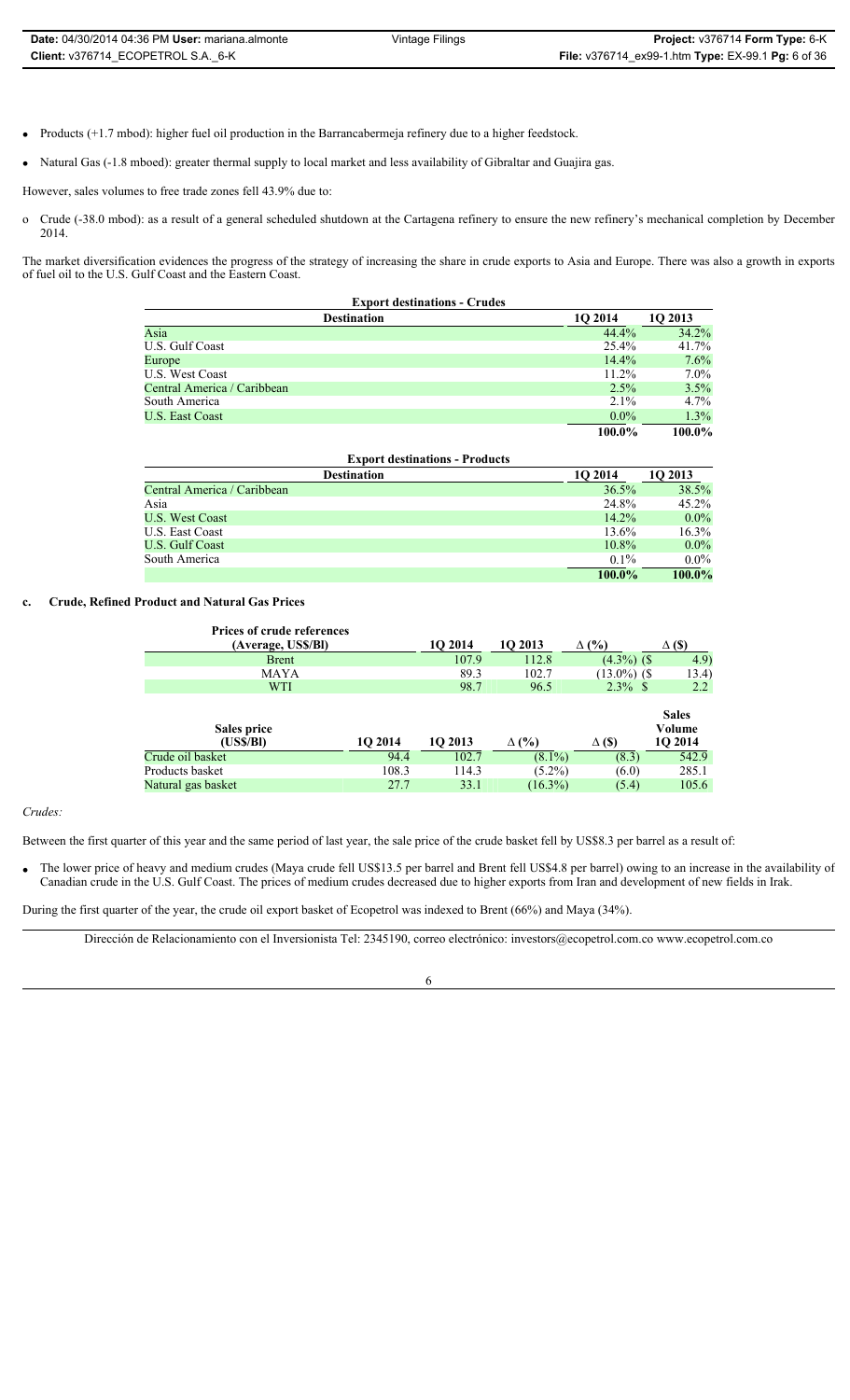- Products (+1.7 mbod): higher fuel oil production in the Barrancabermeja refinery due to a higher feedstock.
- Natural Gas (-1.8 mboed): greater thermal supply to local market and less availability of Gibraltar and Guajira gas.

However, sales volumes to free trade zones fell 43.9% due to:

o Crude (-38.0 mbod): as a result of a general scheduled shutdown at the Cartagena refinery to ensure the new refinery's mechanical completion by December 2014.

The market diversification evidences the progress of the strategy of increasing the share in crude exports to Asia and Europe. There was also a growth in exports of fuel oil to the U.S. Gulf Coast and the Eastern Coast.

| <b>Export destinations - Crudes</b> |          |         |  |  |
|-------------------------------------|----------|---------|--|--|
| <b>Destination</b>                  | 10 2014  | 10 2013 |  |  |
| Asia                                | 44.4%    | 34.2%   |  |  |
| U.S. Gulf Coast                     | 25.4%    | 41.7%   |  |  |
| Europe                              | 14.4%    | 7.6%    |  |  |
| U.S. West Coast                     | $11.2\%$ | 7.0%    |  |  |
| Central America / Caribbean         | $2.5\%$  | 3.5%    |  |  |
| South America                       | $2.1\%$  | 4.7%    |  |  |
| <b>U.S. East Coast</b>              | $0.0\%$  | 1.3%    |  |  |
|                                     | 100.0%   | 100.0%  |  |  |

| <b>Export destinations - Products</b> |          |         |  |  |
|---------------------------------------|----------|---------|--|--|
| <b>Destination</b>                    | 1O 2014  | 10 2013 |  |  |
| Central America / Caribbean           | 36.5%    | 38.5%   |  |  |
| Asia                                  | 24.8%    | 45.2%   |  |  |
| <b>U.S. West Coast</b>                | 14.2%    | $0.0\%$ |  |  |
| U.S. East Coast                       | 13.6%    | 16.3%   |  |  |
| U.S. Gulf Coast                       | $10.8\%$ | $0.0\%$ |  |  |
| South America                         | $0.1\%$  | $0.0\%$ |  |  |
|                                       | 100.0%   | 100.0%  |  |  |

### **c. Crude, Refined Product and Natural Gas Prices**

| <b>Prices of crude references</b> |         |         |              |                 |                                   |
|-----------------------------------|---------|---------|--------------|-----------------|-----------------------------------|
| (Average, US\$/Bl)                |         | 1O 2014 | 10 2013      | $\Delta$ (%)    | $\Delta$ (\$)                     |
| <b>Brent</b>                      |         | 107.9   | 112.8        | $(4.3\%)$ (\$   | 4.9)                              |
| MAYA                              |         | 89.3    | 102.7        | $(13.0\%)$ (\$) | 13.4)                             |
| <b>WTI</b>                        |         | 98.7    | 96.5         | $2.3\%$ \$      | $2.2\,$                           |
| Sales price<br>(US\$/Bl)          | 10 2014 | 10 2013 | $\Delta$ (%) | $\Delta$ (\$)   | <b>Sales</b><br>Volume<br>1Q 2014 |
| Crude oil basket                  | 94.4    | 102.7   | $(8.1\%)$    | (8.3)           | 542.9                             |
| Products basket                   | 108.3   | 114.3   | $(5.2\%)$    | (6.0)           | 285.1                             |
| Natural gas basket                | 27.7    | 33.1    | $(16.3\%)$   | (5.4)           | 105.6                             |

*Crudes:* 

Between the first quarter of this year and the same period of last year, the sale price of the crude basket fell by US\$8.3 per barrel as a result of:

The lower price of heavy and medium crudes (Maya crude fell US\$13.5 per barrel and Brent fell US\$4.8 per barrel) owing to an increase in the availability of Canadian crude in the U.S. Gulf Coast. The prices of medium crudes decreased due to higher exports from Iran and development of new fields in Irak.

During the first quarter of the year, the crude oil export basket of Ecopetrol was indexed to Brent (66%) and Maya (34%).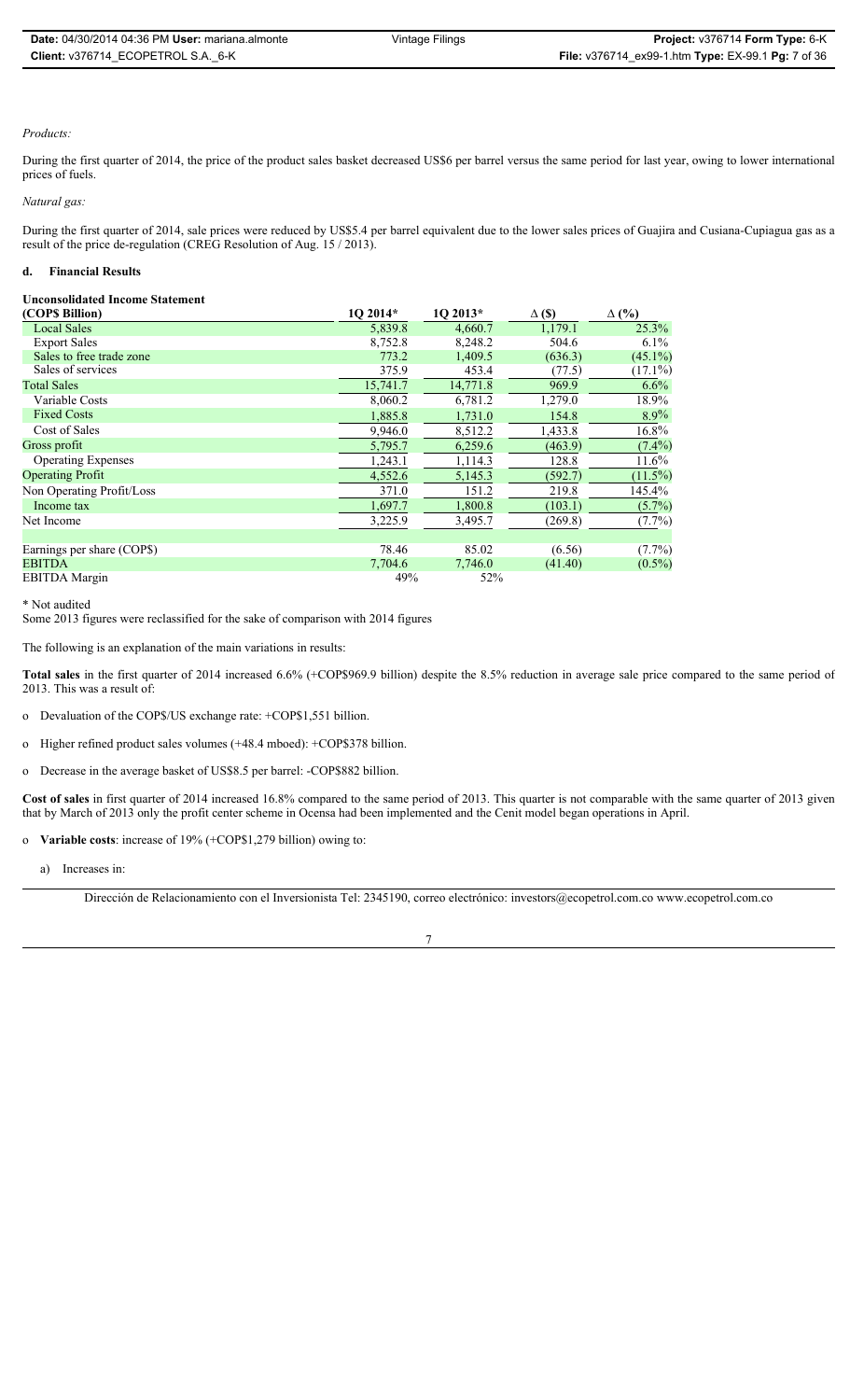### *Products:*

During the first quarter of 2014, the price of the product sales basket decreased US\$6 per barrel versus the same period for last year, owing to lower international prices of fuels.

*Natural gas:* 

During the first quarter of 2014, sale prices were reduced by US\$5.4 per barrel equivalent due to the lower sales prices of Guajira and Cusiana-Cupiagua gas as a result of the price de-regulation (CREG Resolution of Aug. 15 / 2013).

### **d. Financial Results**

### **Unconsolidated Income Statement**

| (COPS Billion)             | 1Q 2014* | 1Q 2013* | $\Delta$ (\$) | $\Delta$ (%) |
|----------------------------|----------|----------|---------------|--------------|
| <b>Local Sales</b>         | 5,839.8  | 4,660.7  | 1,179.1       | 25.3%        |
| <b>Export Sales</b>        | 8,752.8  | 8,248.2  | 504.6         | $6.1\%$      |
| Sales to free trade zone   | 773.2    | 1,409.5  | (636.3)       | $(45.1\%)$   |
| Sales of services          | 375.9    | 453.4    | (77.5)        | $(17.1\%)$   |
| <b>Total Sales</b>         | 15,741.7 | 14,771.8 | 969.9         | 6.6%         |
| Variable Costs             | 8,060.2  | 6,781.2  | 1,279.0       | 18.9%        |
| <b>Fixed Costs</b>         | 1,885.8  | 1,731.0  | 154.8         | 8.9%         |
| Cost of Sales              | 9,946.0  | 8,512.2  | 1,433.8       | 16.8%        |
| Gross profit               | 5,795.7  | 6,259.6  | (463.9)       | $(7.4\%)$    |
| <b>Operating Expenses</b>  | 1,243.1  | 1,114.3  | 128.8         | 11.6%        |
| <b>Operating Profit</b>    | 4,552.6  | 5,145.3  | (592.7)       | $(11.5\%)$   |
| Non Operating Profit/Loss  | 371.0    | 151.2    | 219.8         | 145.4%       |
| Income tax                 | 1,697.7  | 1,800.8  | (103.1)       | $(5.7\%)$    |
| Net Income                 | 3,225.9  | 3,495.7  | (269.8)       | $(7.7\%)$    |
|                            |          |          |               |              |
| Earnings per share (COP\$) | 78.46    | 85.02    | (6.56)        | $(7.7\%)$    |
| <b>EBITDA</b>              | 7,704.6  | 7,746.0  | (41.40)       | $(0.5\%)$    |
| <b>EBITDA</b> Margin       | 49%      | 52%      |               |              |

\* Not audited

Some 2013 figures were reclassified for the sake of comparison with 2014 figures

The following is an explanation of the main variations in results:

**Total sales** in the first quarter of 2014 increased 6.6% (+COP\$969.9 billion) despite the 8.5% reduction in average sale price compared to the same period of 2013. This was a result of:

o Devaluation of the COP\$/US exchange rate: +COP\$1,551 billion.

o Higher refined product sales volumes (+48.4 mboed): +COP\$378 billion.

o Decrease in the average basket of US\$8.5 per barrel: -COP\$882 billion.

**Cost of sales** in first quarter of 2014 increased 16.8% compared to the same period of 2013. This quarter is not comparable with the same quarter of 2013 given that by March of 2013 only the profit center scheme in Ocensa had been implemented and the Cenit model began operations in April.

o **Variable costs**: increase of 19% (+COP\$1,279 billion) owing to:

a) Increases in:

Dirección de Relacionamiento con el Inversionista Tel: 2345190, correo electrónico: investors@ecopetrol.com.co www.ecopetrol.com.co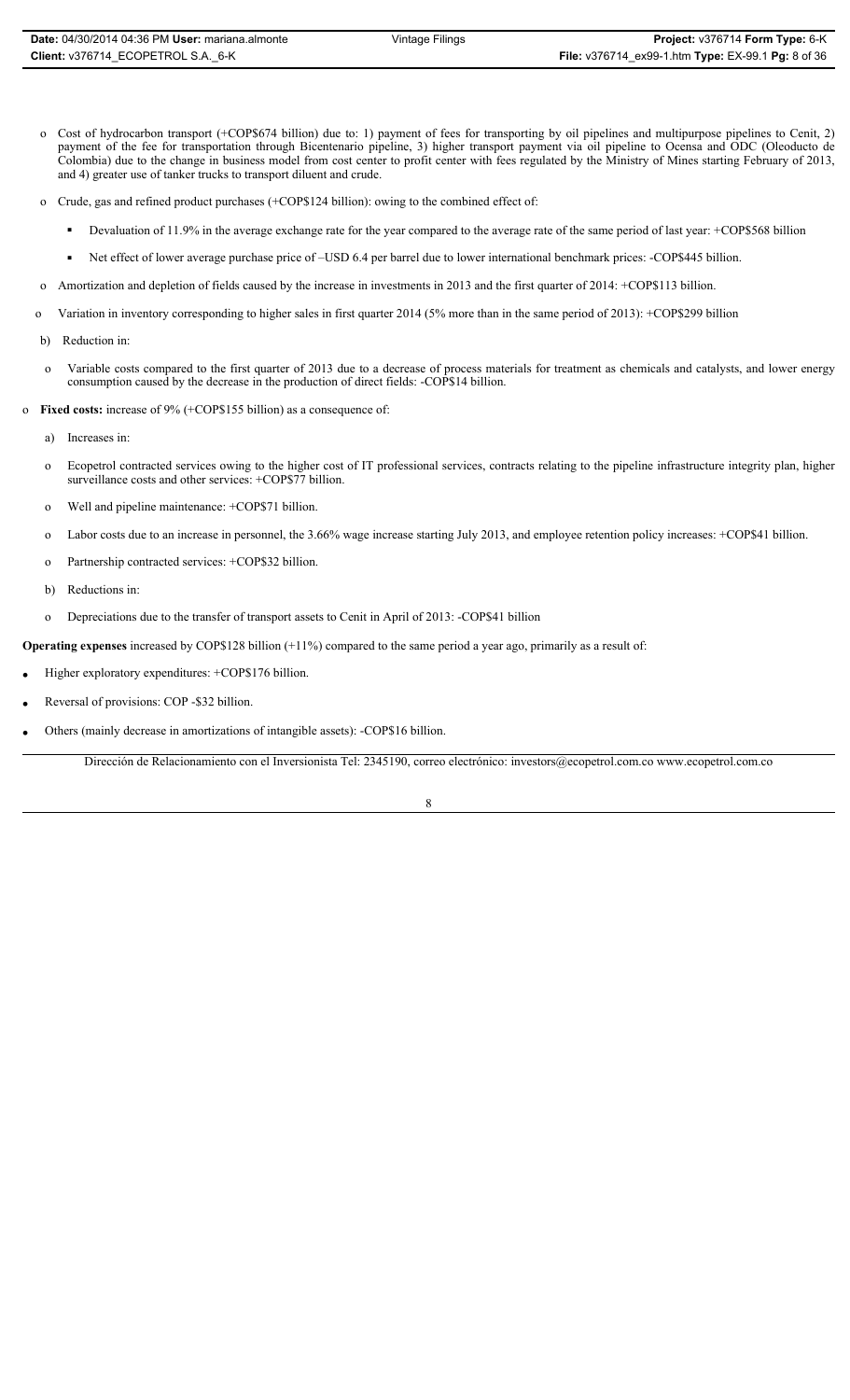- o Cost of hydrocarbon transport (+COP\$674 billion) due to: 1) payment of fees for transporting by oil pipelines and multipurpose pipelines to Cenit, 2) payment of the fee for transportation through Bicentenario pipeline, 3) higher transport payment via oil pipeline to Ocensa and ODC (Oleoducto de Colombia) due to the change in business model from cost center to profit center with fees regulated by the Ministry of Mines starting February of 2013, and 4) greater use of tanker trucks to transport diluent and crude.
- o Crude, gas and refined product purchases (+COP\$124 billion): owing to the combined effect of:
	- Devaluation of 11.9% in the average exchange rate for the year compared to the average rate of the same period of last year: +COP\$568 billion
	- Net effect of lower average purchase price of –USD 6.4 per barrel due to lower international benchmark prices: -COP\$445 billion.
- o Amortization and depletion of fields caused by the increase in investments in 2013 and the first quarter of 2014: +COP\$113 billion.
- o Variation in inventory corresponding to higher sales in first quarter 2014 (5% more than in the same period of 2013): +COP\$299 billion
- b) Reduction in:
- o Variable costs compared to the first quarter of 2013 due to a decrease of process materials for treatment as chemicals and catalysts, and lower energy consumption caused by the decrease in the production of direct fields: -COP\$14 billion.
- o **Fixed costs:** increase of 9% (+COP\$155 billion) as a consequence of:
	- a) Increases in:
	- o Ecopetrol contracted services owing to the higher cost of IT professional services, contracts relating to the pipeline infrastructure integrity plan, higher surveillance costs and other services: +COP\$77 billion.
	- o Well and pipeline maintenance: +COP\$71 billion.
	- o Labor costs due to an increase in personnel, the 3.66% wage increase starting July 2013, and employee retention policy increases: +COP\$41 billion.
	- o Partnership contracted services: +COP\$32 billion.
	- b) Reductions in:
	- o Depreciations due to the transfer of transport assets to Cenit in April of 2013: -COP\$41 billion

**Operating expenses** increased by COP\$128 billion (+11%) compared to the same period a year ago, primarily as a result of:

- Higher exploratory expenditures: +COP\$176 billion.
- Reversal of provisions: COP -\$32 billion.
- Others (mainly decrease in amortizations of intangible assets): -COP\$16 billion.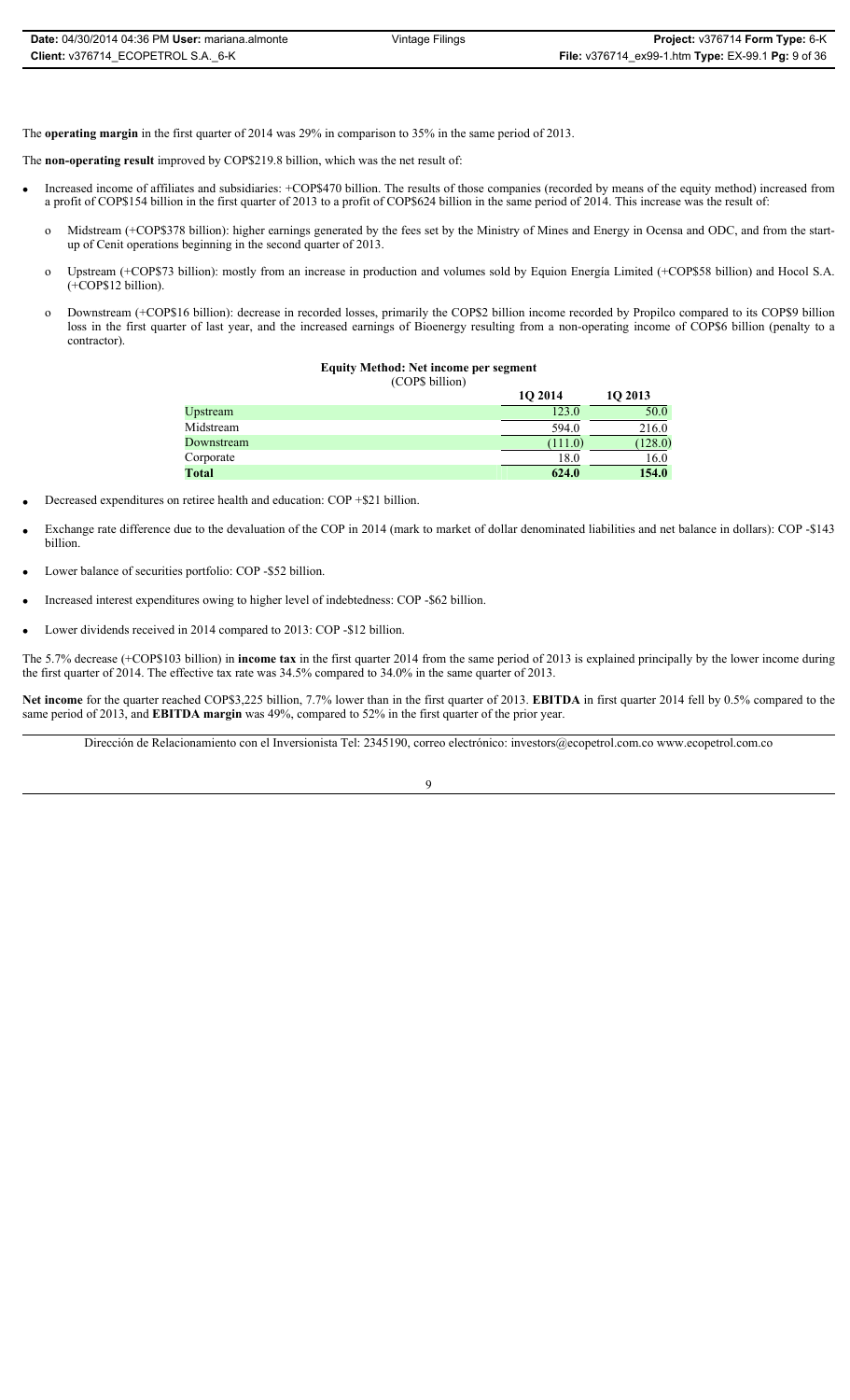The **operating margin** in the first quarter of 2014 was 29% in comparison to 35% in the same period of 2013.

The **non-operating result** improved by COP\$219.8 billion, which was the net result of:

- Increased income of affiliates and subsidiaries: +COP\$470 billion. The results of those companies (recorded by means of the equity method) increased from a profit of COP\$154 billion in the first quarter of 2013 to a profit of COP\$624 billion in the same period of 2014. This increase was the result of:
	- o Midstream (+COP\$378 billion): higher earnings generated by the fees set by the Ministry of Mines and Energy in Ocensa and ODC, and from the startup of Cenit operations beginning in the second quarter of 2013.
	- o Upstream (+COP\$73 billion): mostly from an increase in production and volumes sold by Equion Energía Limited (+COP\$58 billion) and Hocol S.A. (+COP\$12 billion).
	- o Downstream (+COP\$16 billion): decrease in recorded losses, primarily the COP\$2 billion income recorded by Propilco compared to its COP\$9 billion loss in the first quarter of last year, and the increased earnings of Bioenergy resulting from a non-operating income of COP\$6 billion (penalty to a contractor).

### **Equity Method: Net income per segment**

(COP\$ billion)

|         | 10 2013 |
|---------|---------|
| 123.0   | 50.0    |
| 594.0   | 216.0   |
| (111.0) | (128.0) |
| 18.0    | 16.0    |
| 624.0   | 154.0   |
|         | 10 2014 |

- Decreased expenditures on retiree health and education: COP +\$21 billion.
- Exchange rate difference due to the devaluation of the COP in 2014 (mark to market of dollar denominated liabilities and net balance in dollars): COP -\$143 billion.
- Lower balance of securities portfolio: COP -\$52 billion.
- x Increased interest expenditures owing to higher level of indebtedness: COP -\$62 billion.
- Lower dividends received in 2014 compared to 2013: COP -\$12 billion.

The 5.7% decrease (+COP\$103 billion) in **income tax** in the first quarter 2014 from the same period of 2013 is explained principally by the lower income during the first quarter of 2014. The effective tax rate was 34.5% compared to 34.0% in the same quarter of 2013.

**Net income** for the quarter reached COP\$3,225 billion, 7.7% lower than in the first quarter of 2013. **EBITDA** in first quarter 2014 fell by 0.5% compared to the same period of 2013, and **EBITDA margin** was 49%, compared to 52% in the first quarter of the prior year.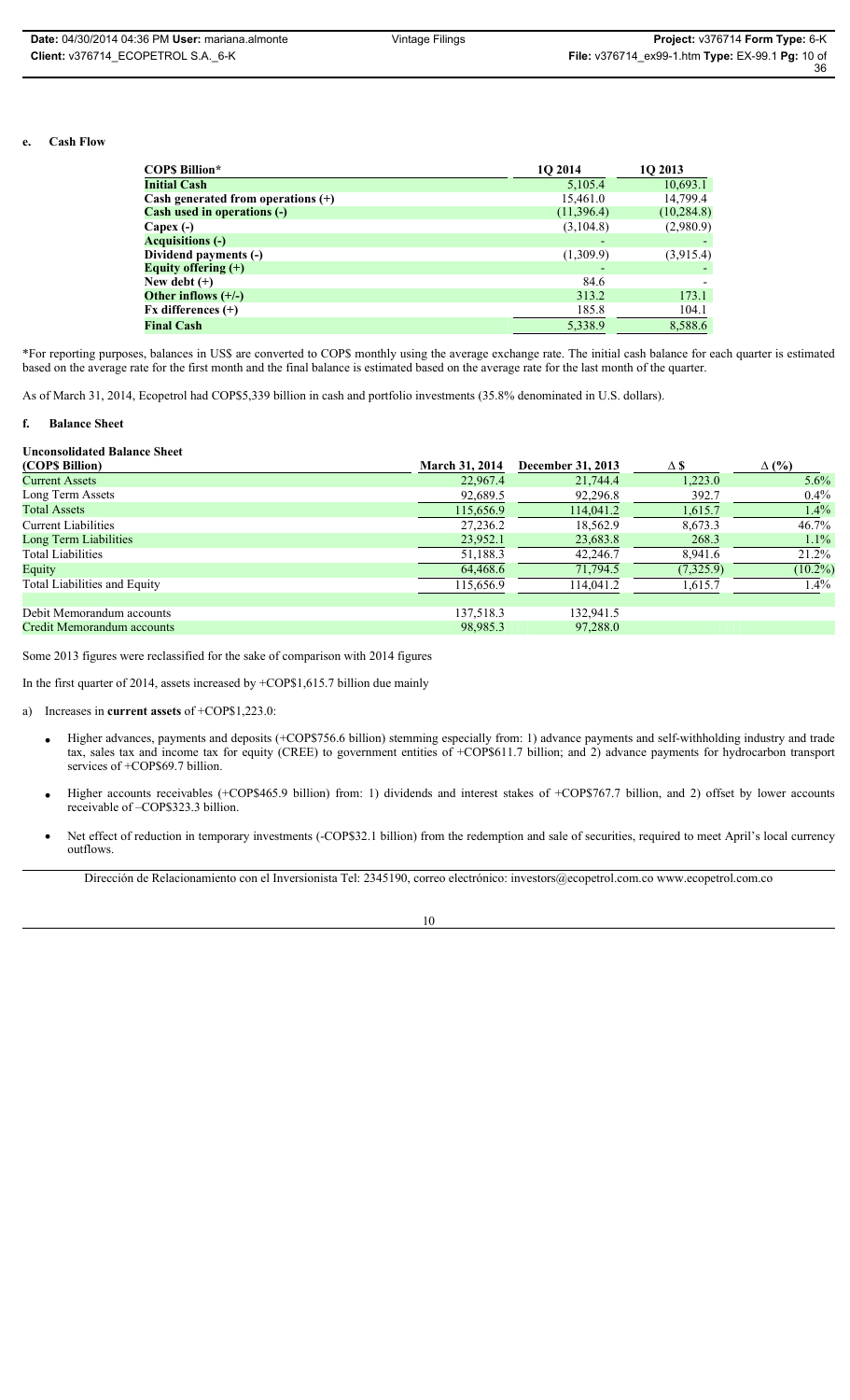#### **e. Cash Flow**

| <b>COPS Billion*</b>                 | 10 2014    | 1Q 2013     |
|--------------------------------------|------------|-------------|
| <b>Initial Cash</b>                  | 5,105.4    | 10,693.1    |
| Cash generated from operations $(+)$ | 15,461.0   | 14,799.4    |
| <b>Cash used in operations (-)</b>   | (11,396.4) | (10, 284.8) |
| Capex $(-)$                          | (3,104.8)  | (2,980.9)   |
| <b>Acquisitions (-)</b>              | -          |             |
| Dividend payments (-)                | (1,309.9)  | (3,915.4)   |
| Equity offering $(+)$                |            |             |
| New debt $(+)$                       | 84.6       |             |
| Other inflows $(+/-)$                | 313.2      | 173.1       |
| $Fx$ differences $(+)$               | 185.8      | 104.1       |
| <b>Final Cash</b>                    | 5,338.9    | 8,588.6     |

\*For reporting purposes, balances in US\$ are converted to COP\$ monthly using the average exchange rate. The initial cash balance for each quarter is estimated based on the average rate for the first month and the final balance is estimated based on the average rate for the last month of the quarter.

As of March 31, 2014, Ecopetrol had COP\$5,339 billion in cash and portfolio investments (35.8% denominated in U.S. dollars).

#### **f. Balance Sheet**

#### **Unconsolidated Balance Sheet**

| <b>March 31, 2014</b> | December 31, 2013 | ΔS        | $\Delta$ (%) |
|-----------------------|-------------------|-----------|--------------|
| 22,967.4              | 21,744.4          | 1,223.0   | $5.6\%$      |
| 92,689.5              | 92,296.8          | 392.7     | $0.4\%$      |
| 115,656.9             | 114,041.2         | 1,615.7   | $1.4\%$      |
| 27,236.2              | 18,562.9          | 8.673.3   | 46.7%        |
| 23,952.1              | 23,683.8          | 268.3     | $1.1\%$      |
| 51,188.3              | 42,246.7          | 8,941.6   | 21.2%        |
| 64,468.6              | 71,794.5          | (7,325.9) | $(10.2\%)$   |
| 115,656.9             | 114,041.2         | 1,615.7   | $1.4\%$      |
|                       |                   |           |              |
| 137,518.3             | 132.941.5         |           |              |
| 98,985.3              | 97,288.0          |           |              |
|                       |                   |           |              |

Some 2013 figures were reclassified for the sake of comparison with 2014 figures

In the first quarter of 2014, assets increased by +COP\$1,615.7 billion due mainly

a) Increases in **current assets** of +COP\$1,223.0:

- x Higher advances, payments and deposits (+COP\$756.6 billion) stemming especially from: 1) advance payments and self-withholding industry and trade tax, sales tax and income tax for equity (CREE) to government entities of +COP\$611.7 billion; and 2) advance payments for hydrocarbon transport services of +COP\$69.7 billion.
- Higher accounts receivables (+COP\$465.9 billion) from: 1) dividends and interest stakes of +COP\$767.7 billion, and 2) offset by lower accounts receivable of –COP\$323.3 billion.
- Net effect of reduction in temporary investments (-COP\$32.1 billion) from the redemption and sale of securities, required to meet April's local currency outflows.

Dirección de Relacionamiento con el Inversionista Tel: 2345190, correo electrónico: investors@ecopetrol.com.co www.ecopetrol.com.co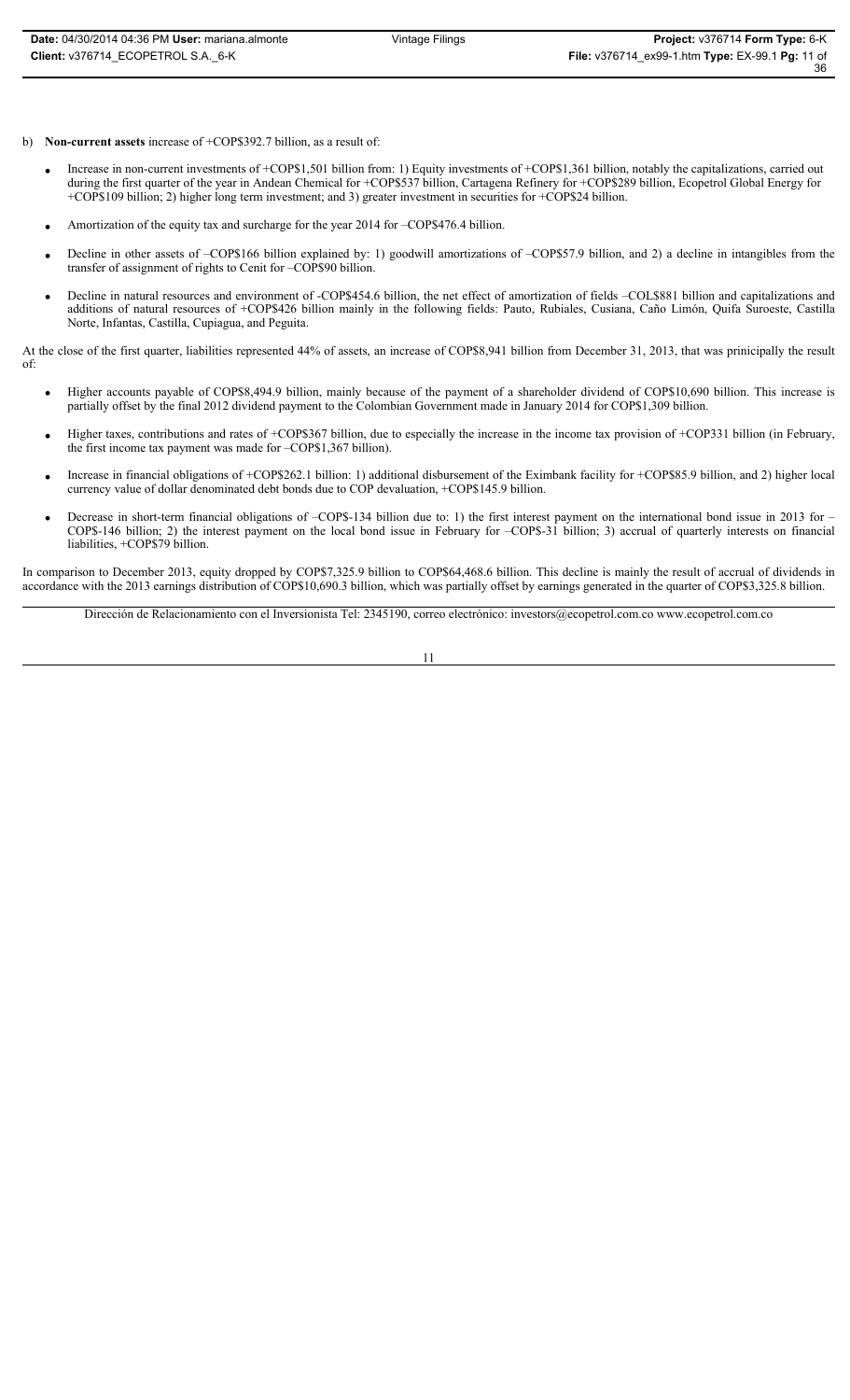- b) **Non-current assets** increase of +COP\$392.7 billion, as a result of:
	- Increase in non-current investments of +COP\$1,501 billion from: 1) Equity investments of +COP\$1,361 billion, notably the capitalizations, carried out during the first quarter of the year in Andean Chemical for +COP\$537 billion, Cartagena Refinery for +COP\$289 billion, Ecopetrol Global Energy for +COP\$109 billion; 2) higher long term investment; and 3) greater investment in securities for +COP\$24 billion.
	- Amortization of the equity tax and surcharge for the year 2014 for –COP\$476.4 billion.
	- Decline in other assets of –COP\$166 billion explained by: 1) goodwill amortizations of –COP\$57.9 billion, and 2) a decline in intangibles from the transfer of assignment of rights to Cenit for –COP\$90 billion.
	- Decline in natural resources and environment of -COP\$454.6 billion, the net effect of amortization of fields -COL\$881 billion and capitalizations and additions of natural resources of +COP\$426 billion mainly in the following fields: Pauto, Rubiales, Cusiana, Caño Limón, Quifa Suroeste, Castilla Norte, Infantas, Castilla, Cupiagua, and Peguita.

At the close of the first quarter, liabilities represented 44% of assets, an increase of COP\$8,941 billion from December 31, 2013, that was prinicipally the result of:

- x Higher accounts payable of COP\$8,494.9 billion, mainly because of the payment of a shareholder dividend of COP\$10,690 billion. This increase is partially offset by the final 2012 dividend payment to the Colombian Government made in January 2014 for COP\$1,309 billion.
- Higher taxes, contributions and rates of +COP\$367 billion, due to especially the increase in the income tax provision of +COP331 billion (in February, the first income tax payment was made for –COP\$1,367 billion).
- x Increase in financial obligations of +COP\$262.1 billion: 1) additional disbursement of the Eximbank facility for +COP\$85.9 billion, and 2) higher local currency value of dollar denominated debt bonds due to COP devaluation, +COP\$145.9 billion.
- Decrease in short-term financial obligations of -COP\$-134 billion due to: 1) the first interest payment on the international bond issue in 2013 for -COP\$-146 billion; 2) the interest payment on the local bond issue in February for –COP\$-31 billion; 3) accrual of quarterly interests on financial liabilities, +COP\$79 billion.

In comparison to December 2013, equity dropped by COP\$7,325.9 billion to COP\$64,468.6 billion. This decline is mainly the result of accrual of dividends in accordance with the 2013 earnings distribution of COP\$10,690.3 billion, which was partially offset by earnings generated in the quarter of COP\$3,325.8 billion.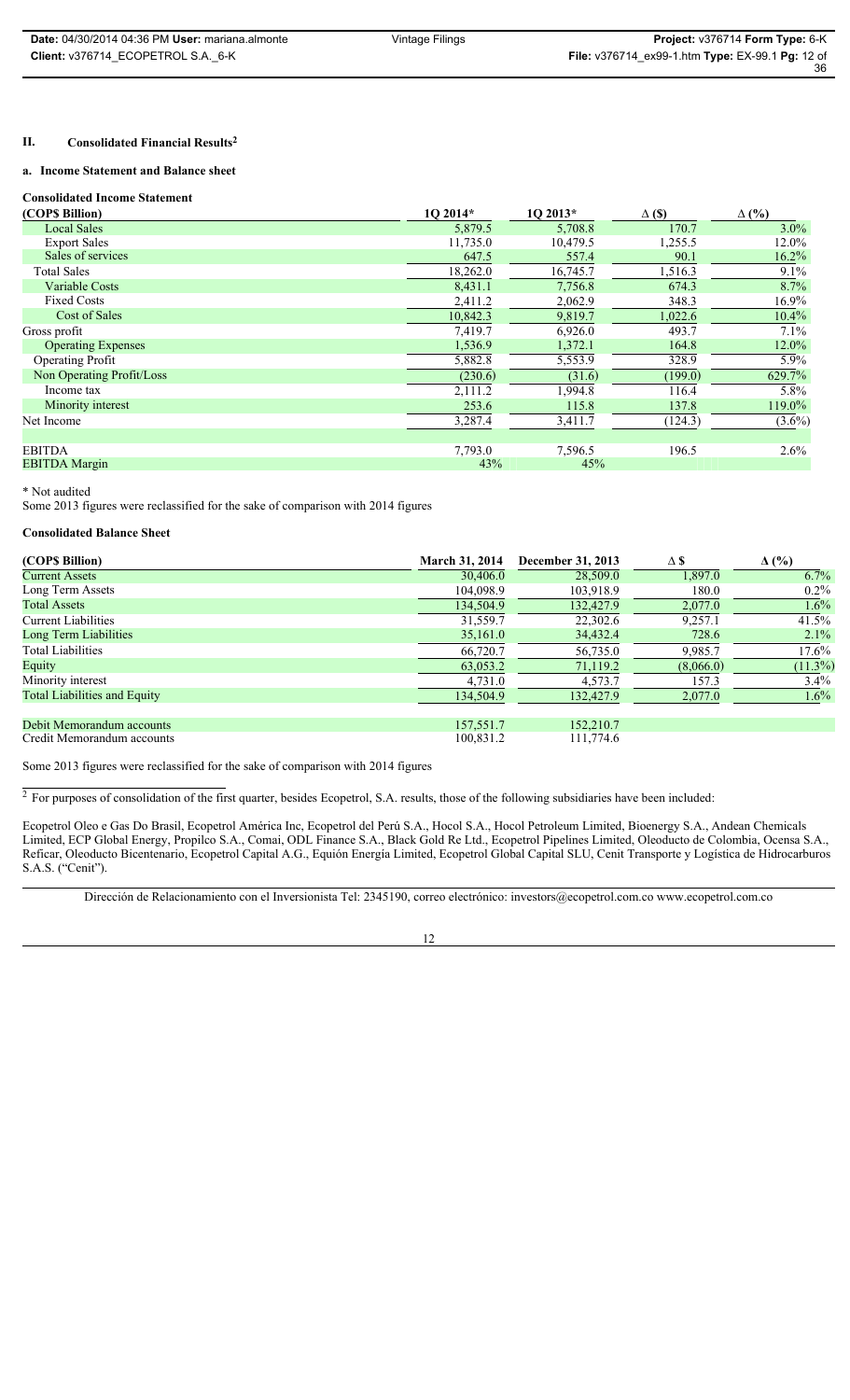### **II. Consolidated Financial Results2**

### **a. Income Statement and Balance sheet**

**Consolidated Income Statement**

| Consondated Income Statement |          |          |               |              |
|------------------------------|----------|----------|---------------|--------------|
| (COP\$ Billion)              | 1O 2014* | 1O 2013* | $\Delta$ (\$) | $\Delta$ (%) |
| <b>Local Sales</b>           | 5,879.5  | 5,708.8  | 170.7         | $3.0\%$      |
| <b>Export Sales</b>          | 11,735.0 | 10,479.5 | 1,255.5       | 12.0%        |
| Sales of services            | 647.5    | 557.4    | 90.1          | $16.2\%$     |
| <b>Total Sales</b>           | 18,262.0 | 16,745.7 | 1,516.3       | $9.1\%$      |
| Variable Costs               | 8,431.1  | 7,756.8  | 674.3         | 8.7%         |
| <b>Fixed Costs</b>           | 2,411.2  | 2,062.9  | 348.3         | $16.9\%$     |
| Cost of Sales                | 10,842.3 | 9,819.7  | 1,022.6       | $10.4\%$     |
| Gross profit                 | 7,419.7  | 6,926.0  | 493.7         | $7.1\%$      |
| <b>Operating Expenses</b>    | 1,536.9  | 1,372.1  | 164.8         | 12.0%        |
| <b>Operating Profit</b>      | 5,882.8  | 5,553.9  | 328.9         | $5.9\%$      |
| Non Operating Profit/Loss    | (230.6)  | (31.6)   | (199.0)       | 629.7%       |
| Income tax                   | 2,111.2  | 1,994.8  | 116.4         | 5.8%         |
| Minority interest            | 253.6    | 115.8    | 137.8         | 119.0%       |
| Net Income                   | 3,287.4  | 3,411.7  | (124.3)       | $(3.6\%)$    |
| <b>EBITDA</b>                | 7,793.0  | 7,596.5  | 196.5         | $2.6\%$      |
| <b>EBITDA</b> Margin         | 43%      | 45%      |               |              |

\* Not audited

Some 2013 figures were reclassified for the sake of comparison with 2014 figures

### **Consolidated Balance Sheet**

| (COP\$ Billion)                     | <b>March 31, 2014</b> | December 31, 2013 | $\Delta$ \$ | $\Delta$ (%) |
|-------------------------------------|-----------------------|-------------------|-------------|--------------|
| <b>Current Assets</b>               | 30,406.0              | 28,509.0          | 1,897.0     | 6.7%         |
| Long Term Assets                    | 104,098.9             | 103,918.9         | 180.0       | $0.2\%$      |
| <b>Total Assets</b>                 | 134,504.9             | 132,427.9         | 2,077.0     | $1.6\%$      |
| <b>Current Liabilities</b>          | 31,559.7              | 22,302.6          | 9,257.1     | 41.5%        |
| Long Term Liabilities               | 35,161.0              | 34,432.4          | 728.6       | $2.1\%$      |
| Total Liabilities                   | 66,720.7              | 56,735.0          | 9,985.7     | $17.6\%$     |
| Equity                              | 63,053.2              | 71,119.2          | (8,066.0)   | $(11.3\%)$   |
| Minority interest                   | 4,731.0               | 4,573.7           | 157.3       | $3.4\%$      |
| <b>Total Liabilities and Equity</b> | 134,504.9             | 132,427.9         | 2,077.0     | $1.6\%$      |
|                                     |                       |                   |             |              |
| Debit Memorandum accounts           | 157,551.7             | 152,210.7         |             |              |
| Credit Memorandum accounts          | 100,831.2             | 111,774.6         |             |              |

Some 2013 figures were reclassified for the sake of comparison with 2014 figures

 $2$  For purposes of consolidation of the first quarter, besides Ecopetrol, S.A. results, those of the following subsidiaries have been included:

Ecopetrol Oleo e Gas Do Brasil, Ecopetrol América Inc, Ecopetrol del Perú S.A., Hocol S.A., Hocol Petroleum Limited, Bioenergy S.A., Andean Chemicals Limited, ECP Global Energy, Propilco S.A., Comai, ODL Finance S.A., Black Gold Re Ltd., Ecopetrol Pipelines Limited, Oleoducto de Colombia, Ocensa S.A., Reficar, Oleoducto Bicentenario, Ecopetrol Capital A.G., Equión Energía Limited, Ecopetrol Global Capital SLU, Cenit Transporte y Logística de Hidrocarburos S.A.S. ("Cenit").

Dirección de Relacionamiento con el Inversionista Tel: 2345190, correo electrónico: investors@ecopetrol.com.co www.ecopetrol.com.co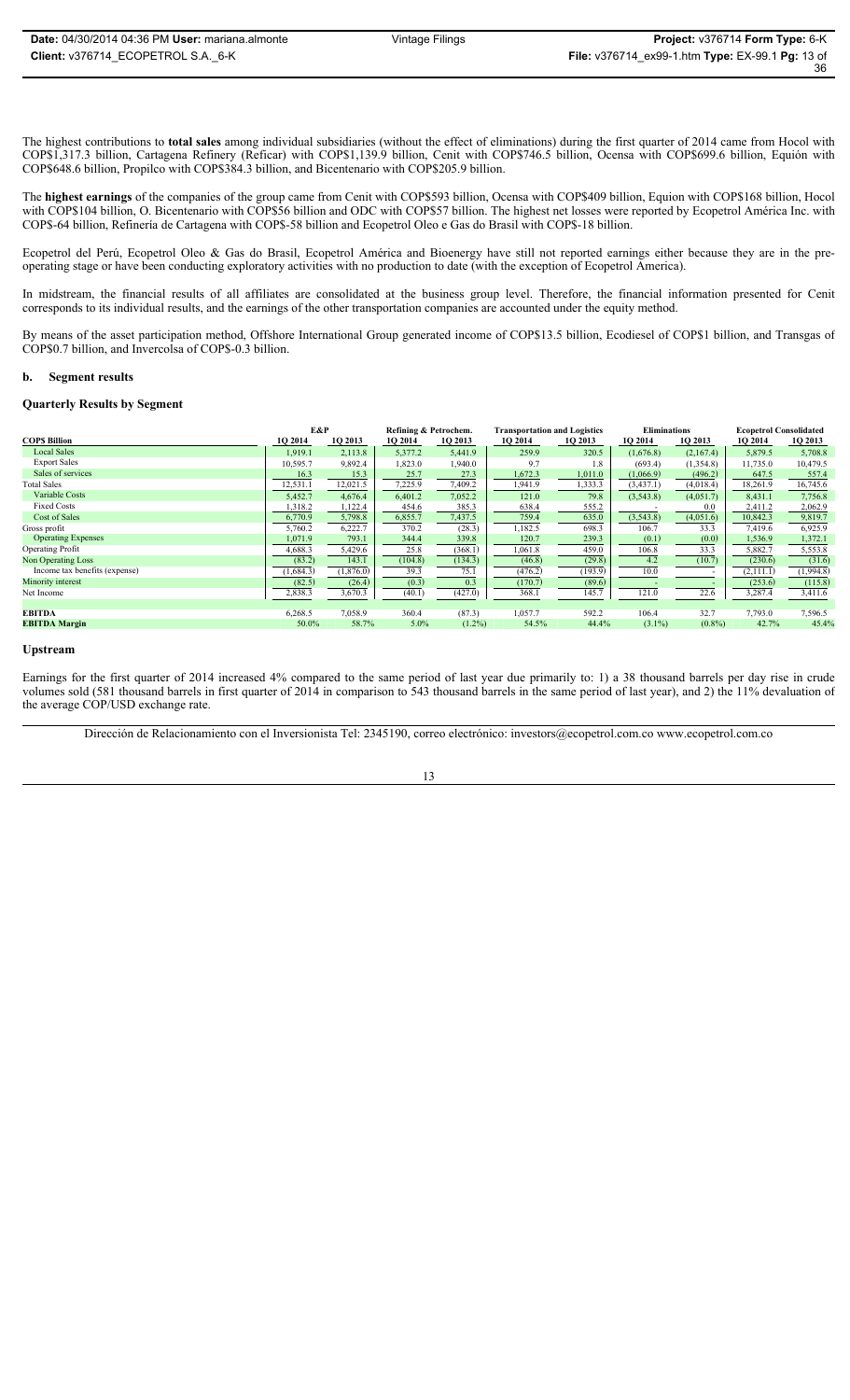The highest contributions to **total sales** among individual subsidiaries (without the effect of eliminations) during the first quarter of 2014 came from Hocol with COP\$1,317.3 billion, Cartagena Refinery (Reficar) with COP\$1,139.9 billion, Cenit with COP\$746.5 billion, Ocensa with COP\$699.6 billion, Equión with COP\$648.6 billion, Propilco with COP\$384.3 billion, and Bicentenario with COP\$205.9 billion.

The **highest earnings** of the companies of the group came from Cenit with COP\$593 billion, Ocensa with COP\$409 billion, Equion with COP\$168 billion, Hocol with COP\$104 billion, O. Bicentenario with COP\$56 billion and ODC with COP\$57 billion. The highest net losses were reported by Ecopetrol América Inc. with COP\$-64 billion, Refinería de Cartagena with COP\$-58 billion and Ecopetrol Oleo e Gas do Brasil with COP\$-18 billion.

Ecopetrol del Perú, Ecopetrol Oleo & Gas do Brasil, Ecopetrol América and Bioenergy have still not reported earnings either because they are in the preoperating stage or have been conducting exploratory activities with no production to date (with the exception of Ecopetrol America).

In midstream, the financial results of all affiliates are consolidated at the business group level. Therefore, the financial information presented for Cenit corresponds to its individual results, and the earnings of the other transportation companies are accounted under the equity method.

By means of the asset participation method, Offshore International Group generated income of COP\$13.5 billion, Ecodiesel of COP\$1 billion, and Transgas of COP\$0.7 billion, and Invercolsa of COP\$-0.3 billion.

#### **b. Segment results**

#### **Quarterly Results by Segment**

|                               | E&P       |           | Refining & Petrochem. |           | <b>Transportation and Logistics</b> |         | <b>Eliminations</b> |           | <b>Ecopetrol Consolidated</b> |           |
|-------------------------------|-----------|-----------|-----------------------|-----------|-------------------------------------|---------|---------------------|-----------|-------------------------------|-----------|
| <b>COPS Billion</b>           | 1Q 2014   | 1Q 2013   | 1Q 2014               | 1Q 2013   | 1Q 2014                             | 1Q 2013 | 1Q 2014             | 1Q 2013   | 1Q 2014                       | 1Q 2013   |
| <b>Local Sales</b>            | 1.919.1   | 2,113.8   | 5,377.2               | 5,441.9   | 259.9                               | 320.5   | (1,676.8)           | (2,167.4) | 5,879.5                       | 5,708.8   |
| <b>Export Sales</b>           | 10,595.7  | 9,892.4   | 1,823.0               | 1,940.0   | 9.7                                 | 1.8     | (693.4)             | (1,354.8) | 11,735.0                      | 10,479.5  |
| Sales of services             | 16.3      | 15.3      | 25.7                  | 27.3      | 1,672.3                             | 1,011.0 | (1,066.9)           | (496.2)   | 647.5                         | 557.4     |
| <b>Total Sales</b>            | 12,531.1  | 12,021.5  | 7,225.9               | 7,409.2   | 1,941.9                             | 1,333.3 | (3, 437.1)          | (4,018.4) | 18,261.9                      | 16,745.6  |
| Variable Costs                | 5,452.7   | 4,676.4   | 6,401.2               | 7,052.2   | 121.0                               | 79.8    | (3,543.8)           | (4,051.7) | 8,431.1                       | 7,756.8   |
| <b>Fixed Costs</b>            | 1,318.2   | 1,122.4   | 454.6                 | 385.3     | 638.4                               | 555.2   |                     | 0.0       | 2,411.2                       | 2,062.9   |
| Cost of Sales                 | 6,770.9   | 5,798.8   | 6,855.7               | 7,437.5   | 759.4                               | 635.0   | (3,543.8)           | (4,051.6) | 10,842.3                      | 9,819.7   |
| Gross profit                  | 5,760.2   | 6,222.7   | 370.2                 | (28.3)    | 1,182.5                             | 698.3   | 106.7               | 33.3      | 7,419.6                       | 6,925.9   |
| <b>Operating Expenses</b>     | 1,071.9   | 793.1     | 344.4                 | 339.8     | 120.7                               | 239.3   | (0.1)               | (0.0)     | 1,536.9                       | 1,372.1   |
| <b>Operating Profit</b>       | 4,688.3   | 5,429.6   | 25.8                  | (368.1)   | 1,061.8                             | 459.0   | 106.8               | 33.3      | 5,882.7                       | 5,553.8   |
| <b>Non Operating Loss</b>     | (83.2)    | 143.1     | (104.8)               | (134.3)   | (46.8)                              | (29.8)  | 4.2                 | (10.7)    | (230.6)                       | (31.6)    |
| Income tax benefits (expense) | (1,684.3) | (1,876.0) | 39.3                  | 75.1      | (476.2)                             | (193.9) | 10.0                |           | (2,111.1)                     | (1,994.8) |
| Minority interest             | (82.5)    | (26.4)    | (0.3)                 | 0.3       | (170.7)                             | (89.6)  |                     |           | (253.6)                       | (115.8)   |
| Net Income                    | 2,838.3   | 3,670.3   | (40.1)                | (427.0)   | 368.1                               | 145.7   | 121.0               | 22.6      | 3,287.4                       | 3,411.6   |
|                               |           |           |                       |           |                                     |         |                     |           |                               |           |
| <b>EBITDA</b>                 | 6,268.5   | 7,058.9   | 360.4                 | (87.3)    | 1,057.7                             | 592.2   | 106.4               | 32.7      | 7,793.0                       | 7,596.5   |
| <b>EBITDA Margin</b>          | 50.0%     | 58.7%     | $5.0\%$               | $(1.2\%)$ | 54.5%                               | 44.4%   | $(3.1\%)$           | $(0.8\%)$ | 42.7%                         | 45.4%     |

#### **Upstream**

Earnings for the first quarter of 2014 increased 4% compared to the same period of last year due primarily to: 1) a 38 thousand barrels per day rise in crude volumes sold (581 thousand barrels in first quarter of 2014 in comparison to 543 thousand barrels in the same period of last year), and 2) the 11% devaluation of the average COP/USD exchange rate.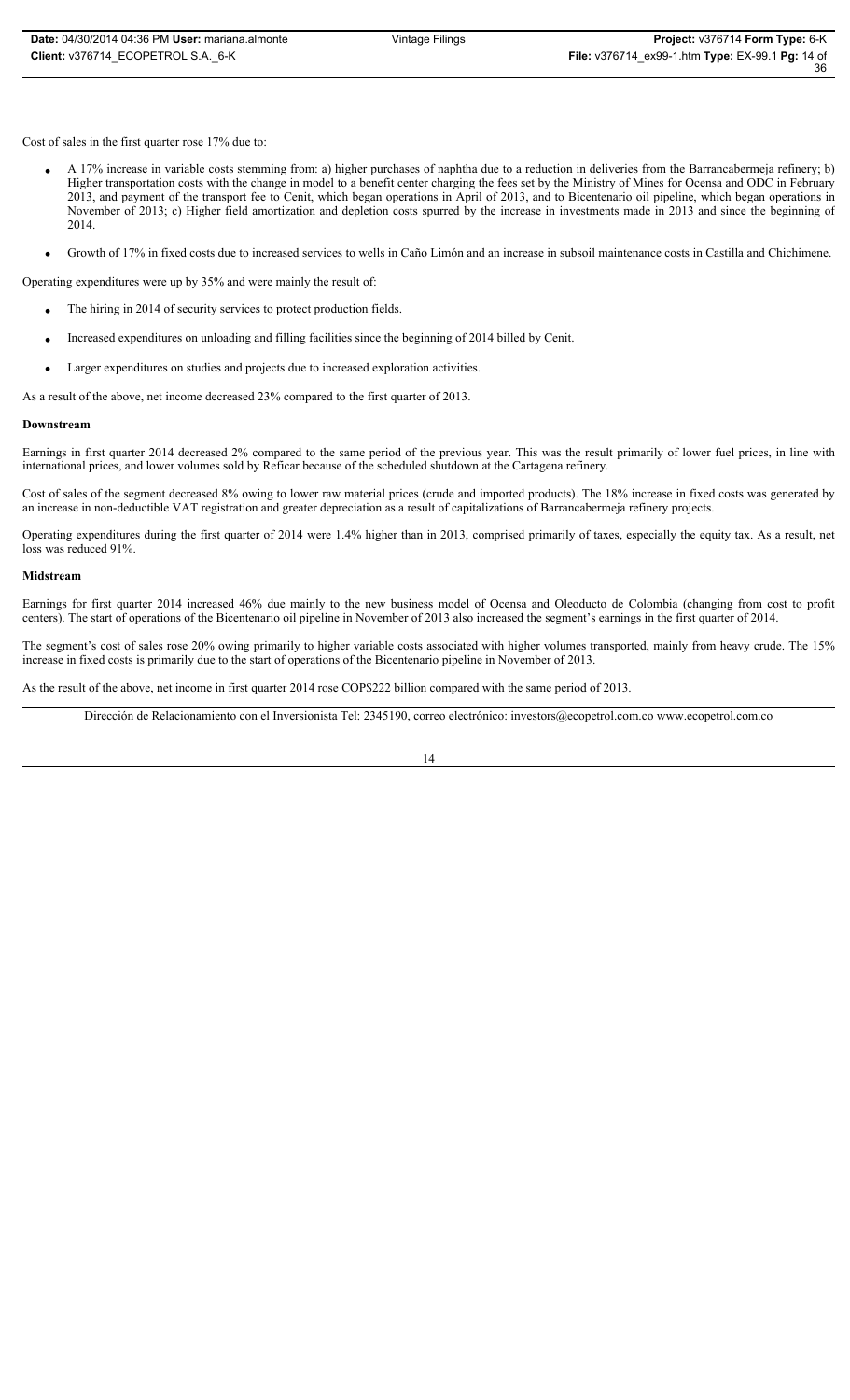Cost of sales in the first quarter rose 17% due to:

- x A 17% increase in variable costs stemming from: a) higher purchases of naphtha due to a reduction in deliveries from the Barrancabermeja refinery; b) Higher transportation costs with the change in model to a benefit center charging the fees set by the Ministry of Mines for Ocensa and ODC in February 2013, and payment of the transport fee to Cenit, which began operations in April of 2013, and to Bicentenario oil pipeline, which began operations in November of 2013; c) Higher field amortization and depletion costs spurred by the increase in investments made in 2013 and since the beginning of 2014.
- x Growth of 17% in fixed costs due to increased services to wells in Caño Limón and an increase in subsoil maintenance costs in Castilla and Chichimene.

Operating expenditures were up by 35% and were mainly the result of:

- $\bullet$  The hiring in 2014 of security services to protect production fields.
- Increased expenditures on unloading and filling facilities since the beginning of 2014 billed by Cenit.
- Larger expenditures on studies and projects due to increased exploration activities.

As a result of the above, net income decreased 23% compared to the first quarter of 2013.

### **Downstream**

Earnings in first quarter 2014 decreased 2% compared to the same period of the previous year. This was the result primarily of lower fuel prices, in line with international prices, and lower volumes sold by Reficar because of the scheduled shutdown at the Cartagena refinery.

Cost of sales of the segment decreased 8% owing to lower raw material prices (crude and imported products). The 18% increase in fixed costs was generated by an increase in non-deductible VAT registration and greater depreciation as a result of capitalizations of Barrancabermeja refinery projects.

Operating expenditures during the first quarter of 2014 were 1.4% higher than in 2013, comprised primarily of taxes, especially the equity tax. As a result, net loss was reduced 91%.

### **Midstream**

Earnings for first quarter 2014 increased 46% due mainly to the new business model of Ocensa and Oleoducto de Colombia (changing from cost to profit centers). The start of operations of the Bicentenario oil pipeline in November of 2013 also increased the segment's earnings in the first quarter of 2014.

The segment's cost of sales rose 20% owing primarily to higher variable costs associated with higher volumes transported, mainly from heavy crude. The 15% increase in fixed costs is primarily due to the start of operations of the Bicentenario pipeline in November of 2013.

As the result of the above, net income in first quarter 2014 rose COP\$222 billion compared with the same period of 2013.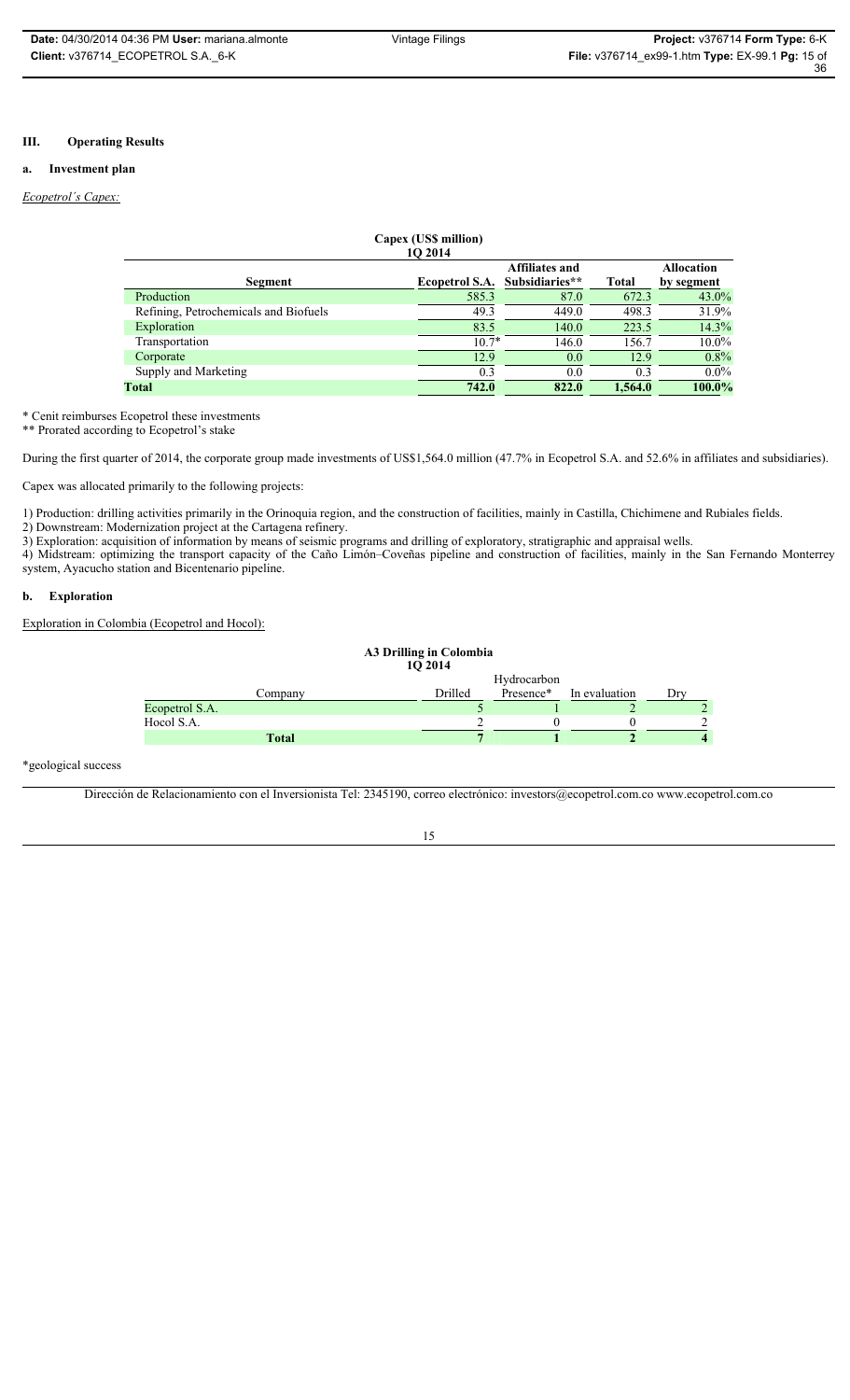### **III. Operating Results**

### **a. Investment plan**

### *Ecopetrol´s Capex:*

| Capex (US\$ million)                       |                       |                |              |            |  |  |
|--------------------------------------------|-----------------------|----------------|--------------|------------|--|--|
| 10 2014                                    |                       |                |              |            |  |  |
| <b>Affiliates and</b><br><b>Allocation</b> |                       |                |              |            |  |  |
| Segment                                    | <b>Ecopetrol S.A.</b> | Subsidiaries** | <b>Total</b> | by segment |  |  |
| Production                                 | 585.3                 | 87.0           | 672.3        | $43.0\%$   |  |  |
| Refining, Petrochemicals and Biofuels      | 49.3                  | 449.0          | 498.3        | 31.9%      |  |  |
| Exploration                                | 83.5                  | 140.0          | 223.5        | 14.3%      |  |  |
| Transportation                             | $10.7*$               | 146.0          | 156.7        | $10.0\%$   |  |  |
| Corporate                                  | 12.9                  | 0.0            | 12.9         | 0.8%       |  |  |
| Supply and Marketing                       | 0.3                   | 0.0            | 0.3          | $0.0\%$    |  |  |
| Total                                      | 742.0                 | 822.0          | 1.564.0      | 100.0%     |  |  |
|                                            |                       |                |              |            |  |  |

\* Cenit reimburses Ecopetrol these investments

\*\* Prorated according to Ecopetrol's stake

During the first quarter of 2014, the corporate group made investments of US\$1,564.0 million (47.7% in Ecopetrol S.A. and 52.6% in affiliates and subsidiaries).

Capex was allocated primarily to the following projects:

1) Production: drilling activities primarily in the Orinoquia region, and the construction of facilities, mainly in Castilla, Chichimene and Rubiales fields.

2) Downstream: Modernization project at the Cartagena refinery.

3) Exploration: acquisition of information by means of seismic programs and drilling of exploratory, stratigraphic and appraisal wells.

4) Midstream: optimizing the transport capacity of the Caño Limón–Coveñas pipeline and construction of facilities, mainly in the San Fernando Monterrey system, Ayacucho station and Bicentenario pipeline.

### **b. Exploration**

Exploration in Colombia (Ecopetrol and Hocol):

| A3 Drilling in Colombia<br>10 2014 |         |             |               |     |
|------------------------------------|---------|-------------|---------------|-----|
|                                    |         | Hydrocarbon |               |     |
| Company                            | Drilled | Presence*   | In evaluation | Drv |
| Ecopetrol S.A.                     |         |             |               |     |
| Hocol S.A.                         |         |             |               |     |
| <b>Total</b>                       |         |             |               |     |

#### \*geological success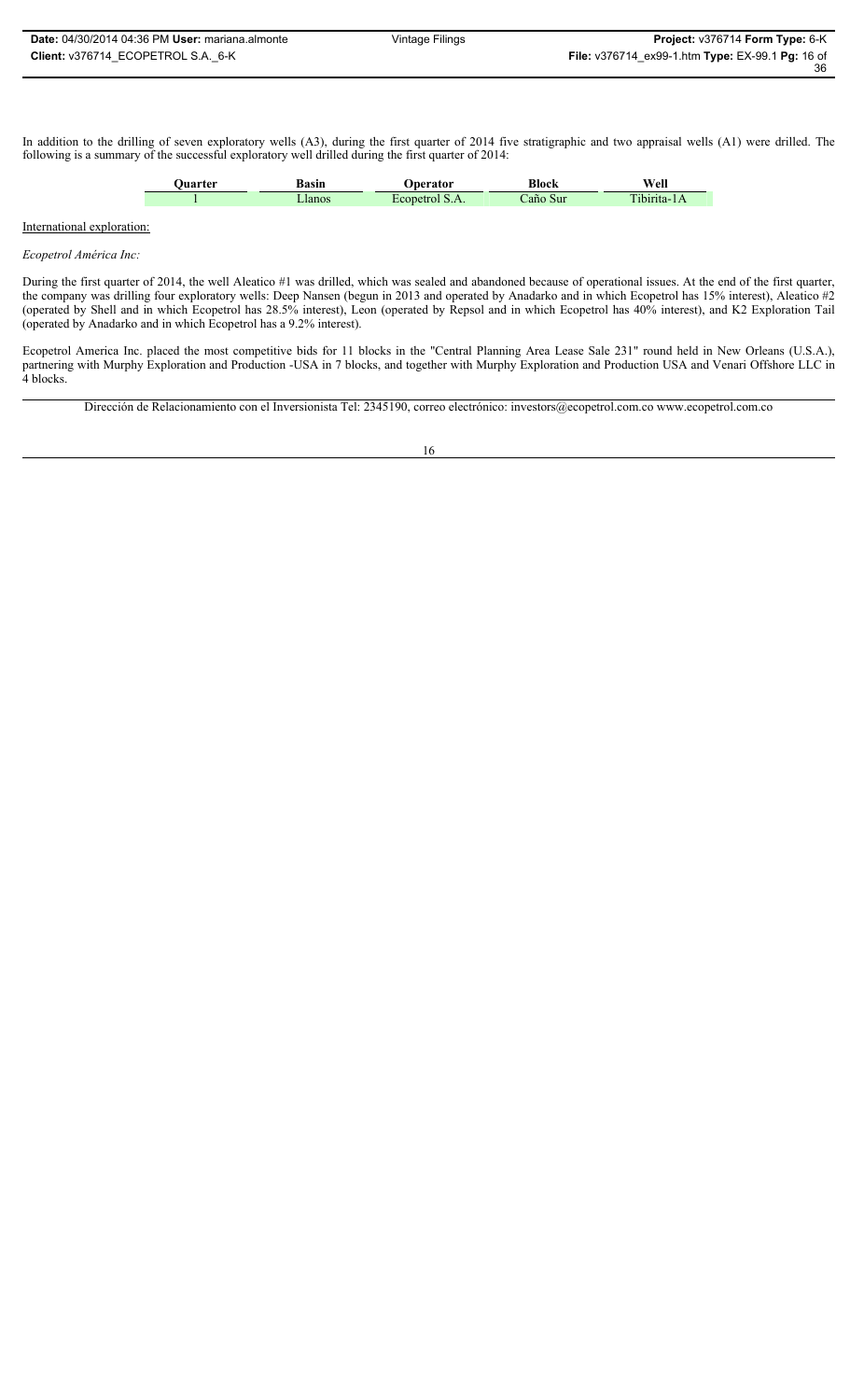In addition to the drilling of seven exploratory wells (A3), during the first quarter of 2014 five stratigraphic and two appraisal wells (A1) were drilled. The following is a summary of the successful exploratory well drilled during the first quarter of 2014:

| Basin | Block       | Well |
|-------|-------------|------|
|       | $-1$<br>Sur |      |

### International exploration:

#### *Ecopetrol América Inc:*

During the first quarter of 2014, the well Aleatico #1 was drilled, which was sealed and abandoned because of operational issues. At the end of the first quarter, the company was drilling four exploratory wells: Deep Nansen (begun in 2013 and operated by Anadarko and in which Ecopetrol has 15% interest), Aleatico #2 (operated by Shell and in which Ecopetrol has 28.5% interest), Leon (operated by Repsol and in which Ecopetrol has 40% interest), and K2 Exploration Tail (operated by Anadarko and in which Ecopetrol has a 9.2% interest).

Ecopetrol America Inc. placed the most competitive bids for 11 blocks in the "Central Planning Area Lease Sale 231" round held in New Orleans (U.S.A.), partnering with Murphy Exploration and Production -USA in 7 blocks, and together with Murphy Exploration and Production USA and Venari Offshore LLC in 4 blocks.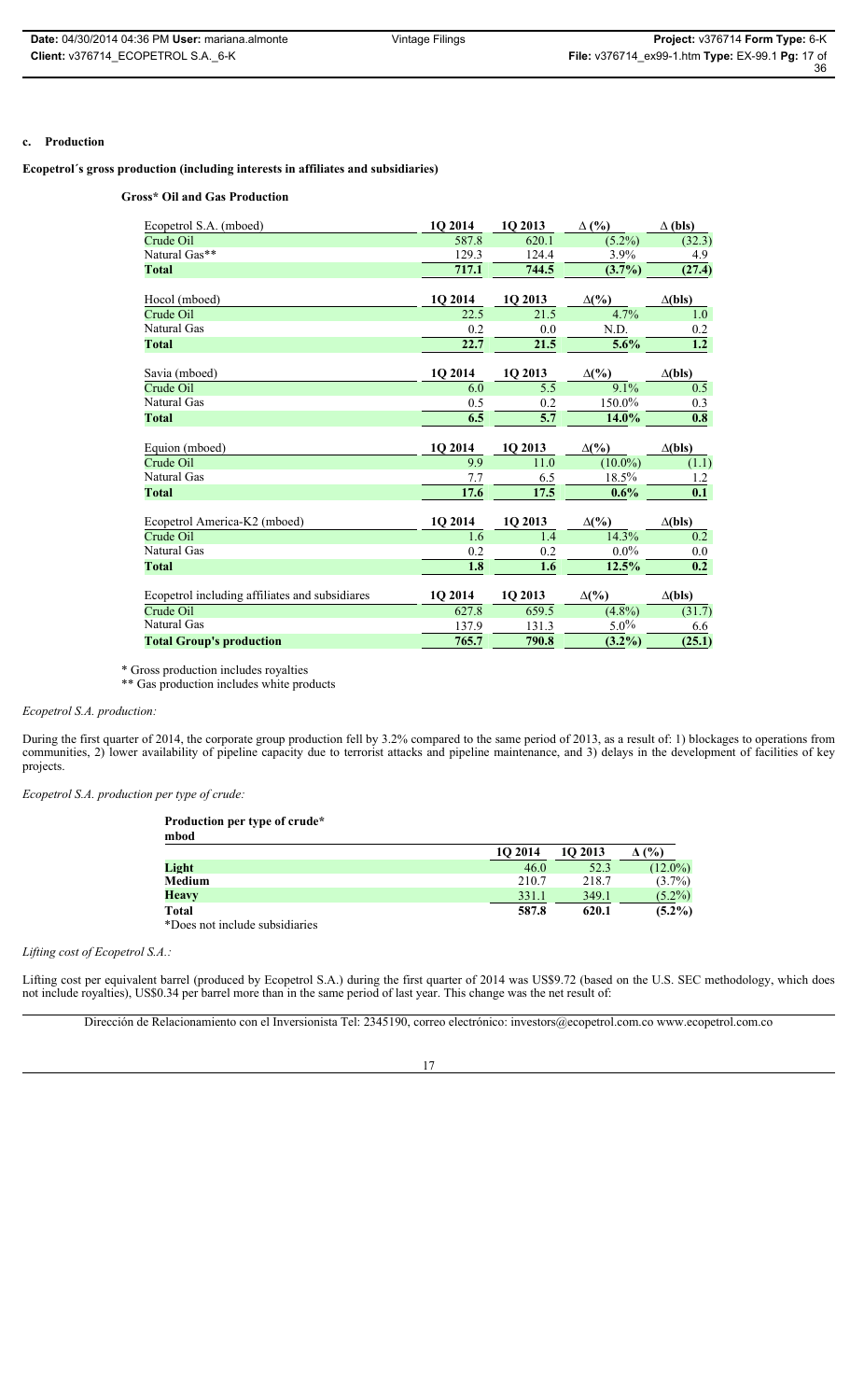### **c. Production**

**Ecopetrol´s gross production (including interests in affiliates and subsidiaries)**

**Gross\* Oil and Gas Production** 

| Ecopetrol S.A. (mboed)                         | 1Q 2014 | 1Q 2013 | $\Delta$ (%) | $\Delta$ (bls)            |
|------------------------------------------------|---------|---------|--------------|---------------------------|
| Crude Oil                                      | 587.8   | 620.1   | $(5.2\%)$    | (32.3)                    |
| Natural Gas**                                  | 129.3   | 124.4   | 3.9%         | 4.9                       |
| <b>Total</b>                                   | 717.1   | 744.5   | $(3.7\%)$    | (27.4)                    |
| Hocol (mboed)                                  | 1Q 2014 | 1Q 2013 | $\Delta(\%)$ | $\Delta$ (bls)            |
| Crude Oil                                      | 22.5    | 21.5    | 4.7%         | 1.0                       |
| Natural Gas                                    | 0.2     | 0.0     | N.D.         | 0.2                       |
| <b>Total</b>                                   | 22.7    | 21.5    | 5.6%         | 1.2                       |
| Savia (mboed)                                  | 1Q 2014 | 1Q 2013 | $\Delta(\%)$ | $\Delta$ (bls)            |
| Crude Oil                                      | 6.0     | 5.5     | 9.1%         | 0.5                       |
| Natural Gas                                    | 0.5     | 0.2     | 150.0%       | 0.3                       |
| <b>Total</b>                                   | 6.5     | 5.7     | 14.0%        | 0.8                       |
| Equion (mboed)                                 | 1Q 2014 | 1Q 2013 | $\Delta(\%)$ | $\Delta$ (bls)            |
| Crude Oil                                      | 9.9     | 11.0    | $(10.0\%)$   | (1.1)                     |
| Natural Gas                                    | 7.7     | 6.5     | 18.5%        | 1.2                       |
| <b>Total</b>                                   | 17.6    | 17.5    | 0.6%         | 0.1                       |
| Ecopetrol America-K2 (mboed)                   | 1Q 2014 | 1Q 2013 | $\Delta(\%)$ | $\Delta$ (bls)            |
| Crude Oil                                      | 1.6     | 1.4     | 14.3%        | 0.2                       |
| Natural Gas                                    | 0.2     | 0.2     | $0.0\%$      | 0.0                       |
| <b>Total</b>                                   | 1.8     | 1.6     | 12.5%        | $\overline{\mathbf{0.2}}$ |
| Ecopetrol including affiliates and subsidiares | 1Q 2014 | 1Q 2013 | $\Delta(\%)$ | $\Delta$ (bls)            |
| Crude Oil                                      | 627.8   | 659.5   | $(4.8\%)$    | (31.7)                    |
| Natural Gas                                    | 137.9   | 131.3   | $5.0\%$      | 6.6                       |
| <b>Total Group's production</b>                | 765.7   | 790.8   | $(3.2\%)$    | (25.1)                    |

\* Gross production includes royalties

\*\* Gas production includes white products

### *Ecopetrol S.A. production:*

During the first quarter of 2014, the corporate group production fell by 3.2% compared to the same period of 2013, as a result of: 1) blockages to operations from communities, 2) lower availability of pipeline capacity due to terrorist attacks and pipeline maintenance, and 3) delays in the development of facilities of key projects.

*Ecopetrol S.A. production per type of crude:*

**Production per type of crude\* mbod**

| mvvu                           |         |         |            |
|--------------------------------|---------|---------|------------|
|                                | 10 2014 | 10 2013 | (%)        |
| Light                          | 46.0    | 52.3    | $(12.0\%)$ |
| Medium                         | 210.7   | 218.7   | $(3.7\%)$  |
| <b>Heavy</b>                   | 331.1   | 349.1   | $(5.2\%)$  |
| Total                          | 587.8   | 620.1   | $(5.2\%)$  |
| *Does not include subsidiaries |         |         |            |

*Lifting cost of Ecopetrol S.A.:*

Lifting cost per equivalent barrel (produced by Ecopetrol S.A.) during the first quarter of 2014 was US\$9.72 (based on the U.S. SEC methodology, which does not include royalties), US\$0.34 per barrel more than in the same period of last year. This change was the net result of:

Dirección de Relacionamiento con el Inversionista Tel: 2345190, correo electrónico: investors@ecopetrol.com.co www.ecopetrol.com.co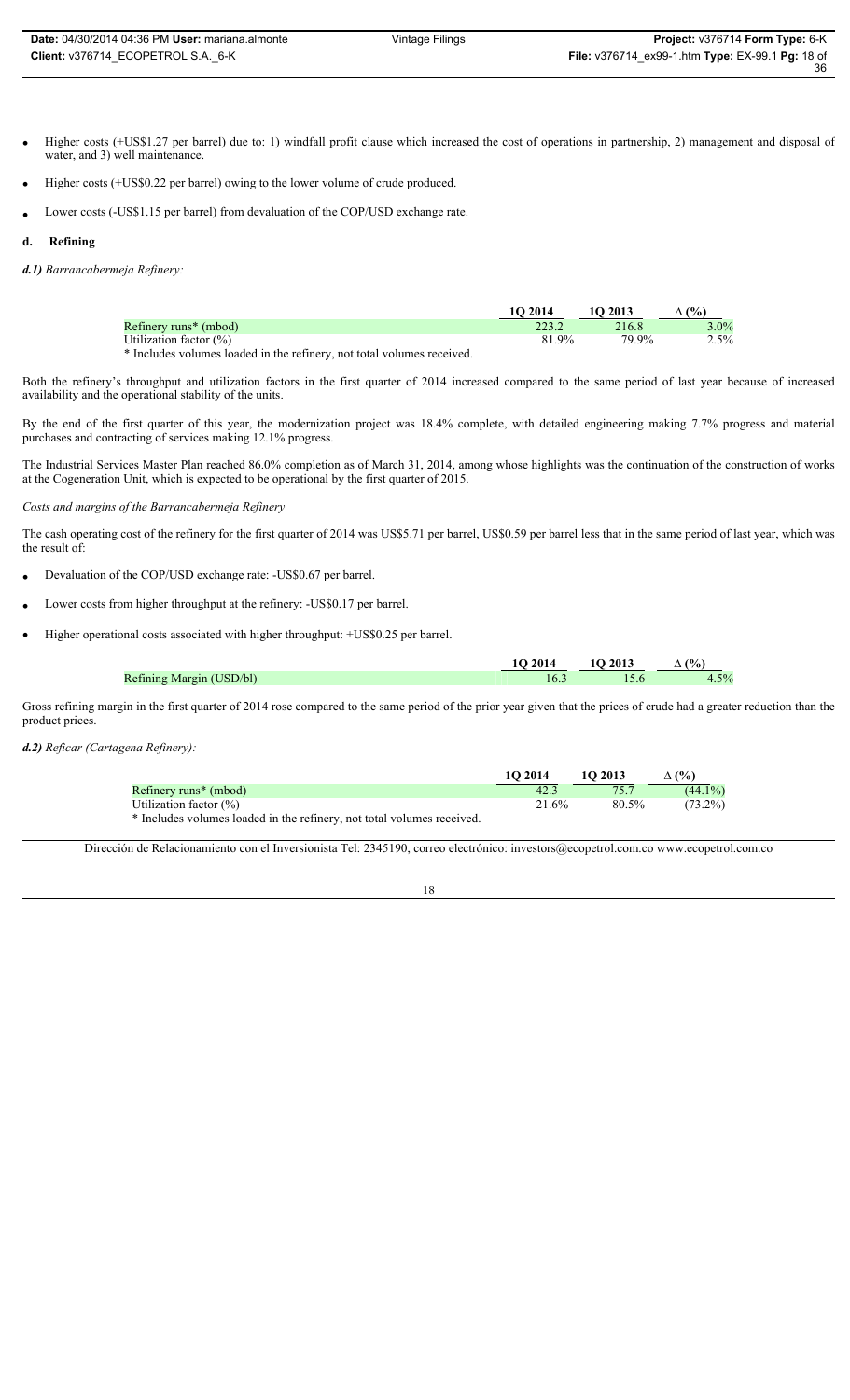- Higher costs (+US\$1.27 per barrel) due to: 1) windfall profit clause which increased the cost of operations in partnership, 2) management and disposal of water, and 3) well maintenance.
- Higher costs (+US\$0.22 per barrel) owing to the lower volume of crude produced.
- Lower costs (-US\$1.15 per barrel) from devaluation of the COP/USD exchange rate.
- **d. Refining**

*d.1) Barrancabermeja Refinery:*

|                                   | 10 2014 | 1O 2013 | $(%^{0})^{1/2}$ |
|-----------------------------------|---------|---------|-----------------|
| Refinery runs <sup>*</sup> (mbod) |         | 216.8   | $3.0\%$         |
| Utilization factor $(\%)$         | 9%      | 79.9%   | $2.5\%$         |
| .                                 |         |         |                 |

\* Includes volumes loaded in the refinery, not total volumes received.

Both the refinery's throughput and utilization factors in the first quarter of 2014 increased compared to the same period of last year because of increased availability and the operational stability of the units.

By the end of the first quarter of this year, the modernization project was 18.4% complete, with detailed engineering making 7.7% progress and material purchases and contracting of services making 12.1% progress.

The Industrial Services Master Plan reached 86.0% completion as of March 31, 2014, among whose highlights was the continuation of the construction of works at the Cogeneration Unit, which is expected to be operational by the first quarter of 2015.

### *Costs and margins of the Barrancabermeja Refinery*

The cash operating cost of the refinery for the first quarter of 2014 was US\$5.71 per barrel, US\$0.59 per barrel less that in the same period of last year, which was the result of:

- Devaluation of the COP/USD exchange rate: -US\$0.67 per barrel.
- Lower costs from higher throughput at the refinery: -US\$0.17 per barrel.
- Higher operational costs associated with higher throughput: +US\$0.25 per barrel.

|                                                      | 1O 2014 | <b>1O 2013</b> | (%    |
|------------------------------------------------------|---------|----------------|-------|
| Refining Margin (USD/bl)<br>$\overline{\phantom{0}}$ |         |                | $5\%$ |

Gross refining margin in the first quarter of 2014 rose compared to the same period of the prior year given that the prices of crude had a greater reduction than the product prices.

*d.2) Reficar (Cartagena Refinery):*

|                                                                        | 10 2014 | 102013   | $($ %)     |
|------------------------------------------------------------------------|---------|----------|------------|
| Refinery runs <sup>*</sup> (mbod)                                      |         |          | $(44.1\%)$ |
| Utilization factor $(\%)$                                              | 21.6%   | $80.5\%$ | $(73.2\%)$ |
| * Includes volumes loaded in the refinery, not total volumes received. |         |          |            |

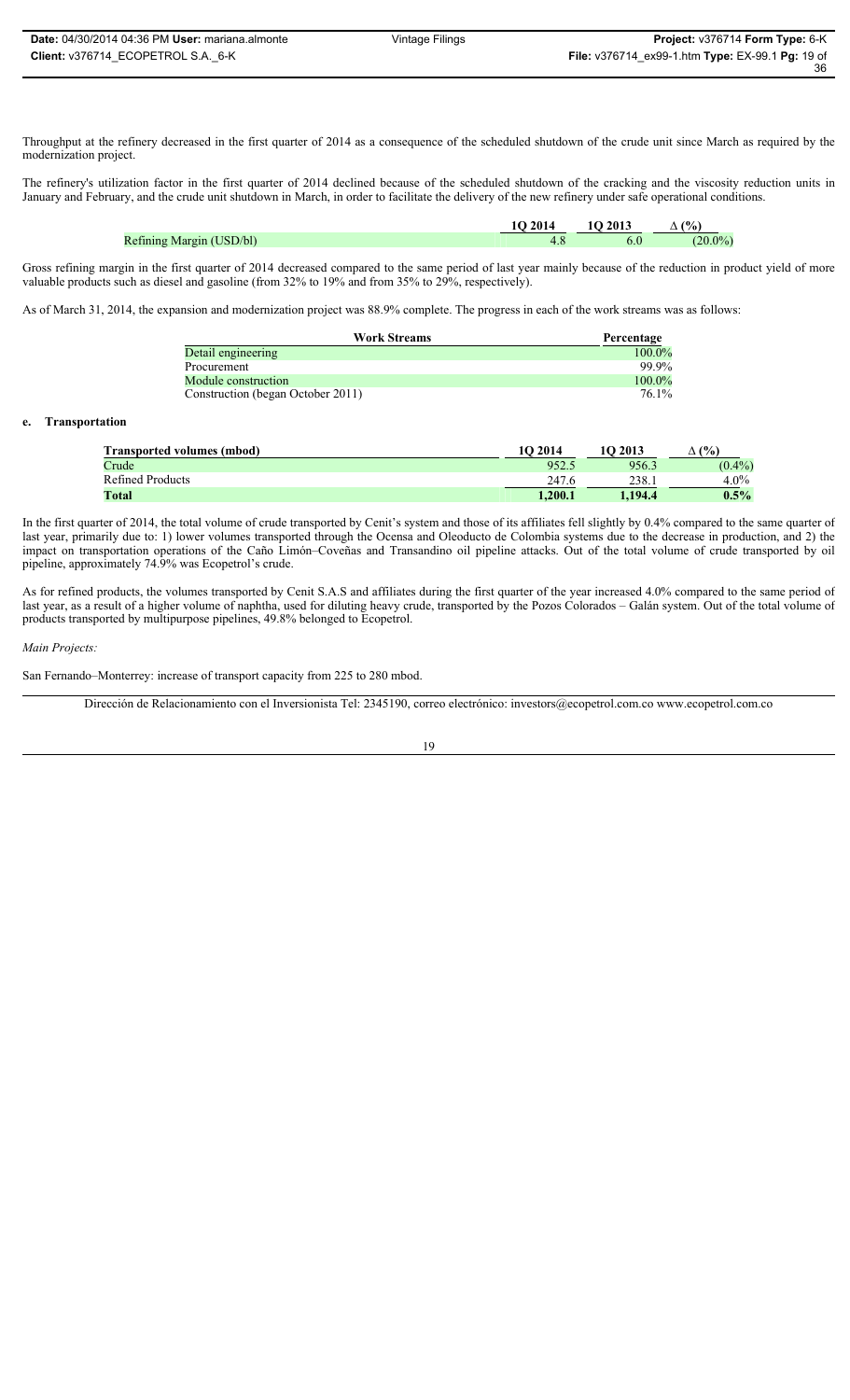Throughput at the refinery decreased in the first quarter of 2014 as a consequence of the scheduled shutdown of the crude unit since March as required by the modernization project.

The refinery's utilization factor in the first quarter of 2014 declined because of the scheduled shutdown of the cracking and the viscosity reduction units in January and February, and the crude unit shutdown in March, in order to facilitate the delivery of the new refinery under safe operational conditions.

|                          | <b>1O 2014</b> | 10 2013 | (0)             |
|--------------------------|----------------|---------|-----------------|
| Refining Margin (USD/bl) |                |         | 00 <sup>2</sup> |

Gross refining margin in the first quarter of 2014 decreased compared to the same period of last year mainly because of the reduction in product yield of more valuable products such as diesel and gasoline (from 32% to 19% and from 35% to 29%, respectively).

As of March 31, 2014, the expansion and modernization project was 88.9% complete. The progress in each of the work streams was as follows:

| <b>Work Streams</b>               | Percentage |
|-----------------------------------|------------|
| Detail engineering                | $100.0\%$  |
| Procurement                       | 99.9%      |
| Module construction               | 100.0%     |
| Construction (began October 2011) | 76.1%      |

#### **e. Transportation**

| <b>Transported volumes (mbod)</b> | 10 2014 | <b>1O 2013</b> | (%        |
|-----------------------------------|---------|----------------|-----------|
| Crude                             | 952.5   | 956.3          | $(0.4\%)$ |
| <b>Refined Products</b>           | 247.6   | 238.1          | $4.0\%$   |
| Total                             | 1.200.1 | 1.194.4        | $0.5\%$   |

In the first quarter of 2014, the total volume of crude transported by Cenit's system and those of its affiliates fell slightly by 0.4% compared to the same quarter of last year, primarily due to: 1) lower volumes transported through the Ocensa and Oleoducto de Colombia systems due to the decrease in production, and 2) the impact on transportation operations of the Caño Limón–Coveñas and Transandino oil pipeline attacks. Out of the total volume of crude transported by oil pipeline, approximately 74.9% was Ecopetrol's crude.

As for refined products, the volumes transported by Cenit S.A.S and affiliates during the first quarter of the year increased 4.0% compared to the same period of last year, as a result of a higher volume of naphtha, used for diluting heavy crude, transported by the Pozos Colorados – Galán system. Out of the total volume of products transported by multipurpose pipelines, 49.8% belonged to Ecopetrol.

#### *Main Projects:*

San Fernando–Monterrey: increase of transport capacity from 225 to 280 mbod.

19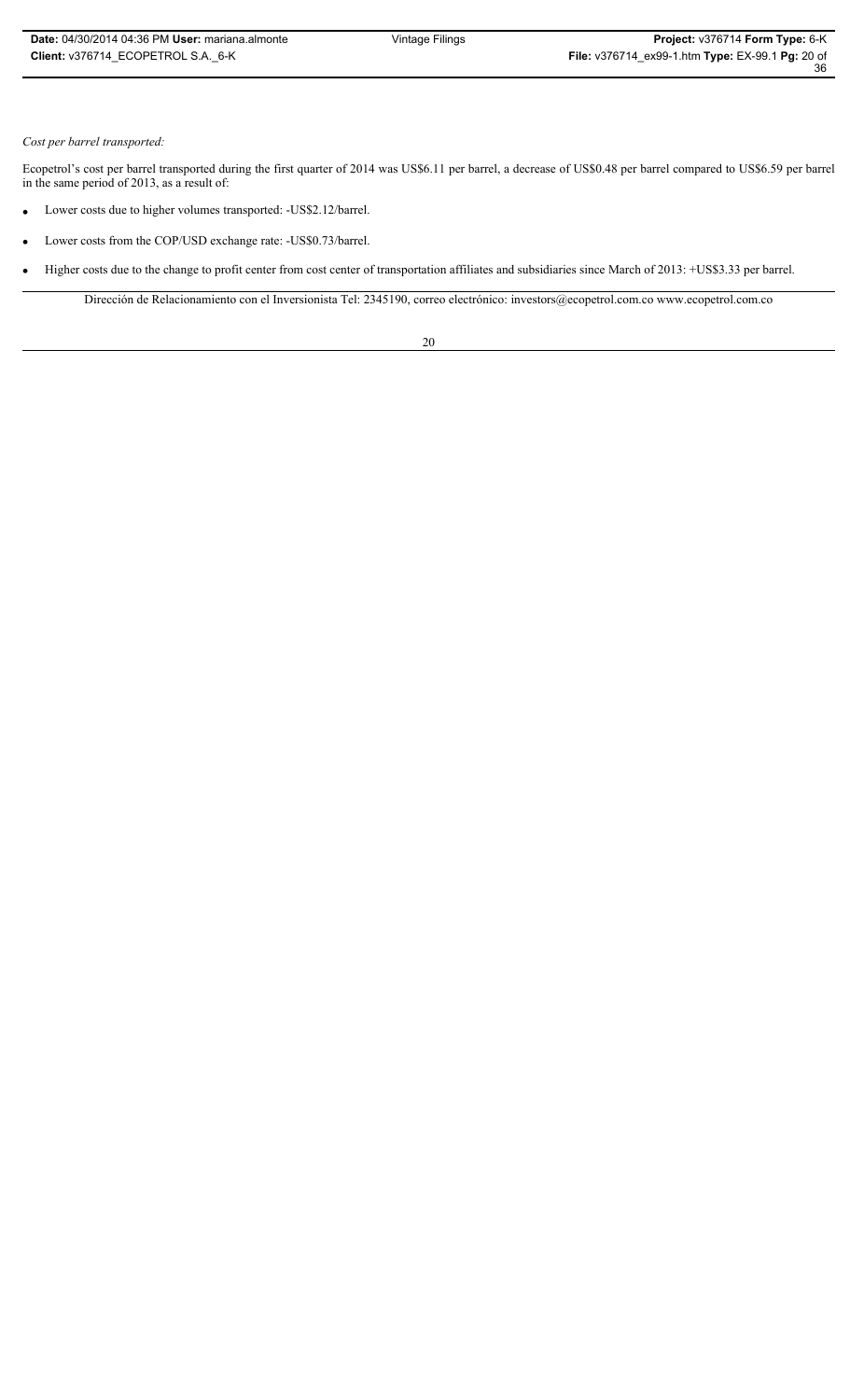### *Cost per barrel transported:*

Ecopetrol's cost per barrel transported during the first quarter of 2014 was US\$6.11 per barrel, a decrease of US\$0.48 per barrel compared to US\$6.59 per barrel in the same period of 2013, as a result of:

- Lower costs due to higher volumes transported: -US\$2.12/barrel.
- Lower costs from the COP/USD exchange rate: -US\$0.73/barrel.
- Higher costs due to the change to profit center from cost center of transportation affiliates and subsidiaries since March of 2013: +US\$3.33 per barrel.

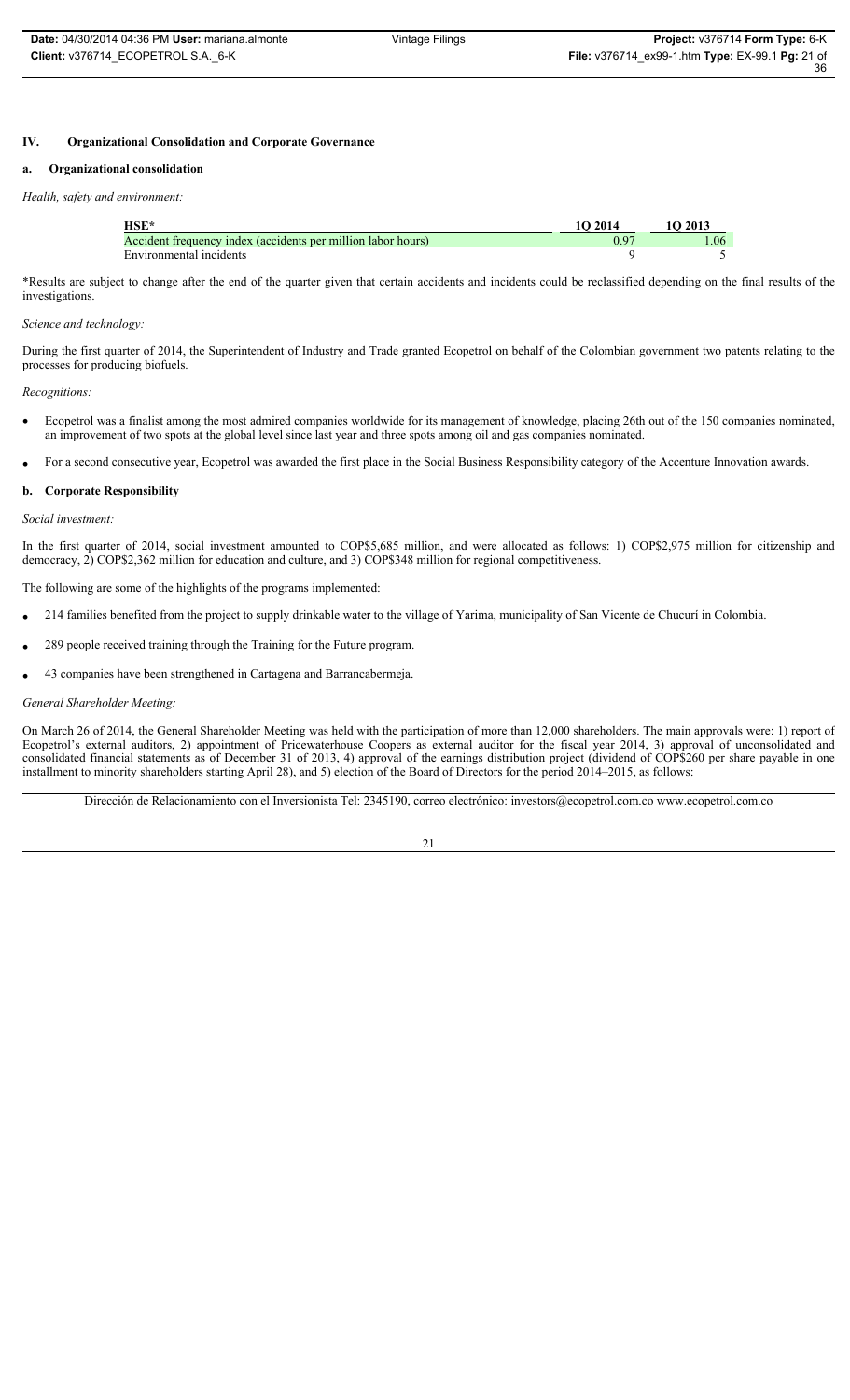### **IV. Organizational Consolidation and Corporate Governance**

### **a. Organizational consolidation**

#### *Health, safety and environment:*

| HSE*                                                         | 1O 2014 | 1O 2013 |
|--------------------------------------------------------------|---------|---------|
| Accident frequency index (accidents per million labor hours) |         | 1.06    |
| Environmental incidents                                      |         |         |

\*Results are subject to change after the end of the quarter given that certain accidents and incidents could be reclassified depending on the final results of the investigations.

### *Science and technology:*

During the first quarter of 2014, the Superintendent of Industry and Trade granted Ecopetrol on behalf of the Colombian government two patents relating to the processes for producing biofuels.

### *Recognitions:*

- Ecopetrol was a finalist among the most admired companies worldwide for its management of knowledge, placing 26th out of the 150 companies nominated, an improvement of two spots at the global level since last year and three spots among oil and gas companies nominated.
- For a second consecutive year, Ecopetrol was awarded the first place in the Social Business Responsibility category of the Accenture Innovation awards.

#### **b. Corporate Responsibility**

### *Social investment:*

In the first quarter of 2014, social investment amounted to COP\$5,685 million, and were allocated as follows: 1) COP\$2,975 million for citizenship and democracy, 2) COP\$2,362 million for education and culture, and 3) COP\$348 million for regional competitiveness.

The following are some of the highlights of the programs implemented:

- x 214 families benefited from the project to supply drinkable water to the village of Yarima, municipality of San Vicente de Chucurí in Colombia.
- 289 people received training through the Training for the Future program.
- x 43 companies have been strengthened in Cartagena and Barrancabermeja.

#### *General Shareholder Meeting:*

On March 26 of 2014, the General Shareholder Meeting was held with the participation of more than 12,000 shareholders. The main approvals were: 1) report of Ecopetrol's external auditors, 2) appointment of Pricewaterhouse Coopers as external auditor for the fiscal year 2014, 3) approval of unconsolidated and consolidated financial statements as of December 31 of 2013, 4) approval of the earnings distribution project (dividend of COP\$260 per share payable in one installment to minority shareholders starting April 28), and 5) election of the Board of Directors for the period 2014–2015, as follows:

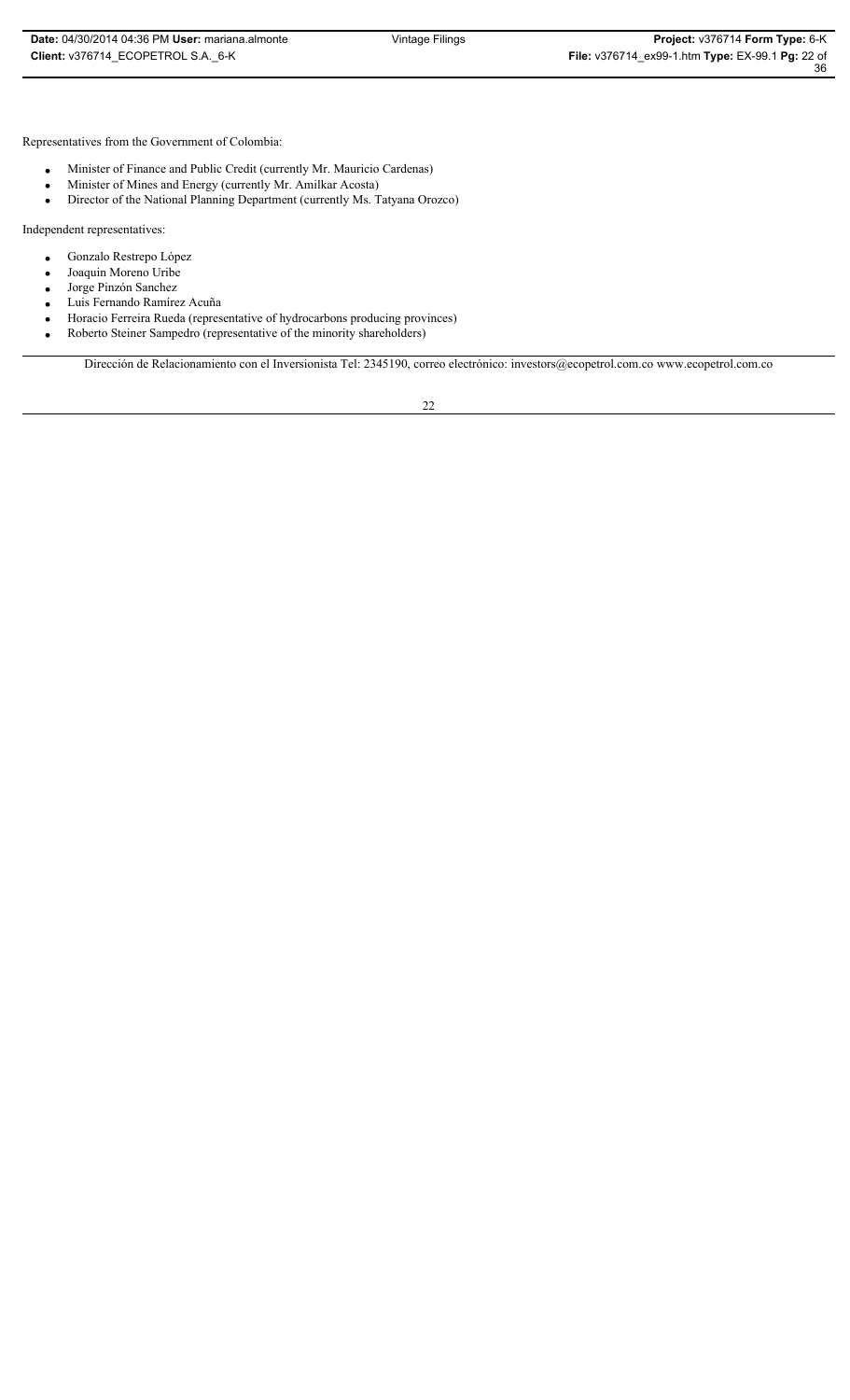Representatives from the Government of Colombia:

- Minister of Finance and Public Credit (currently Mr. Mauricio Cardenas)
- Minister of Mines and Energy (currently Mr. Amilkar Acosta)<br>• Director of the National Planning Department (currently Ms. T
- Director of the National Planning Department (currently Ms. Tatyana Orozco)

Independent representatives:

- **·** Gonzalo Restrepo López
- Joaquin Moreno Uribe
- Jorge Pinzón Sanchez
- x Luis Fernando Ramírez Acuña
- x Horacio Ferreira Rueda (representative of hydrocarbons producing provinces)
- Roberto Steiner Sampedro (representative of the minority shareholders)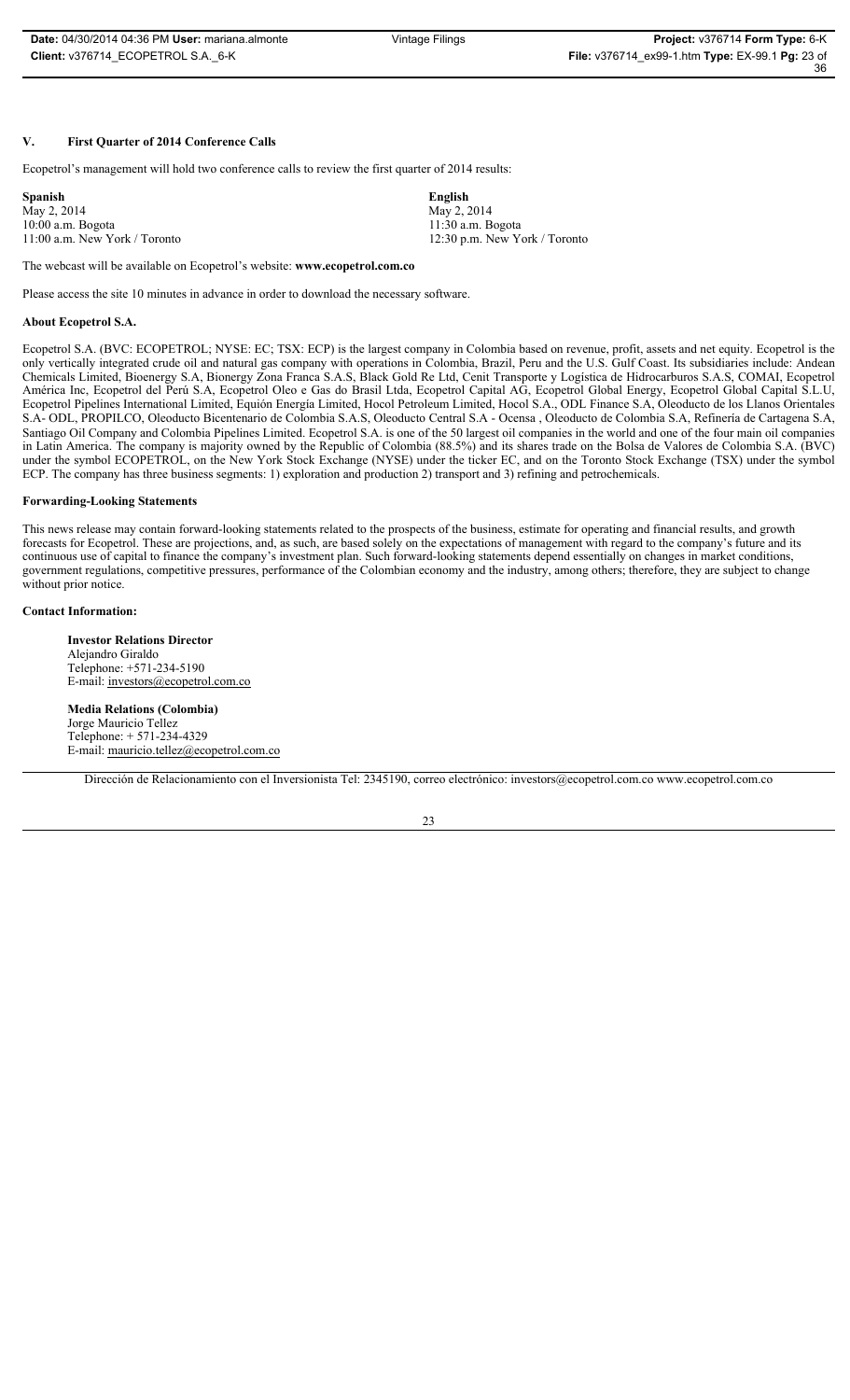36

### **V. First Quarter of 2014 Conference Calls**

Ecopetrol's management will hold two conference calls to review the first quarter of 2014 results:

| <b>Spanish</b>                  | English                         |
|---------------------------------|---------------------------------|
| May 2, 2014                     | May 2, 2014                     |
| $10:00$ a.m. Bogota             | 11:30 a.m. Bogota               |
| $11:00$ a.m. New York / Toronto | $12:30$ p.m. New York / Toronto |

The webcast will be available on Ecopetrol's website: **www.ecopetrol.com.co**

Please access the site 10 minutes in advance in order to download the necessary software.

#### **About Ecopetrol S.A.**

Ecopetrol S.A. (BVC: ECOPETROL; NYSE: EC; TSX: ECP) is the largest company in Colombia based on revenue, profit, assets and net equity. Ecopetrol is the only vertically integrated crude oil and natural gas company with operations in Colombia, Brazil, Peru and the U.S. Gulf Coast. Its subsidiaries include: Andean Chemicals Limited, Bioenergy S.A, Bionergy Zona Franca S.A.S, Black Gold Re Ltd, Cenit Transporte y Logística de Hidrocarburos S.A.S, COMAI, Ecopetrol América Inc, Ecopetrol del Perú S.A, Ecopetrol Oleo e Gas do Brasil Ltda, Ecopetrol Capital AG, Ecopetrol Global Energy, Ecopetrol Global Capital S.L.U, Ecopetrol Pipelines International Limited, Equión Energía Limited, Hocol Petroleum Limited, Hocol S.A., ODL Finance S.A, Oleoducto de los Llanos Orientales S.A- ODL, PROPILCO, Oleoducto Bicentenario de Colombia S.A.S, Oleoducto Central S.A - Ocensa , Oleoducto de Colombia S.A, Refinería de Cartagena S.A, Santiago Oil Company and Colombia Pipelines Limited. Ecopetrol S.A. is one of the 50 largest oil companies in the world and one of the four main oil companies in Latin America. The company is majority owned by the Republic of Colombia (88.5%) and its shares trade on the Bolsa de Valores de Colombia S.A. (BVC) under the symbol ECOPETROL, on the New York Stock Exchange (NYSE) under the ticker EC, and on the Toronto Stock Exchange (TSX) under the symbol ECP. The company has three business segments: 1) exploration and production 2) transport and 3) refining and petrochemicals.

#### **Forwarding-Looking Statements**

This news release may contain forward-looking statements related to the prospects of the business, estimate for operating and financial results, and growth forecasts for Ecopetrol. These are projections, and, as such, are based solely on the expectations of management with regard to the company's future and its continuous use of capital to finance the company's investment plan. Such forward-looking statements depend essentially on changes in market conditions, government regulations, competitive pressures, performance of the Colombian economy and the industry, among others; therefore, they are subject to change without prior notice.

#### **Contact Information:**

**Investor Relations Director** Alejandro Giraldo Telephone: +571-234-5190 E-mail: investors@ecopetrol.com.co

**Media Relations (Colombia)** Jorge Mauricio Tellez Telephone: + 571-234-4329 E-mail: mauricio.tellez@ecopetrol.com.co

Dirección de Relacionamiento con el Inversionista Tel: 2345190, correo electrónico: investors@ecopetrol.com.co www.ecopetrol.com.co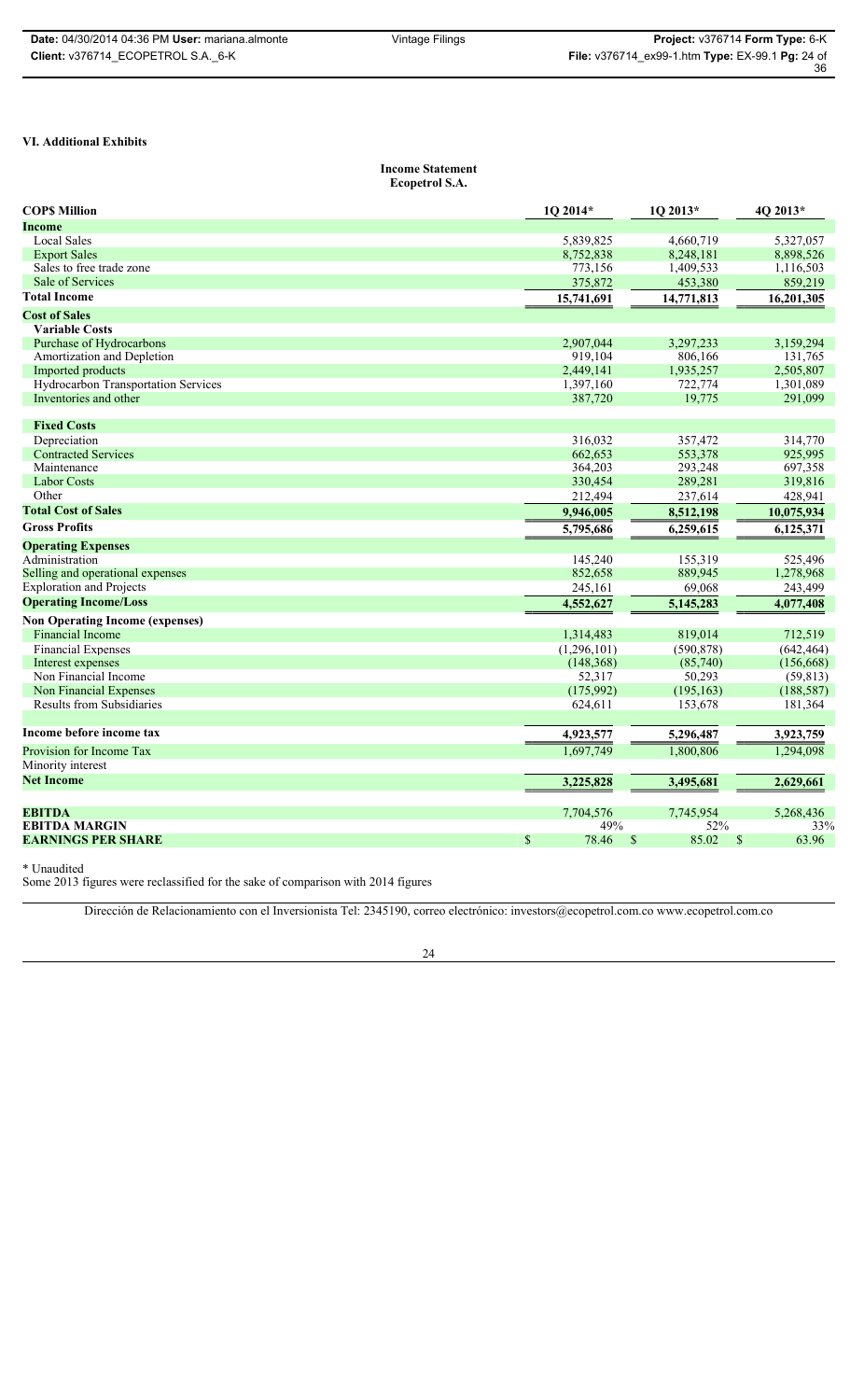36

### **VI. Additional Exhibits**

### **Income Statement Ecopetrol S.A.**

| <b>COPS Million</b>                    | $1Q$ 2014*  | $1Q$ 2013*             | 4Q 2013*              |
|----------------------------------------|-------------|------------------------|-----------------------|
| Income                                 |             |                        |                       |
| <b>Local Sales</b>                     | 5,839,825   | 4,660,719              | 5,327,057             |
| <b>Export Sales</b>                    | 8,752,838   | 8,248,181              | 8,898,526             |
| Sales to free trade zone               | 773,156     | 1,409,533              | 1,116,503             |
| <b>Sale of Services</b>                | 375,872     | 453,380                | 859,219               |
| <b>Total Income</b>                    | 15,741,691  | 14,771,813             | 16,201,305            |
| <b>Cost of Sales</b>                   |             |                        |                       |
| <b>Variable Costs</b>                  |             |                        |                       |
| Purchase of Hydrocarbons               | 2.907.044   | 3,297,233              | 3.159.294             |
| Amortization and Depletion             | 919,104     | 806,166                | 131,765               |
| Imported products                      | 2,449,141   | 1,935,257              | 2,505,807             |
| Hydrocarbon Transportation Services    | 1,397,160   | 722,774                | 1,301,089             |
| Inventories and other                  | 387,720     | 19,775                 | 291,099               |
| <b>Fixed Costs</b>                     |             |                        |                       |
| Depreciation                           | 316,032     | 357,472                | 314,770               |
| <b>Contracted Services</b>             | 662,653     | 553,378                | 925,995               |
| Maintenance                            | 364,203     | 293,248                | 697,358               |
| <b>Labor Costs</b>                     | 330,454     | 289,281                | 319,816               |
| Other                                  | 212,494     | 237,614                | 428,941               |
| <b>Total Cost of Sales</b>             | 9,946,005   | 8,512,198              | 10,075,934            |
| <b>Gross Profits</b>                   | 5,795,686   | 6,259,615              | 6,125,371             |
| <b>Operating Expenses</b>              |             |                        |                       |
| Administration                         | 145.240     | 155,319                | 525,496               |
| Selling and operational expenses       | 852,658     | 889,945                | 1,278,968             |
| <b>Exploration and Projects</b>        | 245,161     | 69.068                 | 243,499               |
| <b>Operating Income/Loss</b>           | 4,552,627   | 5,145,283              | 4,077,408             |
| <b>Non Operating Income (expenses)</b> |             |                        |                       |
| <b>Financial Income</b>                | 1,314,483   | 819,014                | 712,519               |
| <b>Financial Expenses</b>              | (1,296,101) | (590, 878)             | (642, 464)            |
| Interest expenses                      | (148, 368)  | (85,740)               | (156, 668)            |
| Non Financial Income                   | 52,317      | 50,293                 | (59, 813)             |
| Non Financial Expenses                 | (175,992)   | (195, 163)             | (188, 587)            |
| <b>Results from Subsidiaries</b>       | 624,611     | 153,678                | 181,364               |
| Income before income tax               | 4,923,577   | 5,296,487              | 3,923,759             |
| Provision for Income Tax               | 1,697,749   | 1,800,806              | 1,294,098             |
| Minority interest                      |             |                        |                       |
| <b>Net Income</b>                      | 3,225,828   | 3,495,681              | 2,629,661             |
|                                        |             |                        |                       |
| <b>EBITDA</b>                          | 7.704.576   | 7.745.954              | 5.268.436             |
| <b>EBITDA MARGIN</b>                   | 49%         | 52%                    | 33%                   |
| <b>EARNINGS PER SHARE</b>              | \$<br>78.46 | 85.02<br><sup>\$</sup> | $\mathbb{S}$<br>63.96 |

\* Unaudited

Some 2013 figures were reclassified for the sake of comparison with 2014 figures

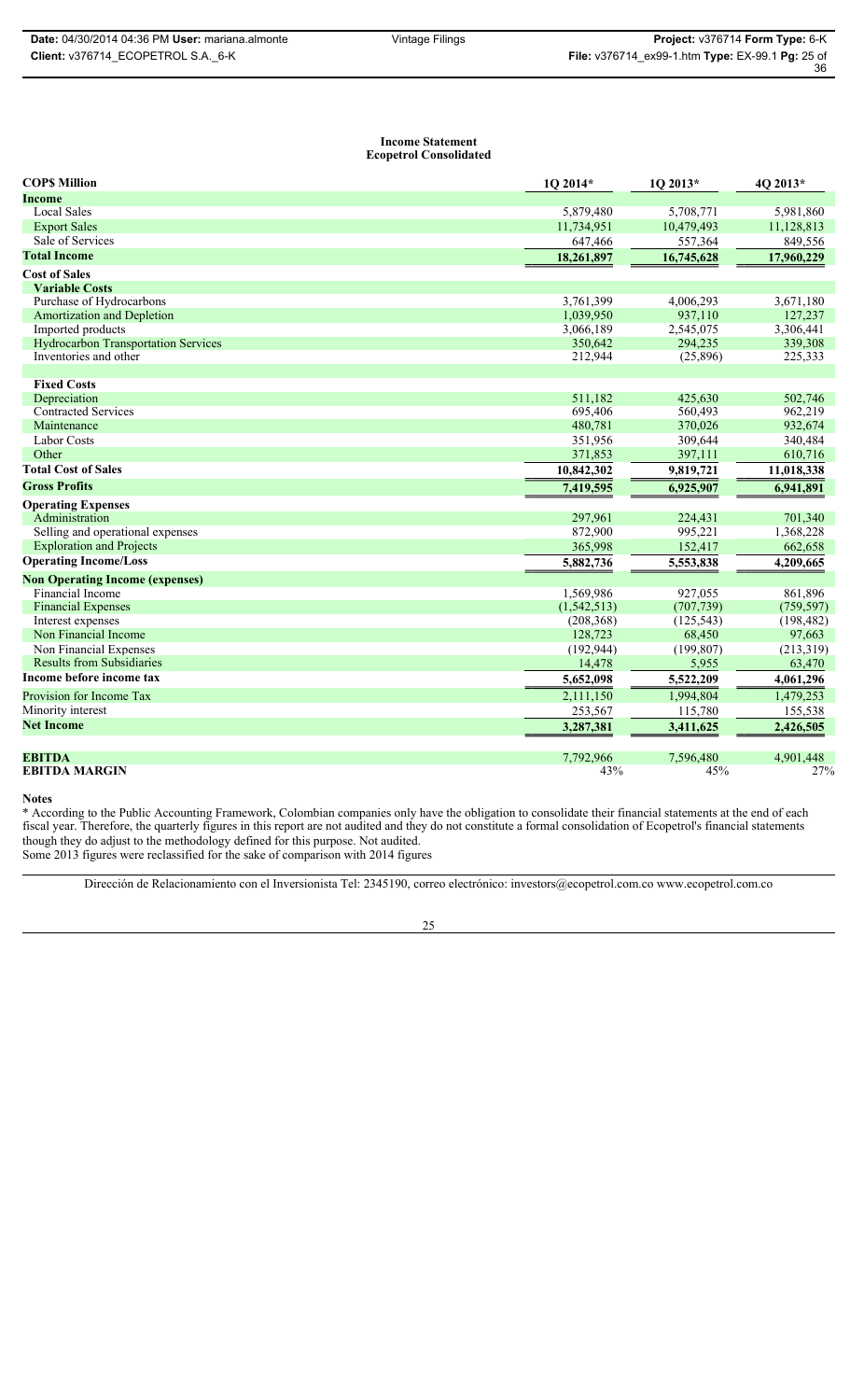#### **Income Statement Ecopetrol Consolidated**

| <b>COPS Million</b>                        | 1Q 2014*      | 1Q 2013*   | 4Q 2013*   |
|--------------------------------------------|---------------|------------|------------|
| <b>Income</b>                              |               |            |            |
| <b>Local Sales</b>                         | 5,879,480     | 5,708,771  | 5,981,860  |
| <b>Export Sales</b>                        | 11,734,951    | 10,479,493 | 11,128,813 |
| Sale of Services                           | 647,466       | 557,364    | 849,556    |
| <b>Total Income</b>                        | 18,261,897    | 16,745,628 | 17,960,229 |
| <b>Cost of Sales</b>                       |               |            |            |
| <b>Variable Costs</b>                      |               |            |            |
| Purchase of Hydrocarbons                   | 3,761,399     | 4,006,293  | 3,671,180  |
| <b>Amortization and Depletion</b>          | 1,039,950     | 937,110    | 127,237    |
| Imported products                          | 3,066,189     | 2,545,075  | 3,306,441  |
| <b>Hydrocarbon Transportation Services</b> | 350,642       | 294,235    | 339,308    |
| Inventories and other                      | 212,944       | (25,896)   | 225,333    |
| <b>Fixed Costs</b>                         |               |            |            |
| Depreciation                               | 511,182       | 425,630    | 502,746    |
| <b>Contracted Services</b>                 | 695,406       | 560,493    | 962,219    |
| Maintenance                                | 480,781       | 370,026    | 932,674    |
| <b>Labor Costs</b>                         | 351,956       | 309,644    | 340,484    |
| Other                                      | 371,853       | 397,111    | 610,716    |
| <b>Total Cost of Sales</b>                 | 10,842,302    | 9,819,721  | 11,018,338 |
| <b>Gross Profits</b>                       | 7,419,595     | 6,925,907  | 6,941,891  |
| <b>Operating Expenses</b>                  |               |            |            |
| Administration                             | 297,961       | 224,431    | 701,340    |
| Selling and operational expenses           | 872,900       | 995,221    | 1,368,228  |
| <b>Exploration and Projects</b>            | 365,998       | 152,417    | 662,658    |
| <b>Operating Income/Loss</b>               | 5,882,736     | 5,553,838  | 4,209,665  |
| <b>Non Operating Income (expenses)</b>     |               |            |            |
| Financial Income                           | 1,569,986     | 927,055    | 861,896    |
| <b>Financial Expenses</b>                  | (1, 542, 513) | (707, 739) | (759, 597) |
| Interest expenses                          | (208, 368)    | (125, 543) | (198, 482) |
| Non Financial Income                       | 128,723       | 68,450     | 97,663     |
| Non Financial Expenses                     | (192, 944)    | (199, 807) | (213,319)  |
| <b>Results from Subsidiaries</b>           | 14,478        | 5,955      | 63,470     |
| Income before income tax                   | 5,652,098     | 5,522,209  | 4,061,296  |
| Provision for Income Tax                   | 2,111,150     | 1,994,804  | 1,479,253  |
| Minority interest                          | 253,567       | 115,780    | 155,538    |
| <b>Net Income</b>                          | 3,287,381     | 3,411,625  | 2,426,505  |
|                                            |               |            |            |
| <b>EBITDA</b>                              | 7,792,966     | 7,596,480  | 4,901,448  |
| <b>EBITDA MARGIN</b>                       | 43%           | 45%        | 27%        |

#### **Notes**

\* According to the Public Accounting Framework, Colombian companies only have the obligation to consolidate their financial statements at the end of each fiscal year. Therefore, the quarterly figures in this report are not audited and they do not constitute a formal consolidation of Ecopetrol's financial statements though they do adjust to the methodology defined for this purpose. Not audited. Some 2013 figures were reclassified for the sake of comparison with 2014 figures

Dirección de Relacionamiento con el Inversionista Tel: 2345190, correo electrónico: investors@ecopetrol.com.co www.ecopetrol.com.co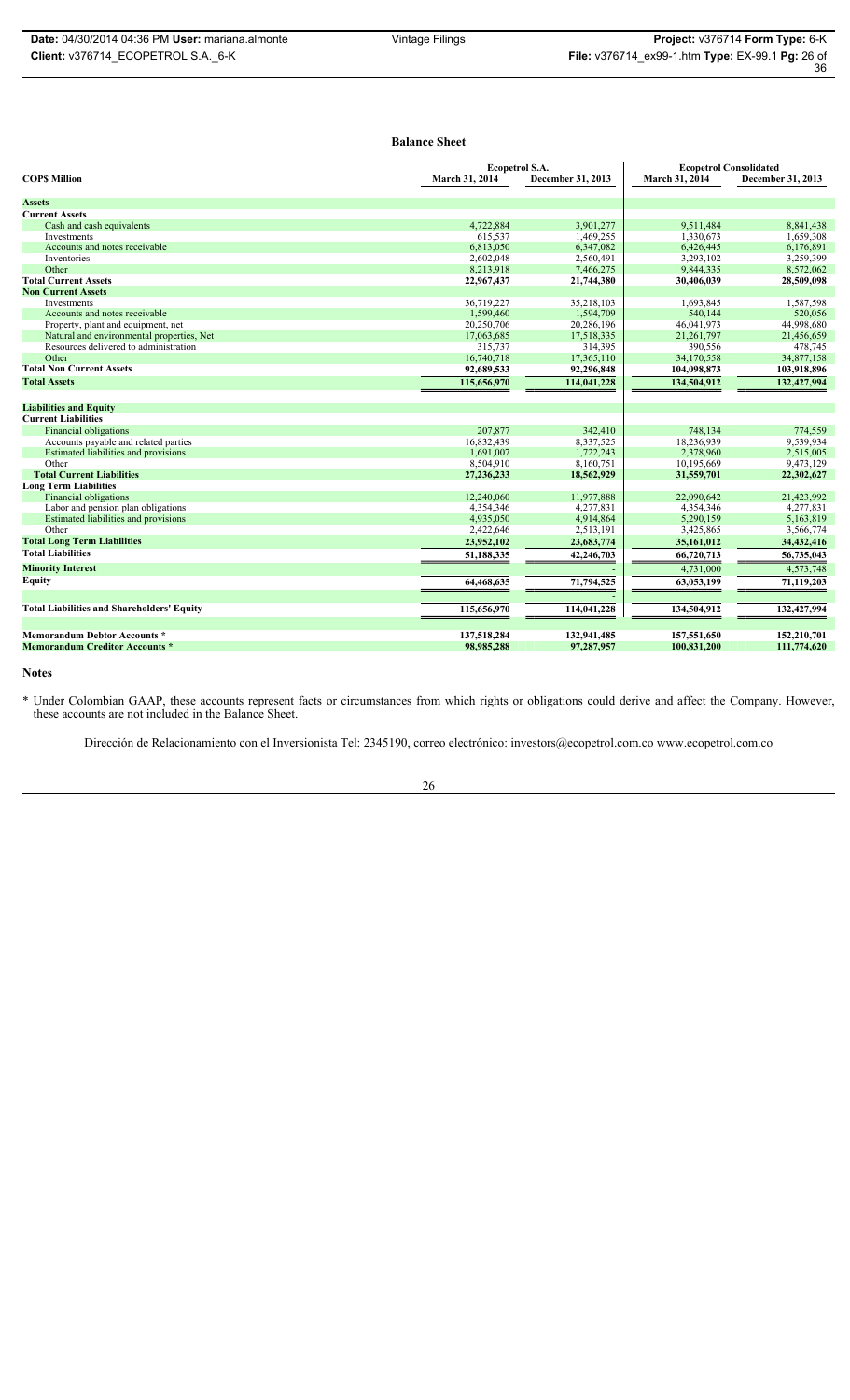# **Balance Sheet**

|                                                   | <b>Ecopetrol S.A.</b> |                   | <b>Ecopetrol Consolidated</b> |                   |
|---------------------------------------------------|-----------------------|-------------------|-------------------------------|-------------------|
| <b>COPS Million</b>                               | March 31, 2014        | December 31, 2013 | March 31, 2014                | December 31, 2013 |
| <b>Assets</b>                                     |                       |                   |                               |                   |
| <b>Current Assets</b>                             |                       |                   |                               |                   |
| Cash and cash equivalents                         | 4,722,884             | 3,901,277         | 9,511,484                     | 8,841,438         |
| <b>Investments</b>                                | 615.537               | 1,469,255         | 1.330.673                     | 1.659.308         |
| Accounts and notes receivable                     | 6,813,050             | 6,347,082         | 6,426,445                     | 6,176,891         |
| Inventories                                       | 2,602,048             | 2,560,491         | 3,293,102                     | 3,259,399         |
| Other                                             | 8,213,918             | 7,466,275         | 9,844,335                     | 8,572,062         |
| <b>Total Current Assets</b>                       | 22,967,437            | 21,744,380        | 30,406,039                    | 28,509,098        |
| <b>Non Current Assets</b>                         |                       |                   |                               |                   |
| Investments                                       | 36.719.227            | 35,218,103        | 1.693.845                     | 1,587,598         |
| Accounts and notes receivable                     | 1,599,460             | 1,594,709         | 540,144                       | 520,056           |
| Property, plant and equipment, net                | 20,250,706            | 20,286,196        | 46,041,973                    | 44,998,680        |
| Natural and environmental properties, Net         | 17,063,685            | 17,518,335        | 21,261,797                    | 21,456,659        |
| Resources delivered to administration             | 315,737               | 314,395           | 390,556                       | 478,745           |
| Other                                             | 16,740,718            | 17,365,110        | 34,170,558                    | 34,877,158        |
| <b>Total Non Current Assets</b>                   | 92,689,533            | 92,296,848        | 104,098,873                   | 103,918,896       |
| <b>Total Assets</b>                               | 115,656,970           | 114,041,228       | 134,504,912                   | 132,427,994       |
| <b>Liabilities and Equity</b>                     |                       |                   |                               |                   |
| <b>Current Liabilities</b>                        |                       |                   |                               |                   |
| <b>Financial obligations</b>                      | 207.877               | 342,410           | 748.134                       | 774.559           |
| Accounts payable and related parties              | 16.832.439            | 8,337,525         | 18.236.939                    | 9,539,934         |
| Estimated liabilities and provisions              | 1,691,007             | 1,722,243         | 2,378,960                     | 2,515,005         |
| Other                                             | 8,504,910             | 8,160,751         | 10,195,669                    | 9,473,129         |
| <b>Total Current Liabilities</b>                  | 27,236,233            | 18,562,929        | 31,559,701                    | 22,302,627        |
| <b>Long Term Liabilities</b>                      |                       |                   |                               |                   |
| Financial obligations                             | 12.240.060            | 11.977.888        | 22,090,642                    | 21,423,992        |
| Labor and pension plan obligations                | 4,354,346             | 4,277,831         | 4,354,346                     | 4,277,831         |
| Estimated liabilities and provisions              | 4,935,050             | 4,914,864         | 5,290,159                     | 5,163,819         |
| Other                                             | 2,422,646             | 2,513,191         | 3,425,865                     | 3,566,774         |
| <b>Total Long Term Liabilities</b>                | 23,952,102            | 23,683,774        | 35,161,012                    | 34,432,416        |
| <b>Total Liabilities</b>                          | 51,188,335            | 42,246,703        | 66,720,713                    | 56,735,043        |
| <b>Minority Interest</b>                          |                       |                   | 4,731,000                     | 4,573,748         |
| <b>Equity</b>                                     | 64,468,635            | 71,794,525        | 63,053,199                    | 71,119,203        |
|                                                   |                       |                   |                               |                   |
| <b>Total Liabilities and Shareholders' Equity</b> | 115,656,970           | 114,041,228       | 134,504,912                   | 132,427,994       |
| <b>Memorandum Debtor Accounts*</b>                | 137,518,284           | 132,941,485       | 157,551,650                   | 152,210,701       |
| <b>Memorandum Creditor Accounts *</b>             | 98,985,288            | 97,287,957        | 100,831,200                   | 111,774,620       |
|                                                   |                       |                   |                               |                   |

**Notes**

\* Under Colombian GAAP, these accounts represent facts or circumstances from which rights or obligations could derive and affect the Company. However, these accounts are not included in the Balance Sheet.

Dirección de Relacionamiento con el Inversionista Tel: 2345190, correo electrónico: investors@ecopetrol.com.co www.ecopetrol.com.co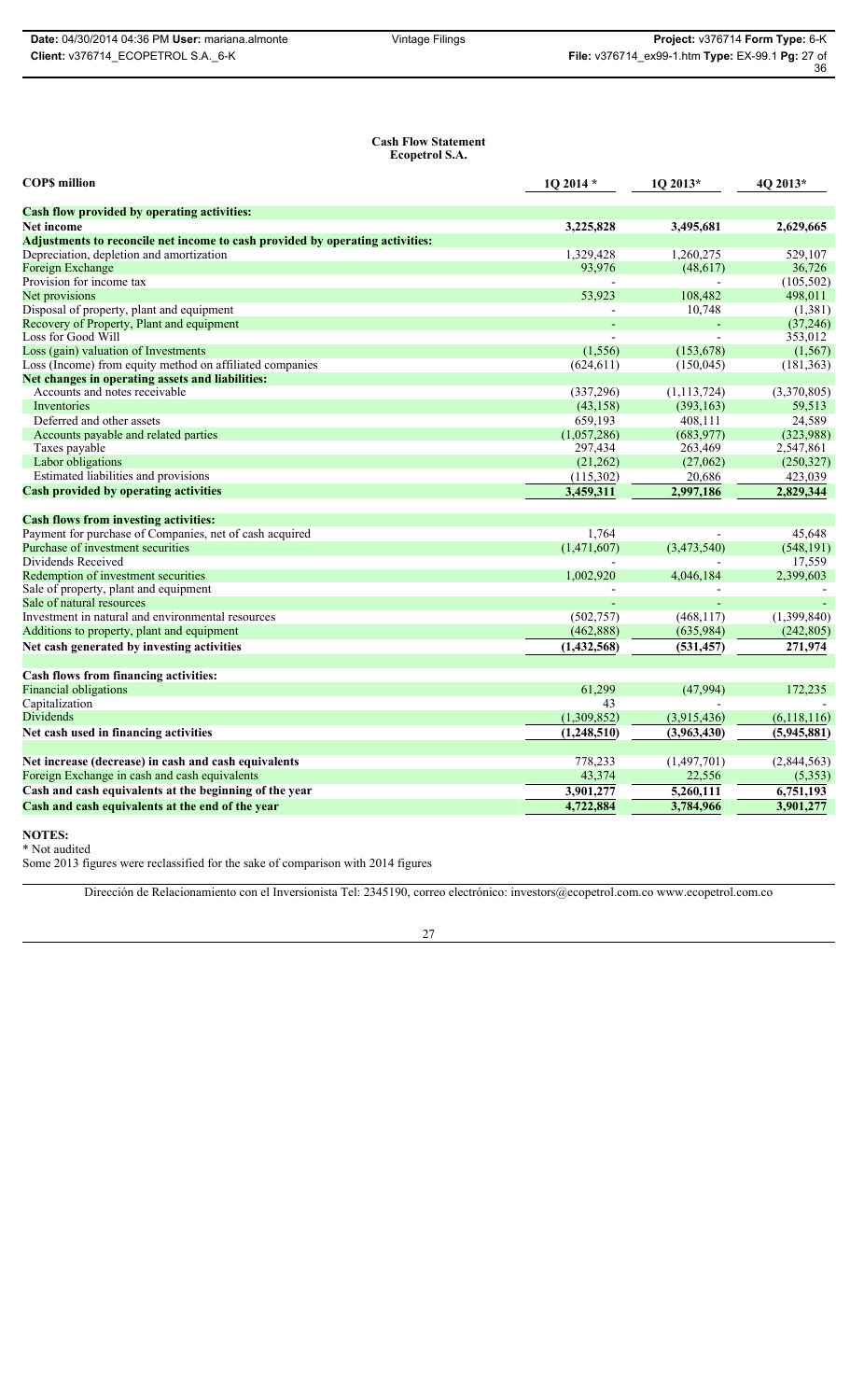36

#### **Cash Flow Statement Ecopetrol S.A.**

| <b>COPS</b> million                                                           | 1Q 2014 *     | 1Q 2013*      | 4Q 2013*      |
|-------------------------------------------------------------------------------|---------------|---------------|---------------|
| Cash flow provided by operating activities:                                   |               |               |               |
| <b>Net income</b>                                                             | 3,225,828     | 3,495,681     | 2,629,665     |
| Adjustments to reconcile net income to cash provided by operating activities: |               |               |               |
| Depreciation, depletion and amortization                                      | 1.329.428     | 1,260,275     | 529.107       |
| Foreign Exchange                                                              | 93,976        | (48, 617)     | 36,726        |
| Provision for income tax                                                      |               |               | (105, 502)    |
| Net provisions                                                                | 53,923        | 108,482       | 498,011       |
| Disposal of property, plant and equipment                                     |               | 10,748        | (1,381)       |
| Recovery of Property, Plant and equipment                                     |               |               | (37, 246)     |
| Loss for Good Will                                                            |               |               | 353,012       |
| Loss (gain) valuation of Investments                                          | (1, 556)      | (153, 678)    | (1, 567)      |
| Loss (Income) from equity method on affiliated companies                      | (624, 611)    | (150, 045)    | (181, 363)    |
| Net changes in operating assets and liabilities:                              |               |               |               |
| Accounts and notes receivable                                                 | (337, 296)    | (1, 113, 724) | (3,370,805)   |
| Inventories                                                                   | (43, 158)     | (393, 163)    | 59,513        |
| Deferred and other assets                                                     | 659,193       | 408,111       | 24,589        |
| Accounts payable and related parties                                          | (1,057,286)   | (683,977)     | (323,988)     |
| Taxes payable                                                                 | 297,434       | 263,469       | 2,547,861     |
| Labor obligations                                                             | (21,262)      | (27,062)      | (250, 327)    |
| Estimated liabilities and provisions                                          | (115,302)     | 20,686        | 423,039       |
| <b>Cash provided by operating activities</b>                                  | 3,459,311     | 2,997,186     | 2,829,344     |
| <b>Cash flows from investing activities:</b>                                  |               |               |               |
| Payment for purchase of Companies, net of cash acquired                       | 1,764         |               | 45,648        |
| Purchase of investment securities                                             | (1,471,607)   | (3,473,540)   | (548, 191)    |
| Dividends Received                                                            |               |               | 17,559        |
| Redemption of investment securities                                           | 1,002,920     | 4,046,184     | 2,399,603     |
| Sale of property, plant and equipment                                         |               |               |               |
| Sale of natural resources                                                     |               |               |               |
| Investment in natural and environmental resources                             | (502, 757)    | (468, 117)    | (1,399,840)   |
| Additions to property, plant and equipment                                    | (462, 888)    | (635,984)     | (242, 805)    |
| Net cash generated by investing activities                                    | (1, 432, 568) | (531, 457)    | 271,974       |
| Cash flows from financing activities:                                         |               |               |               |
| <b>Financial obligations</b>                                                  | 61.299        | (47,994)      | 172,235       |
| Capitalization                                                                | 43            |               |               |
| <b>Dividends</b>                                                              | (1,309,852)   | (3,915,436)   | (6, 118, 116) |
|                                                                               |               |               |               |
| Net cash used in financing activities                                         | (1,248,510)   | (3,963,430)   | (5,945,881)   |
| Net increase (decrease) in cash and cash equivalents                          | 778,233       | (1,497,701)   | (2,844,563)   |
| Foreign Exchange in cash and cash equivalents                                 | 43,374        | 22,556        | (5,353)       |
| Cash and cash equivalents at the beginning of the year                        | 3,901,277     | 5,260,111     | 6,751,193     |
| Cash and cash equivalents at the end of the year                              | 4,722,884     | 3,784,966     | 3,901,277     |
|                                                                               |               |               |               |

**NOTES:**

\* Not audited Some 2013 figures were reclassified for the sake of comparison with 2014 figures

Dirección de Relacionamiento con el Inversionista Tel: 2345190, correo electrónico: investors@ecopetrol.com.co www.ecopetrol.com.co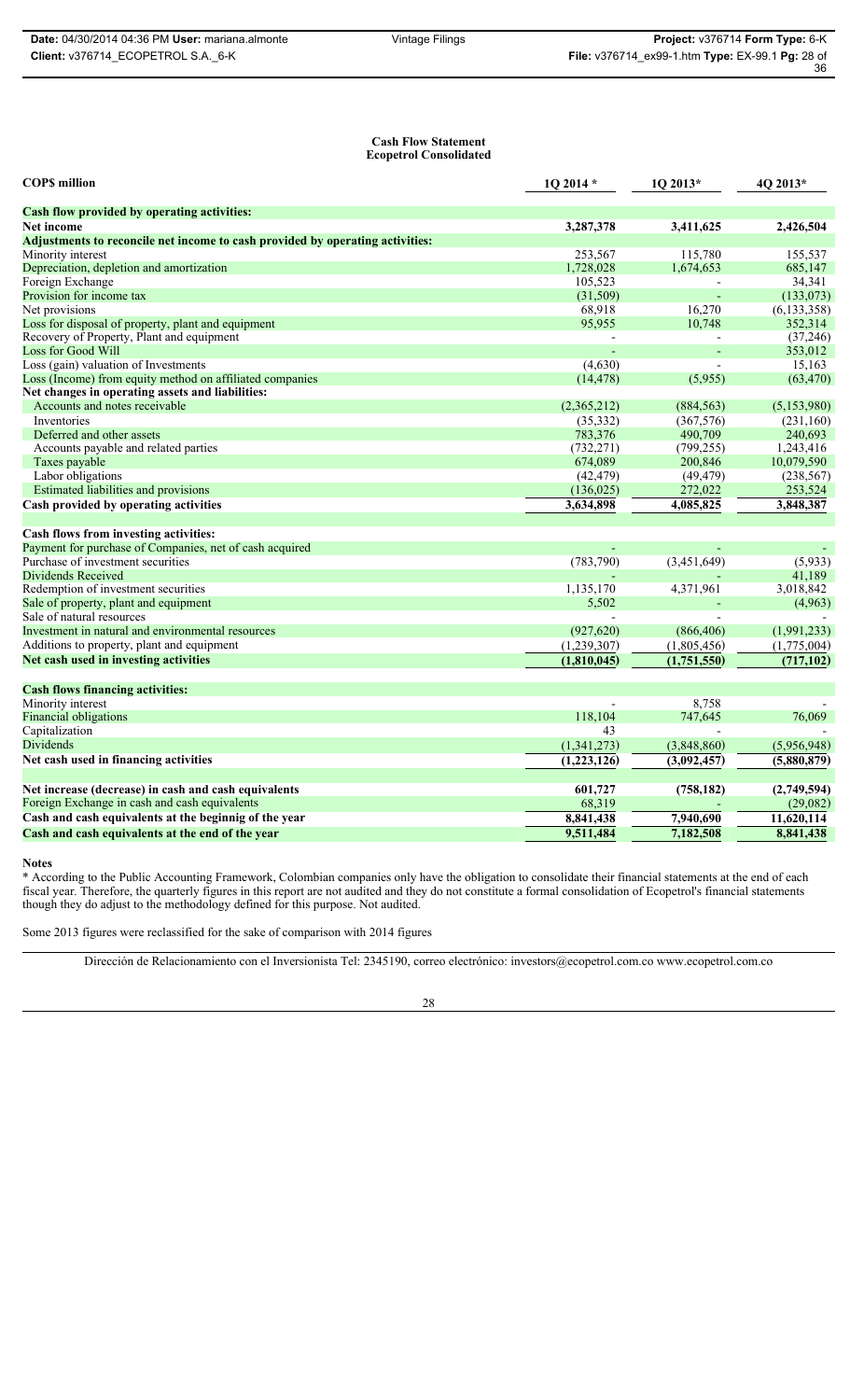#### **Cash Flow Statement Ecopetrol Consolidated**

| <b>COPS</b> million                                                           | 1Q 2014 *   | 1Q 2013*    | 4Q 2013*      |
|-------------------------------------------------------------------------------|-------------|-------------|---------------|
| <b>Cash flow provided by operating activities:</b>                            |             |             |               |
| Net income                                                                    | 3,287,378   | 3,411,625   | 2,426,504     |
| Adjustments to reconcile net income to cash provided by operating activities: |             |             |               |
| Minority interest                                                             | 253,567     | 115,780     | 155,537       |
| Depreciation, depletion and amortization                                      | 1,728,028   | 1,674,653   | 685,147       |
| Foreign Exchange                                                              | 105,523     |             | 34,341        |
| Provision for income tax                                                      | (31,509)    |             | (133, 073)    |
| Net provisions                                                                | 68,918      | 16,270      | (6, 133, 358) |
| Loss for disposal of property, plant and equipment                            | 95,955      | 10,748      | 352,314       |
| Recovery of Property, Plant and equipment                                     |             |             | (37, 246)     |
| <b>Loss for Good Will</b>                                                     |             |             | 353,012       |
| Loss (gain) valuation of Investments                                          | (4,630)     |             | 15,163        |
| Loss (Income) from equity method on affiliated companies                      | (14, 478)   | (5,955)     | (63, 470)     |
| Net changes in operating assets and liabilities:                              |             |             |               |
| Accounts and notes receivable                                                 | (2,365,212) | (884, 563)  | (5, 153, 980) |
| Inventories                                                                   | (35, 332)   | (367, 576)  | (231,160)     |
| Deferred and other assets                                                     | 783,376     | 490,709     | 240,693       |
| Accounts payable and related parties                                          | (732, 271)  | (799, 255)  | 1,243,416     |
| Taxes payable                                                                 | 674,089     | 200,846     | 10,079,590    |
| Labor obligations                                                             | (42, 479)   | (49, 479)   | (238, 567)    |
| Estimated liabilities and provisions                                          | (136, 025)  | 272,022     | 253,524       |
| Cash provided by operating activities                                         | 3,634,898   | 4,085,825   | 3,848,387     |
| Cash flows from investing activities:                                         |             |             |               |
| Payment for purchase of Companies, net of cash acquired                       |             |             |               |
| Purchase of investment securities                                             | (783, 790)  | (3,451,649) | (5,933)       |
| <b>Dividends Received</b>                                                     |             |             | 41,189        |
| Redemption of investment securities                                           | 1,135,170   | 4,371,961   | 3,018,842     |
| Sale of property, plant and equipment                                         | 5,502       |             | (4,963)       |
| Sale of natural resources                                                     |             |             |               |
| Investment in natural and environmental resources                             | (927, 620)  | (866, 406)  | (1,991,233)   |
| Additions to property, plant and equipment                                    | (1,239,307) | (1,805,456) | (1,775,004)   |
| Net cash used in investing activities                                         | (1,810,045) | (1,751,550) | (717, 102)    |
|                                                                               |             |             |               |
| <b>Cash flows financing activities:</b>                                       |             |             |               |
| Minority interest                                                             |             | 8,758       |               |
| <b>Financial obligations</b>                                                  | 118,104     | 747,645     | 76,069        |
| Capitalization                                                                | 43          |             |               |
| Dividends                                                                     | (1,341,273) | (3,848,860) | (5,956,948)   |
| Net cash used in financing activities                                         | (1,223,126) | (3,092,457) | (5,880,879)   |
| Net increase (decrease) in cash and cash equivalents                          | 601,727     | (758, 182)  | (2,749,594)   |
| Foreign Exchange in cash and cash equivalents                                 | 68,319      |             | (29,082)      |
| Cash and cash equivalents at the beginnig of the year                         | 8,841,438   | 7,940,690   | 11,620,114    |
| Cash and cash equivalents at the end of the year                              | 9,511,484   | 7,182,508   | 8,841,438     |
|                                                                               |             |             |               |

**Notes**

\* According to the Public Accounting Framework, Colombian companies only have the obligation to consolidate their financial statements at the end of each fiscal year. Therefore, the quarterly figures in this report are not audited and they do not constitute a formal consolidation of Ecopetrol's financial statements though they do adjust to the methodology defined for this purpose. Not audited.

Some 2013 figures were reclassified for the sake of comparison with 2014 figures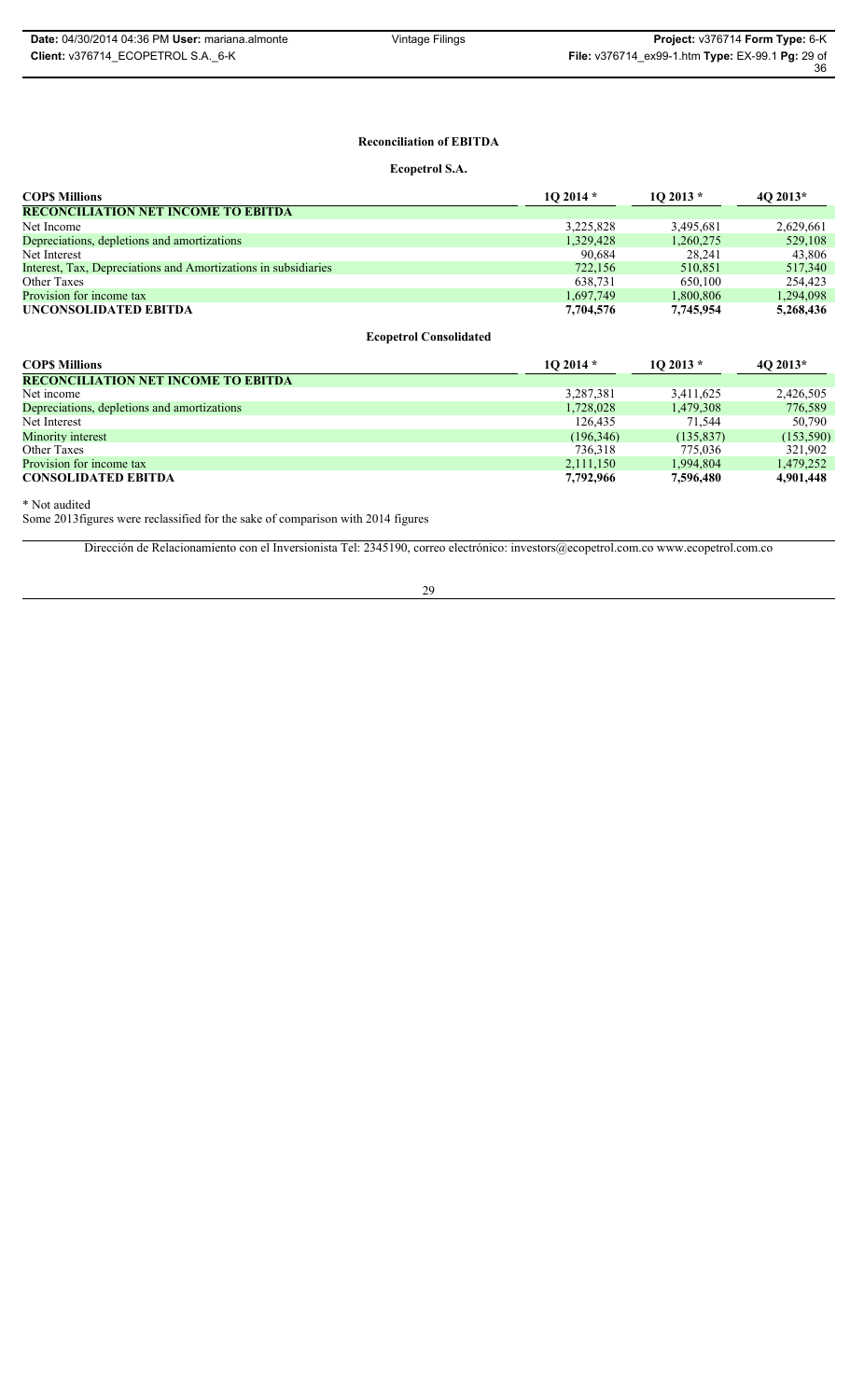# **Reconciliation of EBITDA**

**Ecopetrol S.A.**

| <b>COPS Millions</b>                                           | $102014*$ | $102013*$ | $40\,2013*$ |
|----------------------------------------------------------------|-----------|-----------|-------------|
| <b>RECONCILIATION NET INCOME TO EBITDA</b>                     |           |           |             |
| Net Income                                                     | 3,225,828 | 3.495.681 | 2,629,661   |
| Depreciations, depletions and amortizations                    | 1,329,428 | 1,260,275 | 529,108     |
| Net Interest                                                   | 90,684    | 28.241    | 43,806      |
| Interest, Tax, Depreciations and Amortizations in subsidiaries | 722,156   | 510,851   | 517,340     |
| Other Taxes                                                    | 638.731   | 650.100   | 254.423     |
| Provision for income tax                                       | 1,697,749 | 1,800,806 | 1,294,098   |
| UNCONSOLIDATED EBITDA                                          | 7,704,576 | 7,745,954 | 5,268,436   |

**Ecopetrol Consolidated**

| <b>COPS Millions</b>                        | $102014*$  | $102013*$  | $402013*$  |
|---------------------------------------------|------------|------------|------------|
| <b>RECONCILIATION NET INCOME TO EBITDA</b>  |            |            |            |
| Net income                                  | 3,287,381  | 3,411,625  | 2,426,505  |
| Depreciations, depletions and amortizations | 1,728,028  | 1,479,308  | 776,589    |
| Net Interest                                | 126.435    | 71.544     | 50.790     |
| Minority interest                           | (196, 346) | (135, 837) | (153, 590) |
| Other Taxes                                 | 736.318    | 775.036    | 321.902    |
| Provision for income tax                    | 2.111.150  | 1.994.804  | 1.479.252  |
| <b>CONSOLIDATED EBITDA</b>                  | 7,792,966  | 7,596,480  | 4,901,448  |

\* Not audited

Some 2013figures were reclassified for the sake of comparison with 2014 figures

Dirección de Relacionamiento con el Inversionista Tel: 2345190, correo electrónico: investors@ecopetrol.com.co www.ecopetrol.com.co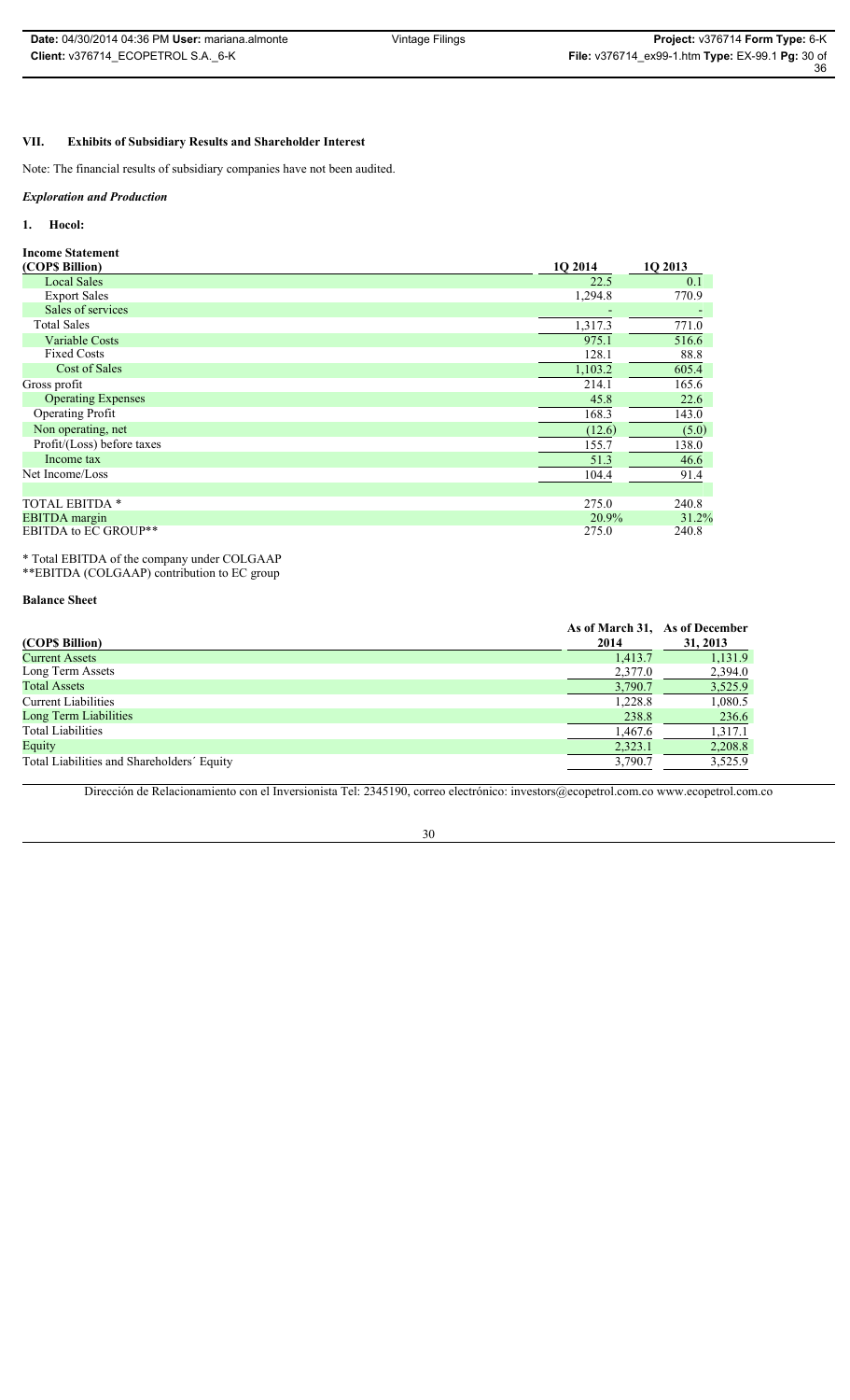# **VII. Exhibits of Subsidiary Results and Shareholder Interest**

Note: The financial results of subsidiary companies have not been audited.

### *Exploration and Production*

### **1. Hocol:**

**Income Statement** 

| <b>Local Sales</b><br><b>Export Sales</b><br>Sales of services<br><b>Total Sales</b><br>Variable Costs | 22.5<br>1,294.8 | 0.1<br>770.9 |
|--------------------------------------------------------------------------------------------------------|-----------------|--------------|
|                                                                                                        |                 |              |
|                                                                                                        |                 |              |
|                                                                                                        |                 |              |
|                                                                                                        | 1,317.3         | 771.0        |
|                                                                                                        | 975.1           | 516.6        |
| <b>Fixed Costs</b>                                                                                     | 128.1           | 88.8         |
| Cost of Sales                                                                                          | 1,103.2         | 605.4        |
| Gross profit                                                                                           | 214.1           | 165.6        |
| <b>Operating Expenses</b>                                                                              | 45.8            | 22.6         |
| <b>Operating Profit</b>                                                                                | 168.3           | 143.0        |
| Non operating, net                                                                                     | (12.6)          | (5.0)        |
| Profit/(Loss) before taxes                                                                             | 155.7           | 138.0        |
| Income tax                                                                                             | 51.3            | 46.6         |
| Net Income/Loss                                                                                        | 104.4           | 91.4         |
|                                                                                                        |                 |              |
| <b>TOTAL EBITDA *</b>                                                                                  | 275.0           | 240.8        |
| <b>EBITDA</b> margin                                                                                   | 20.9%           | 31.2%        |
| <b>EBITDA to EC GROUP**</b>                                                                            | 275.0           | 240.8        |

\* Total EBITDA of the company under COLGAAP

\*\*EBITDA (COLGAAP) contribution to EC group

### **Balance Sheet**

| (COP\$ Billion)                            | As of March 31, As of December<br>2014 | 31, 2013 |
|--------------------------------------------|----------------------------------------|----------|
| Current Assets                             | 1.413.7                                | 1,131.9  |
| Long Term Assets                           | 2,377.0                                | 2,394.0  |
| <b>Total Assets</b>                        | 3,790.7                                | 3,525.9  |
| Current Liabilities                        | 1,228.8                                | 1,080.5  |
| Long Term Liabilities                      | 238.8                                  | 236.6    |
| <b>Total Liabilities</b>                   | 1,467.6                                | 1,317.1  |
| Equity                                     | 2,323.1                                | 2,208.8  |
| Total Liabilities and Shareholders' Equity | 3,790.7                                | 3,525.9  |

Dirección de Relacionamiento con el Inversionista Tel: 2345190, correo electrónico: investors@ecopetrol.com.co www.ecopetrol.com.co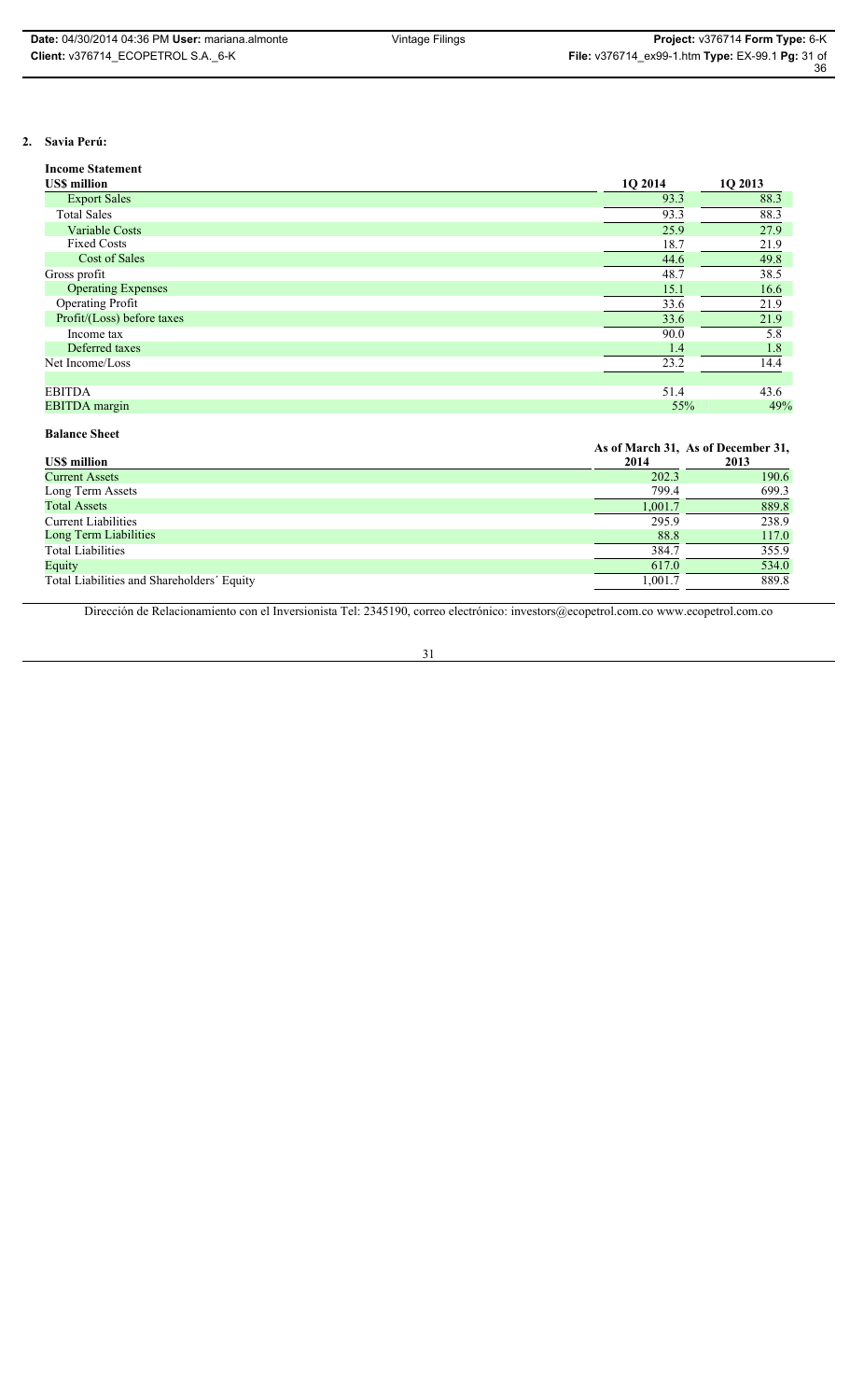### **2. Savia Perú:**

| <b>Income Statement</b>    |         |         |
|----------------------------|---------|---------|
| <b>USS million</b>         | 1Q 2014 | 1Q 2013 |
| <b>Export Sales</b>        | 93.3    | 88.3    |
| <b>Total Sales</b>         | 93.3    | 88.3    |
| <b>Variable Costs</b>      | 25.9    | 27.9    |
| <b>Fixed Costs</b>         | 18.7    | 21.9    |
| Cost of Sales              | 44.6    | 49.8    |
| Gross profit               | 48.7    | 38.5    |
| <b>Operating Expenses</b>  | 15.1    | 16.6    |
| <b>Operating Profit</b>    | 33.6    | 21.9    |
| Profit/(Loss) before taxes | 33.6    | 21.9    |
| Income tax                 | 90.0    | 5.8     |
| Deferred taxes             | 1.4     | 1.8     |
| Net Income/Loss            | 23.2    | 14.4    |
|                            |         |         |
| <b>EBITDA</b>              | 51.4    | 43.6    |
| <b>EBITDA</b> margin       | 55%     | 49%     |

### **Balance Sheet**

|                                            |         | As of March 31, As of December 31, |
|--------------------------------------------|---------|------------------------------------|
| <b>US\$</b> million                        | 2014    | 2013                               |
| <b>Current Assets</b>                      | 202.3   | 190.6                              |
| Long Term Assets                           | 799.4   | 699.3                              |
| <b>Total Assets</b>                        | 1,001.7 | 889.8                              |
| <b>Current Liabilities</b>                 | 295.9   | 238.9                              |
| Long Term Liabilities                      | 88.8    | 117.0                              |
| <b>Total Liabilities</b>                   | 384.7   | 355.9                              |
| Equity                                     | 617.0   | 534.0                              |
| Total Liabilities and Shareholders' Equity | 1,001.7 | 889.8                              |
|                                            |         |                                    |

Dirección de Relacionamiento con el Inversionista Tel: 2345190, correo electrónico: investors@ecopetrol.com.co www.ecopetrol.com.co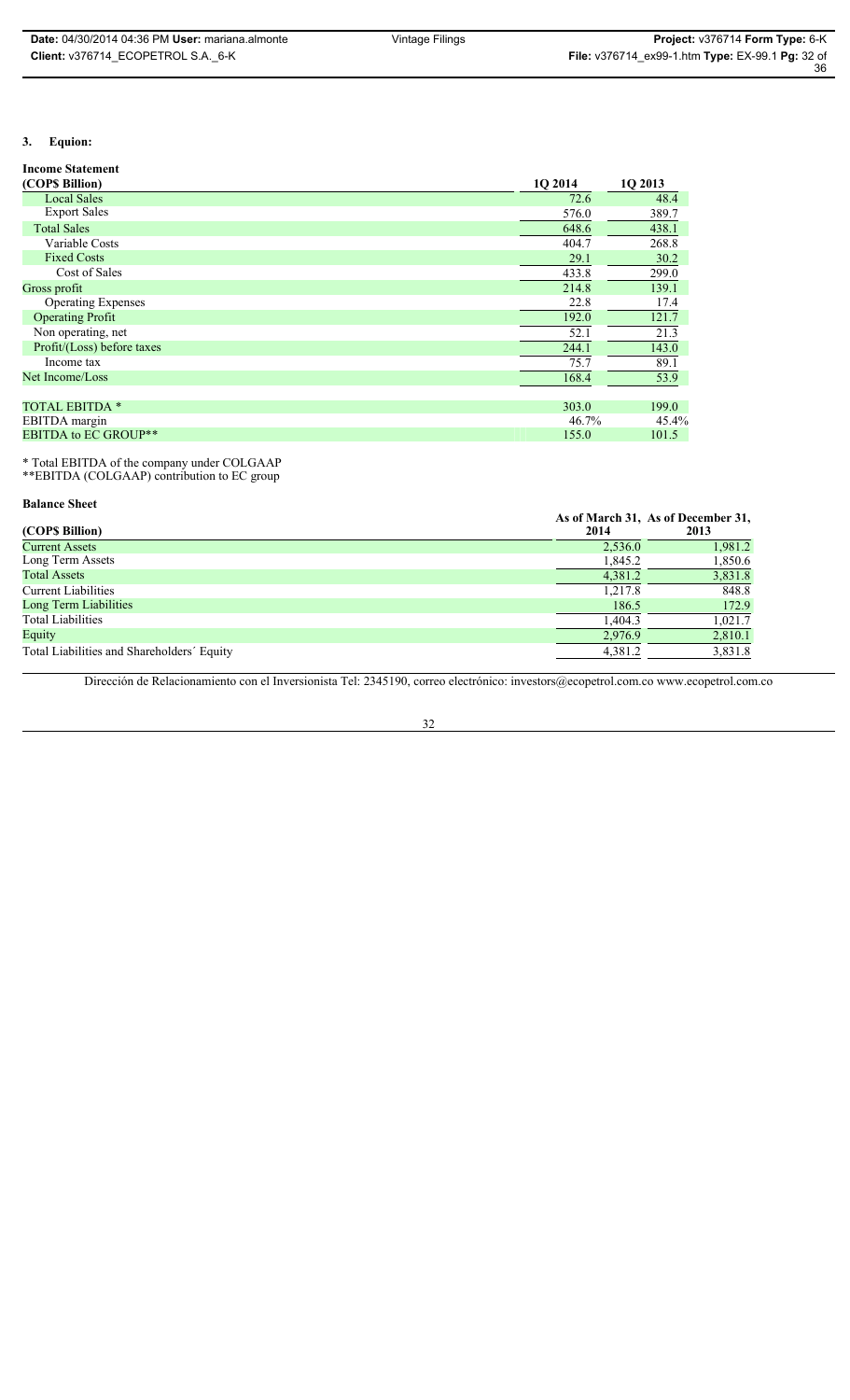# **3. Equion:**

# **Income Statement**

| (COP\$ Billion)             | 10 2014 | 10 2013 |
|-----------------------------|---------|---------|
| <b>Local Sales</b>          | 72.6    | 48.4    |
| <b>Export Sales</b>         | 576.0   | 389.7   |
| <b>Total Sales</b>          | 648.6   | 438.1   |
| Variable Costs              | 404.7   | 268.8   |
| <b>Fixed Costs</b>          | 29.1    | 30.2    |
| Cost of Sales               | 433.8   | 299.0   |
| Gross profit                | 214.8   | 139.1   |
| <b>Operating Expenses</b>   | 22.8    | 17.4    |
| <b>Operating Profit</b>     | 192.0   | 121.7   |
| Non operating, net          | 52.1    | 21.3    |
| Profit/(Loss) before taxes  | 244.1   | 143.0   |
| Income tax                  | 75.7    | 89.1    |
| Net Income/Loss             | 168.4   | 53.9    |
|                             |         |         |
| <b>TOTAL EBITDA *</b>       | 303.0   | 199.0   |
| EBITDA margin               | 46.7%   | 45.4%   |
| <b>EBITDA to EC GROUP**</b> | 155.0   | 101.5   |

\* Total EBITDA of the company under COLGAAP \*\*EBITDA (COLGAAP) contribution to EC group

#### **Balance Sheet**

|                                            |         | As of March 31, As of December 31, |
|--------------------------------------------|---------|------------------------------------|
| (COP\$ Billion)                            | 2014    | 2013                               |
| <b>Current Assets</b>                      | 2,536.0 | 1,981.2                            |
| Long Term Assets                           | 1,845.2 | 1,850.6                            |
| <b>Total Assets</b>                        | 4,381.2 | 3,831.8                            |
| <b>Current Liabilities</b>                 | 1,217.8 | 848.8                              |
| Long Term Liabilities                      | 186.5   | 172.9                              |
| <b>Total Liabilities</b>                   | 1,404.3 | 1,021.7                            |
| Equity                                     | 2,976.9 | 2,810.1                            |
| Total Liabilities and Shareholders' Equity | 4,381.2 | 3,831.8                            |

Dirección de Relacionamiento con el Inversionista Tel: 2345190, correo electrónico: investors@ecopetrol.com.co www.ecopetrol.com.co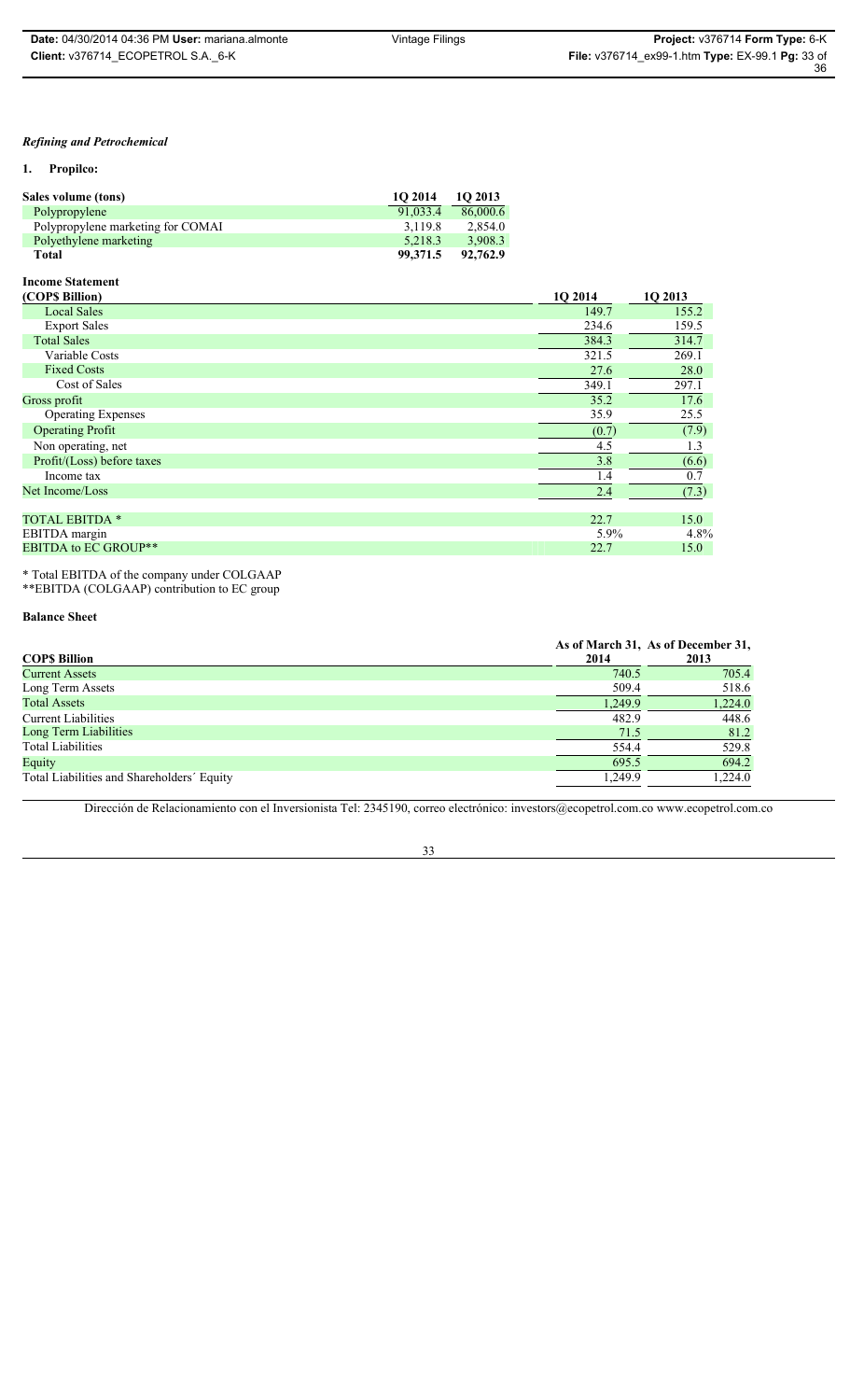# *Refining and Petrochemical*

**1. Propilco:**

| Sales volume (tons)               | 1O 2014  | 10 2013  |
|-----------------------------------|----------|----------|
| Polypropylene                     | 91.033.4 | 86,000.6 |
| Polypropylene marketing for COMAI | 3.119.8  | 2.854.0  |
| Polyethylene marketing            | 5.218.3  | 3.908.3  |
| <b>Total</b>                      | 99,371.5 | 92,762.9 |

### **Income Statement**

| (COP\$ Billion)             | 10 2014 | 10 2013 |
|-----------------------------|---------|---------|
| <b>Local Sales</b>          | 149.7   | 155.2   |
| <b>Export Sales</b>         | 234.6   | 159.5   |
| <b>Total Sales</b>          | 384.3   | 314.7   |
| Variable Costs              | 321.5   | 269.1   |
| <b>Fixed Costs</b>          | 27.6    | 28.0    |
| Cost of Sales               | 349.1   | 297.1   |
| Gross profit                | 35.2    | 17.6    |
| <b>Operating Expenses</b>   | 35.9    | 25.5    |
| <b>Operating Profit</b>     | (0.7)   | (7.9)   |
| Non operating, net          | 4.5     | 1.3     |
| Profit/(Loss) before taxes  | 3.8     | (6.6)   |
| Income tax                  | 1.4     | 0.7     |
| Net Income/Loss             | 2.4     | (7.3)   |
|                             |         |         |
| <b>TOTAL EBITDA *</b>       | 22.7    | 15.0    |
| EBITDA margin               | 5.9%    | 4.8%    |
| <b>EBITDA to EC GROUP**</b> | 22.7    | 15.0    |

\* Total EBITDA of the company under COLGAAP \*\*EBITDA (COLGAAP) contribution to EC group

### **Balance Sheet**

|                                            |         | As of March 31, As of December 31, |
|--------------------------------------------|---------|------------------------------------|
| <b>COPS Billion</b>                        | 2014    | 2013                               |
| Current Assets                             | 740.5   | 705.4                              |
| Long Term Assets                           | 509.4   | 518.6                              |
| <b>Total Assets</b>                        | 1,249.9 | 1,224.0                            |
| Current Liabilities                        | 482.9   | 448.6                              |
| Long Term Liabilities                      | 71.5    | 81.2                               |
| <b>Total Liabilities</b>                   | 554.4   | 529.8                              |
| Equity                                     | 695.5   | 694.2                              |
| Total Liabilities and Shareholders' Equity | 1,249.9 | 1,224.0                            |

Dirección de Relacionamiento con el Inversionista Tel: 2345190, correo electrónico: investors@ecopetrol.com.co www.ecopetrol.com.co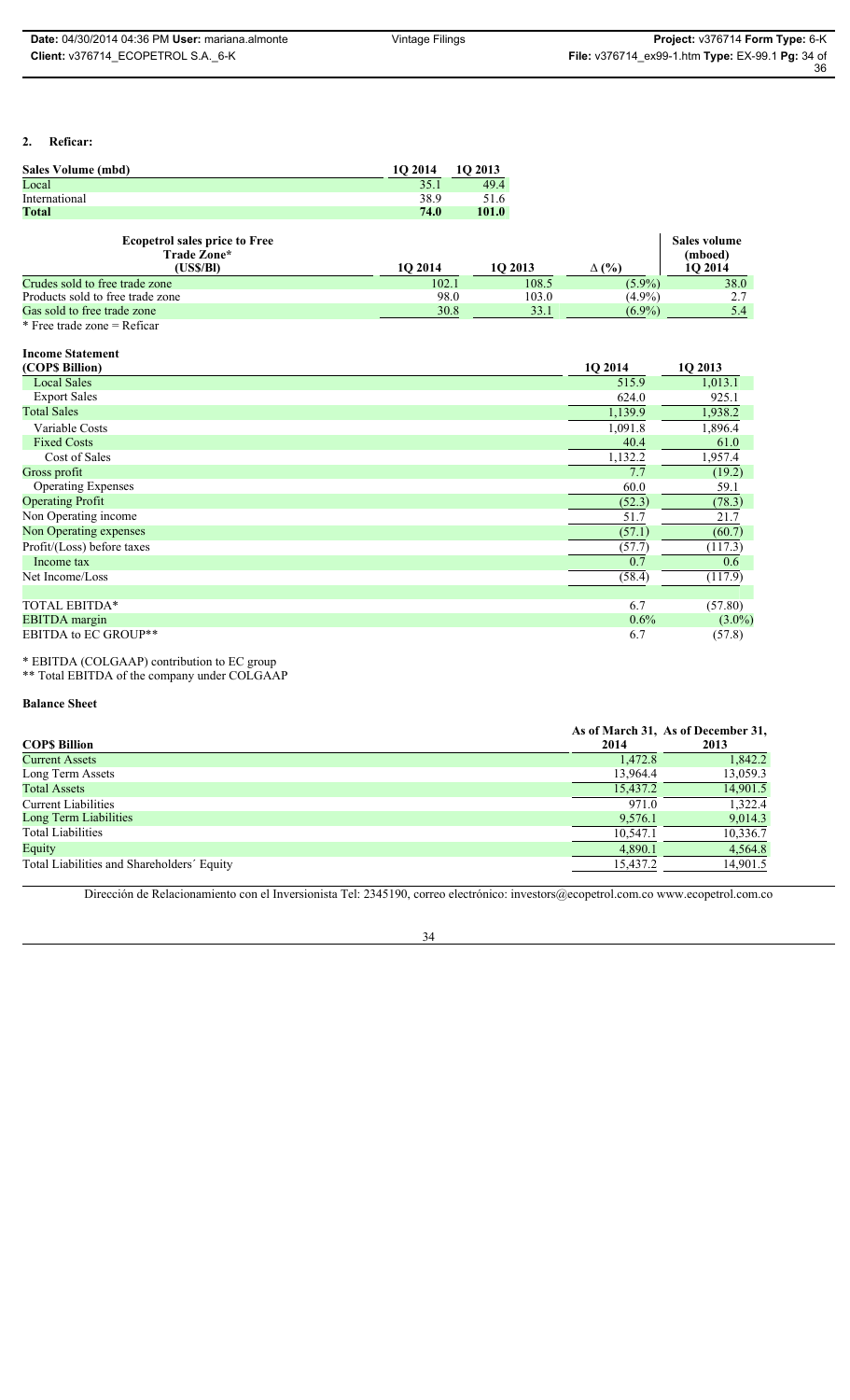36

# **2. Reficar:**

| Sales Volume (mbd)                                  | 10 2014 | 1Q 2013      |       |              |                                    |
|-----------------------------------------------------|---------|--------------|-------|--------------|------------------------------------|
| Local                                               | 35.1    | 49.4         |       |              |                                    |
| International                                       | 38.9    | 51.6         |       |              |                                    |
| Total                                               | 74.0    | <b>101.0</b> |       |              |                                    |
| <b>Ecopetrol sales price to Free</b><br>Trade Zone* |         |              |       | $\Delta$ (%) | Sales volume<br>(mboed)<br>1O 2014 |
| (USS/BI)                                            | 10 2014 | 10 2013      |       |              |                                    |
| Crudes sold to free trade zone                      | 102.1   |              | 108.5 | $(5.9\%)$    | 38.0                               |
| Products sold to free trade zone                    | 98.0    |              | 103.0 | $(4.9\%)$    | 2.7                                |
| Gas sold to free trade zone                         | 30.8    |              | 33.1  | $(6.9\%)$    | 5.4                                |

### **Income Statement**

| (COPS Billion)              | 1Q 2014 | 1Q 2013   |
|-----------------------------|---------|-----------|
| <b>Local Sales</b>          | 515.9   | 1,013.1   |
| <b>Export Sales</b>         | 624.0   | 925.1     |
| <b>Total Sales</b>          | 1,139.9 | 1,938.2   |
| Variable Costs              | 1,091.8 | 1,896.4   |
| <b>Fixed Costs</b>          | 40.4    | 61.0      |
| Cost of Sales               | 1,132.2 | 1,957.4   |
| Gross profit                | 7.7     | (19.2)    |
| <b>Operating Expenses</b>   | 60.0    | 59.1      |
| <b>Operating Profit</b>     | (52.3)  | (78.3)    |
| Non Operating income        | 51.7    | 21.7      |
| Non Operating expenses      | (57.1)  | (60.7)    |
| Profit/(Loss) before taxes  | (57.7)  | (117.3)   |
| Income tax                  | 0.7     | 0.6       |
| Net Income/Loss             | (58.4)  | (117.9)   |
|                             |         |           |
| TOTAL EBITDA*               | 6.7     | (57.80)   |
| <b>EBITDA</b> margin        | 0.6%    | $(3.0\%)$ |
| <b>EBITDA to EC GROUP**</b> | 6.7     | (57.8)    |

\* EBITDA (COLGAAP) contribution to EC group \*\* Total EBITDA of the company under COLGAAP

# **Balance Sheet**

| COPS Billion                               | 2014     | As of March 31, As of December 31,<br>2013 |
|--------------------------------------------|----------|--------------------------------------------|
| Current Assets                             | 1,472.8  | 1,842.2                                    |
| Long Term Assets                           | 13,964.4 | 13,059.3                                   |
| <b>Total Assets</b>                        | 15,437.2 | 14,901.5                                   |
| Current Liabilities                        | 971.0    | 1,322.4                                    |
| Long Term Liabilities                      | 9,576.1  | 9,014.3                                    |
| <b>Total Liabilities</b>                   | 10,547.1 | 10,336.7                                   |
| Equity                                     | 4,890.1  | 4,564.8                                    |
| Total Liabilities and Shareholders' Equity | 15,437.2 | 14,901.5                                   |

Dirección de Relacionamiento con el Inversionista Tel: 2345190, correo electrónico: investors@ecopetrol.com.co www.ecopetrol.com.co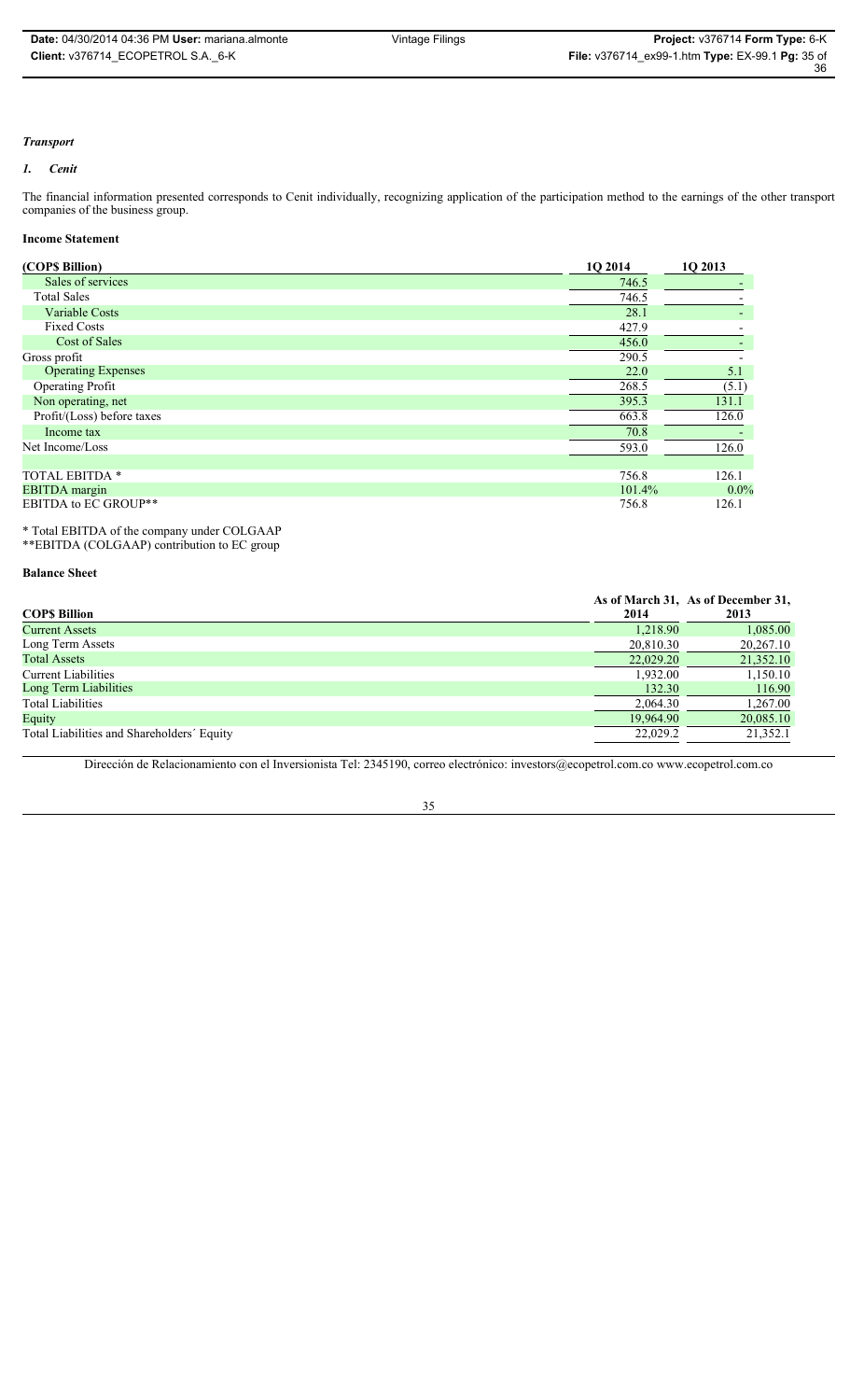# *Transport*

### *1. Cenit*

The financial information presented corresponds to Cenit individually, recognizing application of the participation method to the earnings of the other transport companies of the business group.

# **Income Statement**

| (COP\$ Billion)            | 1Q 2014 | 1Q 2013 |
|----------------------------|---------|---------|
| Sales of services          | 746.5   |         |
| <b>Total Sales</b>         | 746.5   |         |
| <b>Variable Costs</b>      | 28.1    | ۰       |
| <b>Fixed Costs</b>         | 427.9   |         |
| Cost of Sales              | 456.0   |         |
| Gross profit               | 290.5   |         |
| <b>Operating Expenses</b>  | 22.0    | 5.1     |
| <b>Operating Profit</b>    | 268.5   | (5.1)   |
| Non operating, net         | 395.3   | 131.1   |
| Profit/(Loss) before taxes | 663.8   | 126.0   |
| Income tax                 | 70.8    |         |
| Net Income/Loss            | 593.0   | 126.0   |
|                            |         |         |
| <b>TOTAL EBITDA *</b>      | 756.8   | 126.1   |
| <b>EBITDA</b> margin       | 101.4%  | $0.0\%$ |
| EBITDA to EC GROUP**       | 756.8   | 126.1   |

\* Total EBITDA of the company under COLGAAP \*\*EBITDA (COLGAAP) contribution to EC group

**Balance Sheet**

|                                            |           | As of March 31, As of December 31, |
|--------------------------------------------|-----------|------------------------------------|
| COP\$ Billion                              | 2014      | 2013                               |
| Current Assets                             | 1.218.90  | 1,085.00                           |
| Long Term Assets                           | 20,810.30 | 20,267.10                          |
| <b>Total Assets</b>                        | 22,029.20 | 21,352.10                          |
| Current Liabilities                        | 1.932.00  | 1,150.10                           |
| Long Term Liabilities                      | 132.30    | 116.90                             |
| <b>Total Liabilities</b>                   | 2,064.30  | 1,267.00                           |
| Equity                                     | 19.964.90 | 20,085.10                          |
| Total Liabilities and Shareholders' Equity | 22,029.2  | 21,352.1                           |

Dirección de Relacionamiento con el Inversionista Tel: 2345190, correo electrónico: investors@ecopetrol.com.co www.ecopetrol.com.co